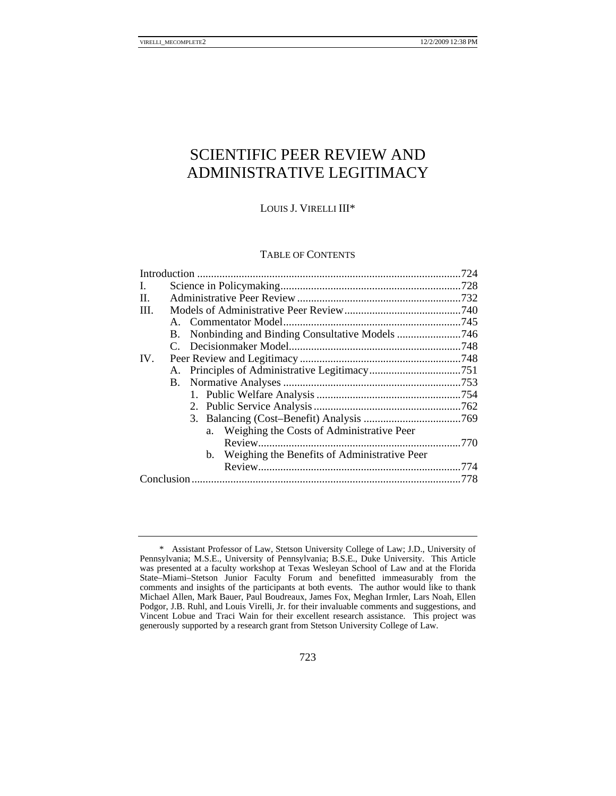# SCIENTIFIC PEER REVIEW AND ADMINISTRATIVE LEGITIMACY

# LOUIS J. VIRELLI III\*

## TABLE OF CONTENTS

| L.   |  |                                                 |  |
|------|--|-------------------------------------------------|--|
| П.   |  |                                                 |  |
| III. |  |                                                 |  |
|      |  |                                                 |  |
|      |  |                                                 |  |
|      |  |                                                 |  |
| IV.  |  |                                                 |  |
|      |  |                                                 |  |
|      |  |                                                 |  |
|      |  |                                                 |  |
|      |  |                                                 |  |
|      |  |                                                 |  |
|      |  | a. Weighing the Costs of Administrative Peer    |  |
|      |  |                                                 |  |
|      |  | b. Weighing the Benefits of Administrative Peer |  |
|      |  |                                                 |  |
|      |  |                                                 |  |
|      |  |                                                 |  |

 <sup>\*</sup> Assistant Professor of Law, Stetson University College of Law; J.D., University of Pennsylvania; M.S.E., University of Pennsylvania; B.S.E., Duke University. This Article was presented at a faculty workshop at Texas Wesleyan School of Law and at the Florida State–Miami–Stetson Junior Faculty Forum and benefitted immeasurably from the comments and insights of the participants at both events. The author would like to thank Michael Allen, Mark Bauer, Paul Boudreaux, James Fox, Meghan Irmler, Lars Noah, Ellen Podgor, J.B. Ruhl, and Louis Virelli, Jr. for their invaluable comments and suggestions, and Vincent Lobue and Traci Wain for their excellent research assistance. This project was generously supported by a research grant from Stetson University College of Law.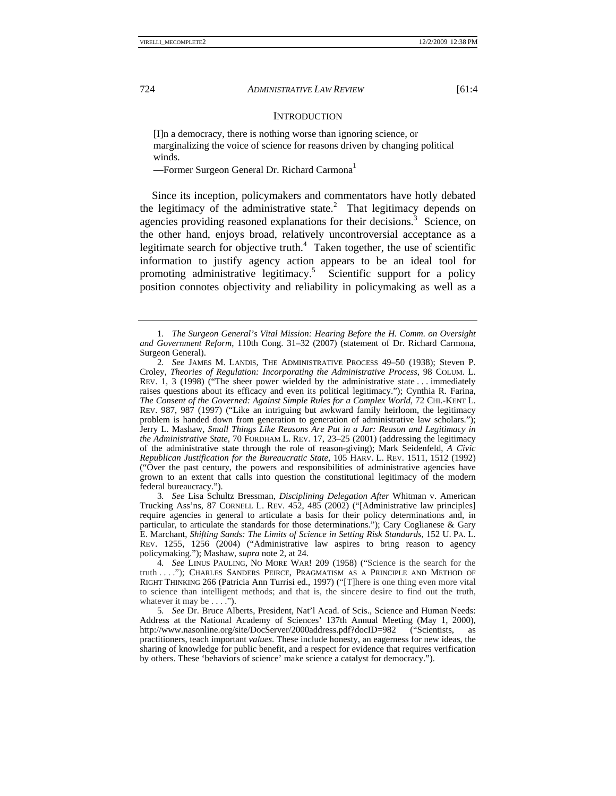#### **INTRODUCTION**

 [I]n a democracy, there is nothing worse than ignoring science, or marginalizing the voice of science for reasons driven by changing political winds.

—Former Surgeon General Dr. Richard Carmona<sup>1</sup>

 Since its inception, policymakers and commentators have hotly debated the legitimacy of the administrative state.<sup>2</sup> That legitimacy depends on agencies providing reasoned explanations for their decisions.<sup>3</sup> Science, on the other hand, enjoys broad, relatively uncontroversial acceptance as a legitimate search for objective truth. $4$  Taken together, the use of scientific information to justify agency action appears to be an ideal tool for promoting administrative legitimacy.<sup>5</sup> Scientific support for a policy position connotes objectivity and reliability in policymaking as well as a

<sup>1</sup>*. The Surgeon General's Vital Mission: Hearing Before the H. Comm. on Oversight and Government Reform*, 110th Cong. 31–32 (2007) (statement of Dr. Richard Carmona, Surgeon General).

<sup>2</sup>*. See* JAMES M. LANDIS, THE ADMINISTRATIVE PROCESS 49–50 (1938); Steven P. Croley, *Theories of Regulation: Incorporating the Administrative Process*, 98 COLUM. L. REV. 1, 3 (1998) ("The sheer power wielded by the administrative state . . . immediately raises questions about its efficacy and even its political legitimacy."); Cynthia R. Farina, *The Consent of the Governed: Against Simple Rules for a Complex World*, 72 CHI.-KENT L. REV. 987, 987 (1997) ("Like an intriguing but awkward family heirloom, the legitimacy problem is handed down from generation to generation of administrative law scholars."); Jerry L. Mashaw, *Small Things Like Reasons Are Put in a Jar: Reason and Legitimacy in the Administrative State*, 70 FORDHAM L. REV. 17, 23–25 (2001) (addressing the legitimacy of the administrative state through the role of reason-giving); Mark Seidenfeld, *A Civic Republican Justification for the Bureaucratic State*, 105 HARV. L. REV. 1511, 1512 (1992) ("Over the past century, the powers and responsibilities of administrative agencies have grown to an extent that calls into question the constitutional legitimacy of the modern federal bureaucracy.").

<sup>3</sup>*. See* Lisa Schultz Bressman, *Disciplining Delegation After* Whitman v. American Trucking Ass'ns, 87 CORNELL L. REV. 452, 485 (2002) ("[Administrative law principles] require agencies in general to articulate a basis for their policy determinations and, in particular, to articulate the standards for those determinations."); Cary Coglianese & Gary E. Marchant, *Shifting Sands: The Limits of Science in Setting Risk Standards*, 152 U. PA. L. REV. 1255, 1256 (2004) ("Administrative law aspires to bring reason to agency policymaking."); Mashaw, *supra* note 2, at 24.

<sup>4</sup>*. See* LINUS PAULING, NO MORE WAR! 209 (1958) ("Science is the search for the truth . . . ."); CHARLES SANDERS PEIRCE, PRAGMATISM AS A PRINCIPLE AND METHOD OF RIGHT THINKING 266 (Patricia Ann Turrisi ed., 1997) ("[T]here is one thing even more vital to science than intelligent methods; and that is, the sincere desire to find out the truth, whatever it may be . . . .").

<sup>5</sup>*. See* Dr. Bruce Alberts, President, Nat'l Acad. of Scis., Science and Human Needs: Address at the National Academy of Sciences' 137th Annual Meeting (May 1, 2000), http://www.nasonline.org/site/DocServer/2000address.pdf?docID=982 ("Scientists, as http://www.nasonline.org/site/DocServer/2000address.pdf?docID=982 ("Scientists, as practitioners, teach important *values*. These include honesty, an eagerness for new ideas, the sharing of knowledge for public benefit, and a respect for evidence that requires verification by others. These 'behaviors of science' make science a catalyst for democracy.").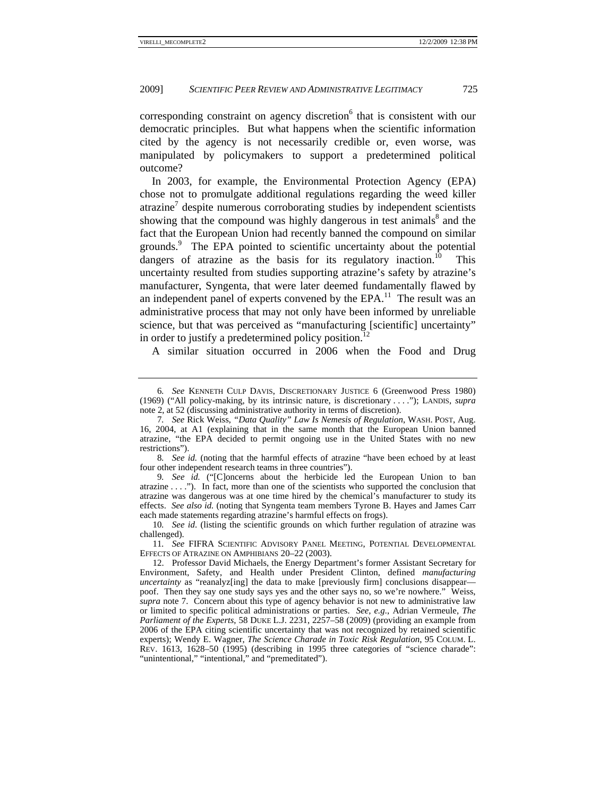corresponding constraint on agency discretion<sup>6</sup> that is consistent with our democratic principles. But what happens when the scientific information cited by the agency is not necessarily credible or, even worse, was manipulated by policymakers to support a predetermined political outcome?

In 2003, for example, the Environmental Protection Agency (EPA) chose not to promulgate additional regulations regarding the weed killer atrazine<sup>7</sup> despite numerous corroborating studies by independent scientists showing that the compound was highly dangerous in test animals<sup>8</sup> and the fact that the European Union had recently banned the compound on similar grounds.<sup>9</sup> The EPA pointed to scientific uncertainty about the potential dangers of atrazine as the basis for its regulatory inaction.<sup>10</sup> This uncertainty resulted from studies supporting atrazine's safety by atrazine's manufacturer, Syngenta, that were later deemed fundamentally flawed by an independent panel of experts convened by the  $EPA$ <sup>11</sup>. The result was an administrative process that may not only have been informed by unreliable science, but that was perceived as "manufacturing [scientific] uncertainty" in order to justify a predetermined policy position.<sup>12</sup>

A similar situation occurred in 2006 when the Food and Drug

9*. See id.* ("[C]oncerns about the herbicide led the European Union to ban atrazine . . . ."). In fact, more than one of the scientists who supported the conclusion that atrazine was dangerous was at one time hired by the chemical's manufacturer to study its effects. *See also id.* (noting that Syngenta team members Tyrone B. Hayes and James Carr each made statements regarding atrazine's harmful effects on frogs).

<sup>6</sup>*. See* KENNETH CULP DAVIS, DISCRETIONARY JUSTICE 6 (Greenwood Press 1980) (1969) ("All policy-making, by its intrinsic nature, is discretionary . . . ."); LANDIS, *supra* note 2, at 52 (discussing administrative authority in terms of discretion).

<sup>7</sup>*. See* Rick Weiss, *"Data Quality" Law Is Nemesis of Regulation*, WASH. POST, Aug. 16, 2004, at A1 (explaining that in the same month that the European Union banned atrazine, "the EPA decided to permit ongoing use in the United States with no new restrictions").

<sup>8</sup>*. See id.* (noting that the harmful effects of atrazine "have been echoed by at least four other independent research teams in three countries").

<sup>10</sup>*. See id*. (listing the scientific grounds on which further regulation of atrazine was challenged).

<sup>11</sup>*. See* FIFRA SCIENTIFIC ADVISORY PANEL MEETING, POTENTIAL DEVELOPMENTAL EFFECTS OF ATRAZINE ON AMPHIBIANS 20–22 (2003).

 <sup>12.</sup> Professor David Michaels, the Energy Department's former Assistant Secretary for Environment, Safety, and Health under President Clinton, defined *manufacturing uncertainty* as "reanalyz[ing] the data to make [previously firm] conclusions disappear poof. Then they say one study says yes and the other says no, so we're nowhere." Weiss, *supra* note 7. Concern about this type of agency behavior is not new to administrative law or limited to specific political administrations or parties. *See, e.g.*, Adrian Vermeule, *The Parliament of the Experts*, 58 DUKE L.J. 2231, 2257–58 (2009) (providing an example from 2006 of the EPA citing scientific uncertainty that was not recognized by retained scientific experts); Wendy E. Wagner, *The Science Charade in Toxic Risk Regulation*, 95 COLUM. L. REV. 1613, 1628–50 (1995) (describing in 1995 three categories of "science charade": "unintentional," "intentional," and "premeditated").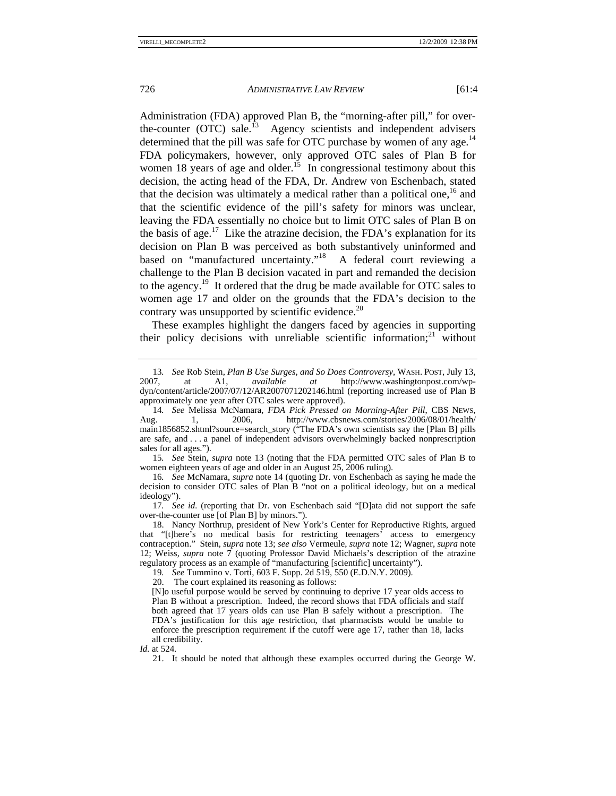Administration (FDA) approved Plan B, the "morning-after pill," for overthe-counter  $(OTC)$  sale.<sup>13</sup> Agency scientists and independent advisers determined that the pill was safe for OTC purchase by women of any age.<sup>14</sup> FDA policymakers, however, only approved OTC sales of Plan B for women 18 years of age and older.<sup>15</sup> In congressional testimony about this decision, the acting head of the FDA, Dr. Andrew von Eschenbach, stated that the decision was ultimately a medical rather than a political one,  $^{16}$  and that the scientific evidence of the pill's safety for minors was unclear, leaving the FDA essentially no choice but to limit OTC sales of Plan B on the basis of age.<sup>17</sup> Like the atrazine decision, the FDA's explanation for its decision on Plan B was perceived as both substantively uninformed and based on "manufactured uncertainty."<sup>18</sup> A federal court reviewing a challenge to the Plan B decision vacated in part and remanded the decision to the agency.19 It ordered that the drug be made available for OTC sales to women age 17 and older on the grounds that the FDA's decision to the contrary was unsupported by scientific evidence. $20$ 

These examples highlight the dangers faced by agencies in supporting their policy decisions with unreliable scientific information; $21$  without

15*. See* Stein, *supra* note 13 (noting that the FDA permitted OTC sales of Plan B to women eighteen years of age and older in an August 25, 2006 ruling).

16*. See* McNamara, *supra* note 14 (quoting Dr. von Eschenbach as saying he made the decision to consider OTC sales of Plan B "not on a political ideology, but on a medical ideology").

17*. See id.* (reporting that Dr. von Eschenbach said "[D]ata did not support the safe over-the-counter use [of Plan B] by minors.").

19*. See* Tummino v. Torti, 603 F. Supp. 2d 519, 550 (E.D.N.Y. 2009).

20. The court explained its reasoning as follows:

[N]o useful purpose would be served by continuing to deprive 17 year olds access to Plan B without a prescription. Indeed, the record shows that FDA officials and staff both agreed that 17 years olds can use Plan B safely without a prescription. The FDA's justification for this age restriction, that pharmacists would be unable to enforce the prescription requirement if the cutoff were age 17, rather than 18, lacks all credibility.

*Id.* at 524.

<sup>13</sup>*. See* Rob Stein, *Plan B Use Surges, and So Does Controversy*, WASH. POST, July 13, at A1, *available at* http://www.washingtonpost.com/wpdyn/content/article/2007/07/12/AR2007071202146.html (reporting increased use of Plan B approximately one year after OTC sales were approved).

<sup>14.</sup> See Melissa McNamara, *FDA Pick Pressed on Morning-After Pill*, CBS News, g. 1, 2006, http://www.cbsnews.com/stories/2006/08/01/health/ Aug. 1, 2006, http://www.cbsnews.com/stories/2006/08/01/health/ main1856852.shtml?source=search\_story ("The FDA's own scientists say the [Plan B] pills are safe, and . . . a panel of independent advisors overwhelmingly backed nonprescription sales for all ages.").

 <sup>18.</sup> Nancy Northrup, president of New York's Center for Reproductive Rights, argued that "[t]here's no medical basis for restricting teenagers' access to emergency contraception." Stein, *supra* note 13; *see also* Vermeule, *supra* note 12; Wagner, *supra* note 12; Weiss, *supra* note 7 (quoting Professor David Michaels's description of the atrazine regulatory process as an example of "manufacturing [scientific] uncertainty").

 <sup>21.</sup> It should be noted that although these examples occurred during the George W.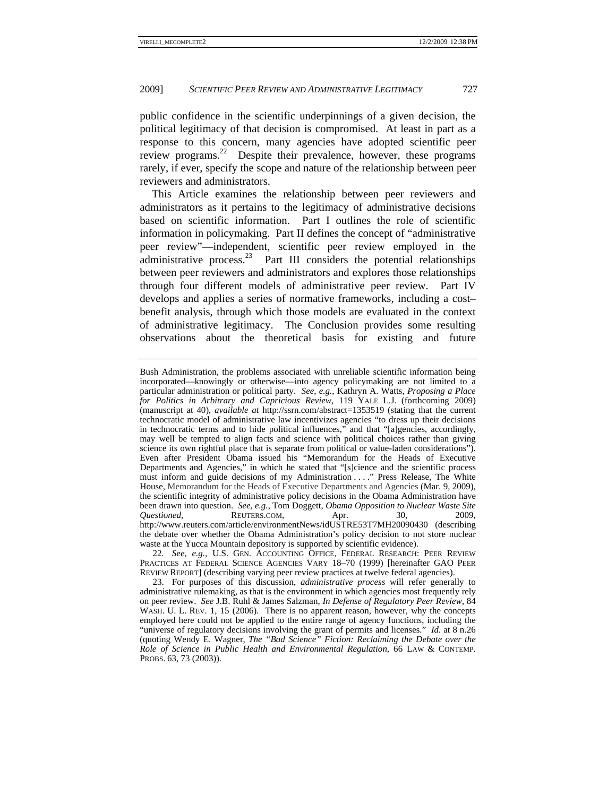public confidence in the scientific underpinnings of a given decision, the political legitimacy of that decision is compromised. At least in part as a response to this concern, many agencies have adopted scientific peer review programs.<sup>22</sup> Despite their prevalence, however, these programs rarely, if ever, specify the scope and nature of the relationship between peer reviewers and administrators.

This Article examines the relationship between peer reviewers and administrators as it pertains to the legitimacy of administrative decisions based on scientific information. Part I outlines the role of scientific information in policymaking. Part II defines the concept of "administrative peer review"—independent, scientific peer review employed in the administrative process.<sup>23</sup> Part III considers the potential relationships between peer reviewers and administrators and explores those relationships through four different models of administrative peer review. Part IV develops and applies a series of normative frameworks, including a cost– benefit analysis, through which those models are evaluated in the context of administrative legitimacy. The Conclusion provides some resulting observations about the theoretical basis for existing and future

22*. See, e.g.*, U.S. GEN. ACCOUNTING OFFICE, FEDERAL RESEARCH: PEER REVIEW PRACTICES AT FEDERAL SCIENCE AGENCIES VARY 18–70 (1999) [hereinafter GAO PEER REVIEW REPORT] (describing varying peer review practices at twelve federal agencies).

Bush Administration, the problems associated with unreliable scientific information being incorporated—knowingly or otherwise—into agency policymaking are not limited to a particular administration or political party. *See, e.g.*, Kathryn A. Watts, *Proposing a Place for Politics in Arbitrary and Capricious Review*, 119 YALE L.J. (forthcoming 2009) (manuscript at 40), *available at* http://ssrn.com/abstract=1353519 (stating that the current technocratic model of administrative law incentivizes agencies "to dress up their decisions in technocratic terms and to hide political influences," and that "[a]gencies, accordingly, may well be tempted to align facts and science with political choices rather than giving science its own rightful place that is separate from political or value-laden considerations"). Even after President Obama issued his "Memorandum for the Heads of Executive Departments and Agencies," in which he stated that "[s]cience and the scientific process must inform and guide decisions of my Administration . . . ." Press Release, The White House, Memorandum for the Heads of Executive Departments and Agencies (Mar. 9, 2009), the scientific integrity of administrative policy decisions in the Obama Administration have been drawn into question. *See, e.g.*, Tom Doggett, *Obama Opposition to Nuclear Waste Site Questioned*, **REUTERS.COM,** Apr. 30, 2009, http://www.reuters.com/article/environmentNews/idUSTRE53T7MH20090430 (describing the debate over whether the Obama Administration's policy decision to not store nuclear waste at the Yucca Mountain depository is supported by scientific evidence).

 <sup>23.</sup> For purposes of this discussion, *administrative process* will refer generally to administrative rulemaking, as that is the environment in which agencies most frequently rely on peer review. *See* J.B. Ruhl & James Salzman, *In Defense of Regulatory Peer Review*, 84 WASH. U. L. REV. 1, 15 (2006). There is no apparent reason, however, why the concepts employed here could not be applied to the entire range of agency functions, including the "universe of regulatory decisions involving the grant of permits and licenses." *Id.* at 8 n.26 (quoting Wendy E. Wagner, *The "Bad Science" Fiction: Reclaiming the Debate over the Role of Science in Public Health and Environmental Regulation*, 66 LAW & CONTEMP. PROBS. 63, 73 (2003)).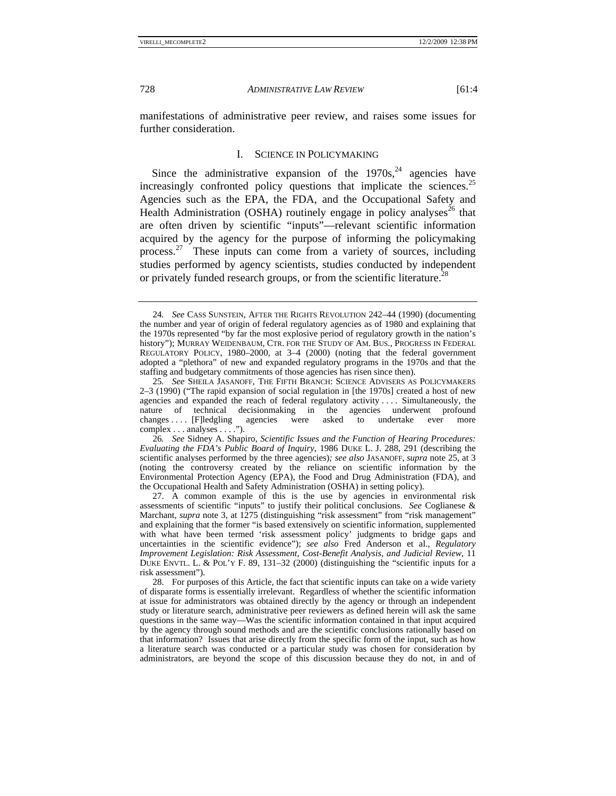manifestations of administrative peer review, and raises some issues for further consideration.

#### I. SCIENCE IN POLICYMAKING

Since the administrative expansion of the  $1970s<sup>24</sup>$  agencies have increasingly confronted policy questions that implicate the sciences.<sup>25</sup> Agencies such as the EPA, the FDA, and the Occupational Safety and Health Administration (OSHA) routinely engage in policy analyses<sup>26</sup> that are often driven by scientific "inputs"—relevant scientific information acquired by the agency for the purpose of informing the policymaking process.<sup>27</sup> These inputs can come from a variety of sources, including studies performed by agency scientists, studies conducted by independent or privately funded research groups, or from the scientific literature.<sup>28</sup>

<sup>24</sup>*. See* CASS SUNSTEIN, AFTER THE RIGHTS REVOLUTION 242–44 (1990) (documenting the number and year of origin of federal regulatory agencies as of 1980 and explaining that the 1970s represented "by far the most explosive period of regulatory growth in the nation's history"); MURRAY WEIDENBAUM, CTR. FOR THE STUDY OF AM. BUS., PROGRESS IN FEDERAL REGULATORY POLICY, 1980–2000, at 3–4 (2000) (noting that the federal government adopted a "plethora" of new and expanded regulatory programs in the 1970s and that the staffing and budgetary commitments of those agencies has risen since then).

<sup>25</sup>*. See* SHEILA JASANOFF, THE FIFTH BRANCH: SCIENCE ADVISERS AS POLICYMAKERS 2–3 (1990) ("The rapid expansion of social regulation in [the 1970s] created a host of new agencies and expanded the reach of federal regulatory activity . . . . Simultaneously, the nature of technical decisionmaking in the agencies underwent profound changes ... [F]ledgling agencies were asked to undertake ever more changes . . . . [F]ledgling agencies were asked to undertake ever more complex . . . analyses . . . .").

<sup>26</sup>*. See* Sidney A. Shapiro, *Scientific Issues and the Function of Hearing Procedures: Evaluating the FDA's Public Board of Inquiry*, 1986 DUKE L. J. 288, 291 (describing the scientific analyses performed by the three agencies)*; see also* JASANOFF, *supra* note 25, at 3 (noting the controversy created by the reliance on scientific information by the Environmental Protection Agency (EPA), the Food and Drug Administration (FDA), and the Occupational Health and Safety Administration (OSHA) in setting policy).

 <sup>27.</sup> A common example of this is the use by agencies in environmental risk assessments of scientific "inputs" to justify their political conclusions. *See* Coglianese & Marchant, *supra* note 3, at 1275 (distinguishing "risk assessment" from "risk management" and explaining that the former "is based extensively on scientific information, supplemented with what have been termed 'risk assessment policy' judgments to bridge gaps and uncertainties in the scientific evidence"); *see also* Fred Anderson et al., *Regulatory Improvement Legislation: Risk Assessment, Cost-Benefit Analysis, and Judicial Review*, 11 DUKE ENVTL. L. & POL'Y F. 89, 131–32 (2000) (distinguishing the "scientific inputs for a risk assessment").

 <sup>28.</sup> For purposes of this Article, the fact that scientific inputs can take on a wide variety of disparate forms is essentially irrelevant. Regardless of whether the scientific information at issue for administrators was obtained directly by the agency or through an independent study or literature search, administrative peer reviewers as defined herein will ask the same questions in the same way—Was the scientific information contained in that input acquired by the agency through sound methods and are the scientific conclusions rationally based on that information? Issues that arise directly from the specific form of the input, such as how a literature search was conducted or a particular study was chosen for consideration by administrators, are beyond the scope of this discussion because they do not, in and of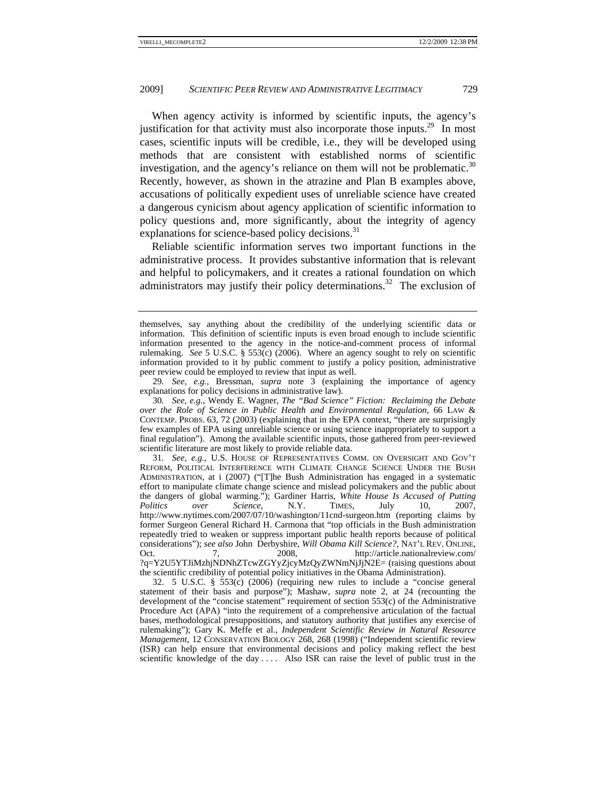When agency activity is informed by scientific inputs, the agency's justification for that activity must also incorporate those inputs.<sup>29</sup> In most cases, scientific inputs will be credible, i.e., they will be developed using methods that are consistent with established norms of scientific investigation, and the agency's reliance on them will not be problematic.<sup>30</sup> Recently, however, as shown in the atrazine and Plan B examples above, accusations of politically expedient uses of unreliable science have created a dangerous cynicism about agency application of scientific information to policy questions and, more significantly, about the integrity of agency explanations for science-based policy decisions.<sup>31</sup>

Reliable scientific information serves two important functions in the administrative process. It provides substantive information that is relevant and helpful to policymakers, and it creates a rational foundation on which administrators may justify their policy determinations.<sup>32</sup> The exclusion of

29*. See, e.g.*, Bressman, *supra* note 3 (explaining the importance of agency explanations for policy decisions in administrative law).

30*. See, e.g.*, Wendy E. Wagner, *The "Bad Science" Fiction: Reclaiming the Debate over the Role of Science in Public Health and Environmental Regulation*, 66 LAW & CONTEMP. PROBS. 63, 72 (2003) (explaining that in the EPA context, "there are surprisingly few examples of EPA using unreliable science or using science inappropriately to support a final regulation"). Among the available scientific inputs, those gathered from peer-reviewed scientific literature are most likely to provide reliable data.

31*. See, e.g.*, U.S. HOUSE OF REPRESENTATIVES COMM. ON OVERSIGHT AND GOV'T REFORM, POLITICAL INTERFERENCE WITH CLIMATE CHANGE SCIENCE UNDER THE BUSH ADMINISTRATION, at i (2007) ("[T]he Bush Administration has engaged in a systematic effort to manipulate climate change science and mislead policymakers and the public about the dangers of global warming."); Gardiner Harris, *White House Is Accused of Putting Politics over Science*, N.Y. TIMES, July 10, 2007, http://www.nytimes.com/2007/07/10/washington/11cnd-surgeon.htm (reporting claims by former Surgeon General Richard H. Carmona that "top officials in the Bush administration repeatedly tried to weaken or suppress important public health reports because of political considerations"); *see also* John Derbyshire, *Will Obama Kill Science?*, NAT'L REV. ONLINE, Oct. 7, 2008, http://article.nationalreview.com/ ?q=Y2U5YTJiMzhjNDNhZTcwZGYyZjcyMzQyZWNmNjJjN2E= (raising questions about the scientific credibility of potential policy initiatives in the Obama Administration).

 32. 5 U.S.C. § 553(c) (2006) (requiring new rules to include a "concise general statement of their basis and purpose"); Mashaw, *supra* note 2, at 24 (recounting the development of the "concise statement" requirement of section 553(c) of the Administrative Procedure Act (APA) "into the requirement of a comprehensive articulation of the factual bases, methodological presuppositions, and statutory authority that justifies any exercise of rulemaking"); Gary K. Meffe et al., *Independent Scientific Review in Natural Resource Management*, 12 CONSERVATION BIOLOGY 268, 268 (1998) ("Independent scientific review (ISR) can help ensure that environmental decisions and policy making reflect the best scientific knowledge of the day . . . . Also ISR can raise the level of public trust in the

themselves, say anything about the credibility of the underlying scientific data or information. This definition of scientific inputs is even broad enough to include scientific information presented to the agency in the notice-and-comment process of informal rulemaking. *See* 5 U.S.C. § 553(c) (2006). Where an agency sought to rely on scientific information provided to it by public comment to justify a policy position, administrative peer review could be employed to review that input as well.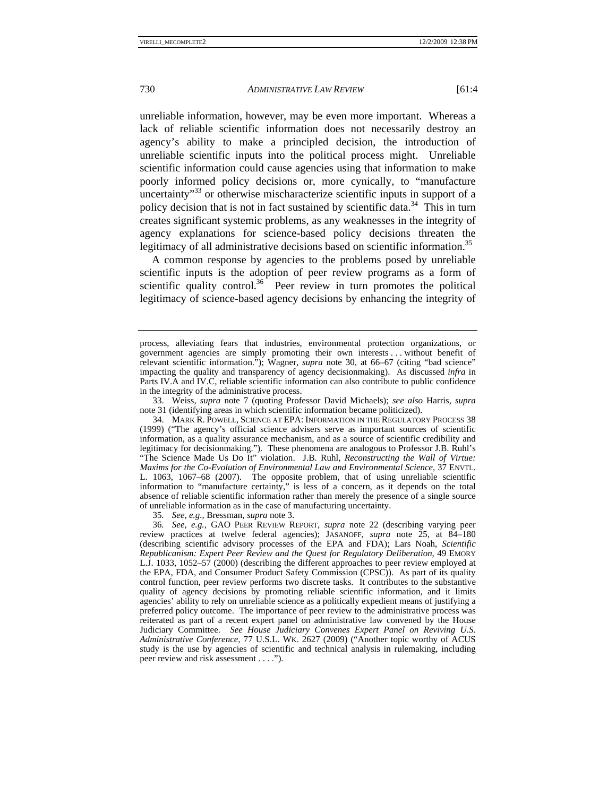unreliable information, however, may be even more important. Whereas a lack of reliable scientific information does not necessarily destroy an agency's ability to make a principled decision, the introduction of unreliable scientific inputs into the political process might. Unreliable scientific information could cause agencies using that information to make poorly informed policy decisions or, more cynically, to "manufacture uncertainty<sup>33</sup> or otherwise mischaracterize scientific inputs in support of a policy decision that is not in fact sustained by scientific data.<sup>34</sup> This in turn creates significant systemic problems, as any weaknesses in the integrity of agency explanations for science-based policy decisions threaten the legitimacy of all administrative decisions based on scientific information.<sup>35</sup>

A common response by agencies to the problems posed by unreliable scientific inputs is the adoption of peer review programs as a form of scientific quality control.<sup>36</sup> Peer review in turn promotes the political legitimacy of science-based agency decisions by enhancing the integrity of

35*. See, e.g.*, Bressman, *supra* note 3.

process, alleviating fears that industries, environmental protection organizations, or government agencies are simply promoting their own interests . . . without benefit of relevant scientific information."); Wagner, *supra* note 30, at 66–67 (citing "bad science" impacting the quality and transparency of agency decisionmaking). As discussed *infra* in Parts IV.A and IV.C, reliable scientific information can also contribute to public confidence in the integrity of the administrative process.

 <sup>33.</sup> Weiss, *supra* note 7 (quoting Professor David Michaels); *see also* Harris, *supra* note 31 (identifying areas in which scientific information became politicized).

 <sup>34.</sup> MARK R. POWELL, SCIENCE AT EPA: INFORMATION IN THE REGULATORY PROCESS 38 (1999) ("The agency's official science advisers serve as important sources of scientific information, as a quality assurance mechanism, and as a source of scientific credibility and legitimacy for decisionmaking."). These phenomena are analogous to Professor J.B. Ruhl's "The Science Made Us Do It" violation. J.B. Ruhl, *Reconstructing the Wall of Virtue: Maxims for the Co-Evolution of Environmental Law and Environmental Science*, 37 ENVTL. L. 1063, 1067–68 (2007). The opposite problem, that of using unreliable scientific information to "manufacture certainty," is less of a concern, as it depends on the total absence of reliable scientific information rather than merely the presence of a single source of unreliable information as in the case of manufacturing uncertainty.

<sup>36</sup>*. See, e.g.*, GAO PEER REVIEW REPORT, *supra* note 22 (describing varying peer review practices at twelve federal agencies); JASANOFF, *supra* note 25, at 84–180 (describing scientific advisory processes of the EPA and FDA); Lars Noah, *Scientific Republicanism: Expert Peer Review and the Quest for Regulatory Deliberation*, 49 EMORY L.J. 1033, 1052–57 (2000) (describing the different approaches to peer review employed at the EPA, FDA, and Consumer Product Safety Commission (CPSC)). As part of its quality control function, peer review performs two discrete tasks. It contributes to the substantive quality of agency decisions by promoting reliable scientific information, and it limits agencies' ability to rely on unreliable science as a politically expedient means of justifying a preferred policy outcome. The importance of peer review to the administrative process was reiterated as part of a recent expert panel on administrative law convened by the House Judiciary Committee. *See House Judiciary Convenes Expert Panel on Reviving U.S. Administrative Conference*, 77 U.S.L. WK. 2627 (2009) ("Another topic worthy of ACUS study is the use by agencies of scientific and technical analysis in rulemaking, including peer review and risk assessment . . . .").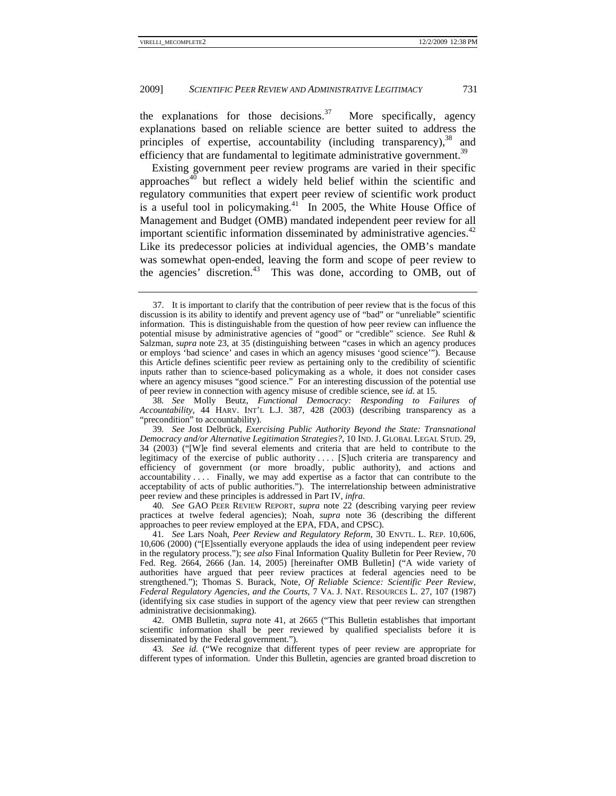the explanations for those decisions.<sup>37</sup> More specifically, agency explanations based on reliable science are better suited to address the principles of expertise, accountability (including transparency),  $38$  and efficiency that are fundamental to legitimate administrative government.<sup>39</sup>

Existing government peer review programs are varied in their specific  $\arctan 640$  but reflect a widely held belief within the scientific and regulatory communities that expert peer review of scientific work product is a useful tool in policymaking.<sup>41</sup> In 2005, the White House Office of Management and Budget (OMB) mandated independent peer review for all important scientific information disseminated by administrative agencies.<sup>42</sup> Like its predecessor policies at individual agencies, the OMB's mandate was somewhat open-ended, leaving the form and scope of peer review to the agencies' discretion.<sup>43</sup> This was done, according to OMB, out of

38*. See* Molly Beutz, *Functional Democracy: Responding to Failures of Accountability*, 44 HARV. INT'L L.J. 387, 428 (2003) (describing transparency as a "precondition" to accountability).

40*. See* GAO PEER REVIEW REPORT, *supra* note 22 (describing varying peer review practices at twelve federal agencies); Noah, *supra* note 36 (describing the different approaches to peer review employed at the EPA, FDA, and CPSC).

41*. See* Lars Noah, *Peer Review and Regulatory Reform*, 30 ENVTL. L. REP. 10,606, 10,606 (2000) ("[E]ssentially everyone applauds the idea of using independent peer review in the regulatory process."); *see also* Final Information Quality Bulletin for Peer Review, 70 Fed. Reg. 2664, 2666 (Jan. 14, 2005) [hereinafter OMB Bulletin] ("A wide variety of authorities have argued that peer review practices at federal agencies need to be strengthened."); Thomas S. Burack, Note, *Of Reliable Science: Scientific Peer Review, Federal Regulatory Agencies, and the Courts*, 7 VA. J. NAT. RESOURCES L. 27, 107 (1987) (identifying six case studies in support of the agency view that peer review can strengthen administrative decisionmaking).

 42. OMB Bulletin, *supra* note 41, at 2665 ("This Bulletin establishes that important scientific information shall be peer reviewed by qualified specialists before it is disseminated by the Federal government.").

43*. See id.* ("We recognize that different types of peer review are appropriate for different types of information. Under this Bulletin, agencies are granted broad discretion to

 <sup>37.</sup> It is important to clarify that the contribution of peer review that is the focus of this discussion is its ability to identify and prevent agency use of "bad" or "unreliable" scientific information. This is distinguishable from the question of how peer review can influence the potential misuse by administrative agencies of "good" or "credible" science. *See* Ruhl & Salzman, *supra* note 23, at 35 (distinguishing between "cases in which an agency produces or employs 'bad science' and cases in which an agency misuses 'good science'"). Because this Article defines scientific peer review as pertaining only to the credibility of scientific inputs rather than to science-based policymaking as a whole, it does not consider cases where an agency misuses "good science." For an interesting discussion of the potential use of peer review in connection with agency misuse of credible science, see *id.* at 15.

<sup>39</sup>*. See* Jost Delbrück, *Exercising Public Authority Beyond the State: Transnational Democracy and/or Alternative Legitimation Strategies?*, 10 IND. J. GLOBAL LEGAL STUD. 29, 34 (2003) ("[W]e find several elements and criteria that are held to contribute to the legitimacy of the exercise of public authority . . . . [S]uch criteria are transparency and efficiency of government (or more broadly, public authority), and actions and accountability . . . . Finally, we may add expertise as a factor that can contribute to the acceptability of acts of public authorities."). The interrelationship between administrative peer review and these principles is addressed in Part IV, *infra*.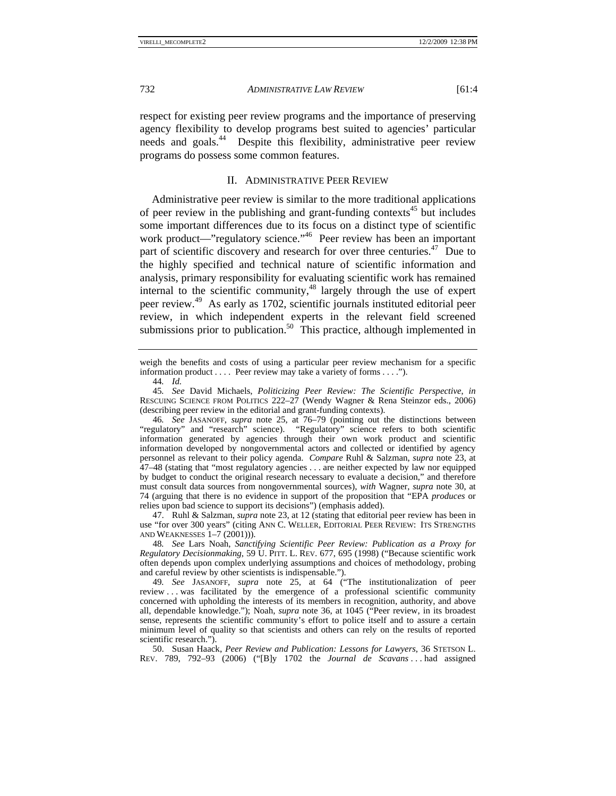respect for existing peer review programs and the importance of preserving agency flexibility to develop programs best suited to agencies' particular needs and goals.44 Despite this flexibility, administrative peer review programs do possess some common features.

#### II. ADMINISTRATIVE PEER REVIEW

Administrative peer review is similar to the more traditional applications of peer review in the publishing and grant-funding contexts<sup>45</sup> but includes some important differences due to its focus on a distinct type of scientific work product—"regulatory science."<sup>46</sup> Peer review has been an important part of scientific discovery and research for over three centuries.<sup>47</sup> Due to the highly specified and technical nature of scientific information and analysis, primary responsibility for evaluating scientific work has remained internal to the scientific community,<sup>48</sup> largely through the use of expert peer review.49 As early as 1702, scientific journals instituted editorial peer review, in which independent experts in the relevant field screened submissions prior to publication.<sup>50</sup> This practice, although implemented in

weigh the benefits and costs of using a particular peer review mechanism for a specific information product . . . . Peer review may take a variety of forms . . . .").

44*. Id.*

45*. See* David Michaels, *Politicizing Peer Review: The Scientific Perspective*, *in* RESCUING SCIENCE FROM POLITICS 222–27 (Wendy Wagner & Rena Steinzor eds., 2006) (describing peer review in the editorial and grant-funding contexts).

46*. See* JASANOFF, *supra* note 25, at 76–79 (pointing out the distinctions between "regulatory" and "research" science). "Regulatory" science refers to both scientific information generated by agencies through their own work product and scientific information developed by nongovernmental actors and collected or identified by agency personnel as relevant to their policy agenda. *Compare* Ruhl & Salzman, *supra* note 23, at 47–48 (stating that "most regulatory agencies . . . are neither expected by law nor equipped by budget to conduct the original research necessary to evaluate a decision," and therefore must consult data sources from nongovernmental sources), *with* Wagner, *supra* note 30, at 74 (arguing that there is no evidence in support of the proposition that "EPA *produces* or relies upon bad science to support its decisions") (emphasis added).

 47. Ruhl & Salzman, *supra* note 23, at 12 (stating that editorial peer review has been in use "for over 300 years" (citing ANN C. WELLER, EDITORIAL PEER REVIEW: ITS STRENGTHS AND WEAKNESSES 1–7 (2001))).

48*. See* Lars Noah, *Sanctifying Scientific Peer Review: Publication as a Proxy for Regulatory Decisionmaking*, 59 U. PITT. L. REV. 677, 695 (1998) ("Because scientific work often depends upon complex underlying assumptions and choices of methodology, probing and careful review by other scientists is indispensable.").

49*. See* JASANOFF, *supra* note 25, at 64 ("The institutionalization of peer review  $\dots$  was facilitated by the emergence of a professional scientific community concerned with upholding the interests of its members in recognition, authority, and above all, dependable knowledge."); Noah, *supra* note 36, at 1045 ("Peer review, in its broadest sense, represents the scientific community's effort to police itself and to assure a certain minimum level of quality so that scientists and others can rely on the results of reported scientific research.").

 50. Susan Haack, *Peer Review and Publication: Lessons for Lawyers*, 36 STETSON L. REV. 789, 792–93 (2006) ("[B]y 1702 the *Journal de Scavans* . . . had assigned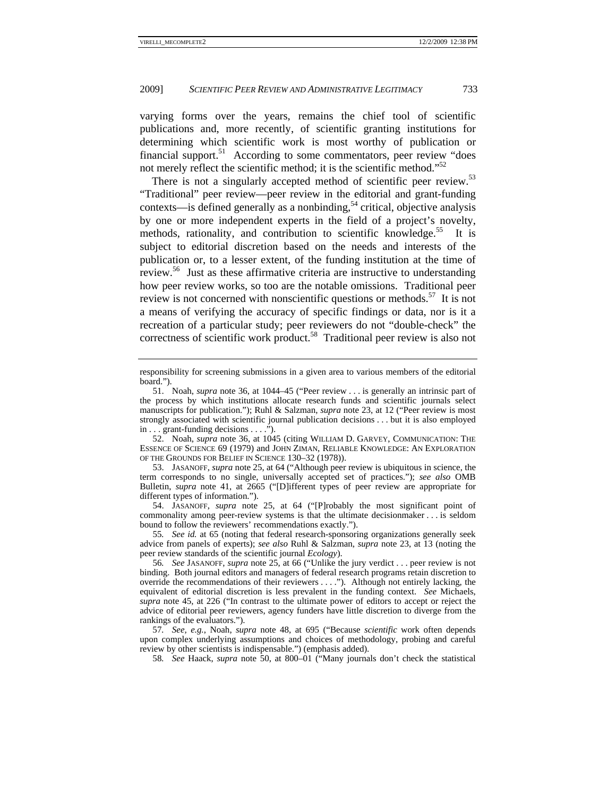varying forms over the years, remains the chief tool of scientific publications and, more recently, of scientific granting institutions for determining which scientific work is most worthy of publication or financial support.<sup>51</sup> According to some commentators, peer review "does" not merely reflect the scientific method; it is the scientific method."<sup>52</sup>

There is not a singularly accepted method of scientific peer review.<sup>53</sup> "Traditional" peer review—peer review in the editorial and grant-funding contexts—is defined generally as a nonbinding,<sup>54</sup> critical, objective analysis by one or more independent experts in the field of a project's novelty, methods, rationality, and contribution to scientific knowledge.<sup>55</sup> It is subject to editorial discretion based on the needs and interests of the publication or, to a lesser extent, of the funding institution at the time of review.56 Just as these affirmative criteria are instructive to understanding how peer review works, so too are the notable omissions. Traditional peer review is not concerned with nonscientific questions or methods.<sup>57</sup> It is not a means of verifying the accuracy of specific findings or data, nor is it a recreation of a particular study; peer reviewers do not "double-check" the correctness of scientific work product.<sup>58</sup> Traditional peer review is also not

 52. Noah, *supra* note 36, at 1045 (citing WILLIAM D. GARVEY, COMMUNICATION: THE ESSENCE OF SCIENCE 69 (1979) and JOHN ZIMAN, RELIABLE KNOWLEDGE: AN EXPLORATION OF THE GROUNDS FOR BELIEF IN SCIENCE 130–32 (1978)).

 53. JASANOFF, *supra* note 25, at 64 ("Although peer review is ubiquitous in science, the term corresponds to no single, universally accepted set of practices."); *see also* OMB Bulletin, *supra* note 41, at 2665 ("[D]ifferent types of peer review are appropriate for different types of information.").

 54. JASANOFF, *supra* note 25, at 64 ("[P]robably the most significant point of commonality among peer-review systems is that the ultimate decisionmaker . . . is seldom bound to follow the reviewers' recommendations exactly.").

55*. See id.* at 65 (noting that federal research-sponsoring organizations generally seek advice from panels of experts); *see also* Ruhl & Salzman, *supra* note 23, at 13 (noting the peer review standards of the scientific journal *Ecology*).

56*. See* JASANOFF, *supra* note 25, at 66 ("Unlike the jury verdict . . . peer review is not binding. Both journal editors and managers of federal research programs retain discretion to override the recommendations of their reviewers . . . ."). Although not entirely lacking, the equivalent of editorial discretion is less prevalent in the funding context. *See* Michaels, *supra* note 45, at 226 ("In contrast to the ultimate power of editors to accept or reject the advice of editorial peer reviewers, agency funders have little discretion to diverge from the rankings of the evaluators.").

57*. See, e.g.*, Noah, *supra* note 48, at 695 ("Because *scientific* work often depends upon complex underlying assumptions and choices of methodology, probing and careful review by other scientists is indispensable.") (emphasis added).

58*. See* Haack, *supra* note 50, at 800–01 ("Many journals don't check the statistical

responsibility for screening submissions in a given area to various members of the editorial board.").

 <sup>51.</sup> Noah, *supra* note 36, at 1044–45 ("Peer review . . . is generally an intrinsic part of the process by which institutions allocate research funds and scientific journals select manuscripts for publication."); Ruhl & Salzman, *supra* note 23, at 12 ("Peer review is most strongly associated with scientific journal publication decisions . . . but it is also employed in . . . grant-funding decisions . . . .").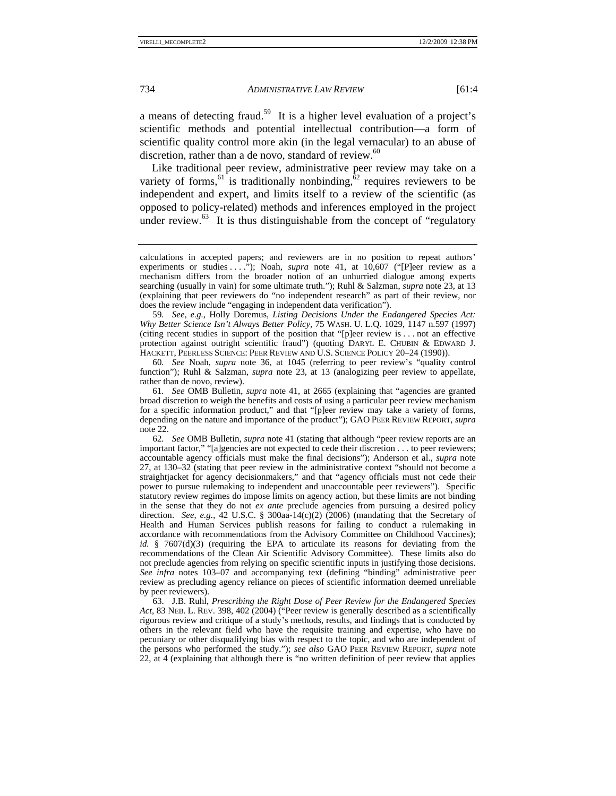a means of detecting fraud.59 It is a higher level evaluation of a project's scientific methods and potential intellectual contribution—a form of scientific quality control more akin (in the legal vernacular) to an abuse of discretion, rather than a de novo, standard of review. $60$ 

Like traditional peer review, administrative peer review may take on a variety of forms,<sup>61</sup> is traditionally nonbinding, $\frac{\delta^2}{\delta^2}$  requires reviewers to be independent and expert, and limits itself to a review of the scientific (as opposed to policy-related) methods and inferences employed in the project under review. $<sup>63</sup>$  It is thus distinguishable from the concept of "regulatory"</sup>

59*. See, e.g.*, Holly Doremus, *Listing Decisions Under the Endangered Species Act: Why Better Science Isn't Always Better Policy*, 75 WASH. U. L.Q. 1029, 1147 n.597 (1997) (citing recent studies in support of the position that "[p]eer review is . . . not an effective protection against outright scientific fraud") (quoting DARYL E. CHUBIN & EDWARD J. HACKETT, PEERLESS SCIENCE: PEER REVIEW AND U.S. SCIENCE POLICY 20–24 (1990)).

60*. See* Noah, *supra* note 36, at 1045 (referring to peer review's "quality control function"); Ruhl & Salzman, *supra* note 23, at 13 (analogizing peer review to appellate, rather than de novo, review).

61*. See* OMB Bulletin, *supra* note 41, at 2665 (explaining that "agencies are granted broad discretion to weigh the benefits and costs of using a particular peer review mechanism for a specific information product," and that "[p]eer review may take a variety of forms, depending on the nature and importance of the product"); GAO PEER REVIEW REPORT, *supra* note 22.

62*. See* OMB Bulletin, *supra* note 41 (stating that although "peer review reports are an important factor," "[a]gencies are not expected to cede their discretion . . . to peer reviewers; accountable agency officials must make the final decisions"); Anderson et al., *supra* note 27, at 130–32 (stating that peer review in the administrative context "should not become a straightjacket for agency decisionmakers," and that "agency officials must not cede their power to pursue rulemaking to independent and unaccountable peer reviewers"). Specific statutory review regimes do impose limits on agency action, but these limits are not binding in the sense that they do not *ex ante* preclude agencies from pursuing a desired policy direction. *See, e.g.*, 42 U.S.C. § 300aa-14 $(c)(2)$  (2006) (mandating that the Secretary of Health and Human Services publish reasons for failing to conduct a rulemaking in accordance with recommendations from the Advisory Committee on Childhood Vaccines); *id.*  $§$  7607(d)(3) (requiring the EPA to articulate its reasons for deviating from the recommendations of the Clean Air Scientific Advisory Committee). These limits also do not preclude agencies from relying on specific scientific inputs in justifying those decisions. *See infra* notes 103–07 and accompanying text (defining "binding" administrative peer review as precluding agency reliance on pieces of scientific information deemed unreliable by peer reviewers).

 63. J.B. Ruhl, *Prescribing the Right Dose of Peer Review for the Endangered Species Act*, 83 NEB. L. REV. 398, 402 (2004) ("Peer review is generally described as a scientifically rigorous review and critique of a study's methods, results, and findings that is conducted by others in the relevant field who have the requisite training and expertise, who have no pecuniary or other disqualifying bias with respect to the topic, and who are independent of the persons who performed the study."); *see also* GAO PEER REVIEW REPORT, *supra* note 22, at 4 (explaining that although there is "no written definition of peer review that applies

calculations in accepted papers; and reviewers are in no position to repeat authors' experiments or studies  $\ldots$  ."); Noah, *supra* note 41, at 10,607 ("[P]eer review as a mechanism differs from the broader notion of an unhurried dialogue among experts searching (usually in vain) for some ultimate truth."); Ruhl & Salzman, *supra* note 23, at 13 (explaining that peer reviewers do "no independent research" as part of their review, nor does the review include "engaging in independent data verification").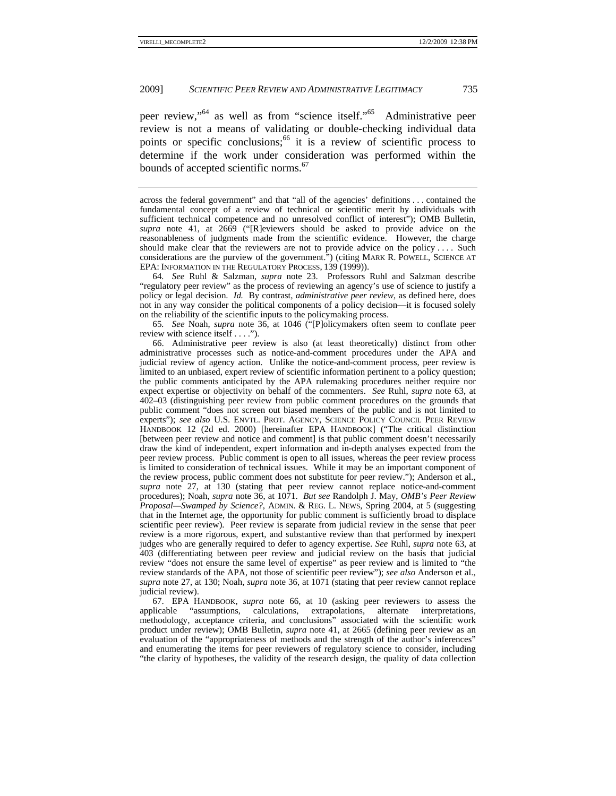peer review,"64 as well as from "science itself."65 Administrative peer review is not a means of validating or double-checking individual data points or specific conclusions;<sup>66</sup> it is a review of scientific process to determine if the work under consideration was performed within the bounds of accepted scientific norms.<sup>67</sup>

64*. See* Ruhl & Salzman, *supra* note 23. Professors Ruhl and Salzman describe "regulatory peer review" as the process of reviewing an agency's use of science to justify a policy or legal decision. *Id.* By contrast, *administrative peer review*, as defined here, does not in any way consider the political components of a policy decision—it is focused solely on the reliability of the scientific inputs to the policymaking process.

65*. See* Noah, *supra* note 36, at 1046 ("[P]olicymakers often seem to conflate peer review with science itself . . . .").

 66. Administrative peer review is also (at least theoretically) distinct from other administrative processes such as notice-and-comment procedures under the APA and judicial review of agency action. Unlike the notice-and-comment process, peer review is limited to an unbiased, expert review of scientific information pertinent to a policy question; the public comments anticipated by the APA rulemaking procedures neither require nor expect expertise or objectivity on behalf of the commenters. *See* Ruhl, *supra* note 63, at 402–03 (distinguishing peer review from public comment procedures on the grounds that public comment "does not screen out biased members of the public and is not limited to experts"); *see also* U.S. ENVTL. PROT. AGENCY, SCIENCE POLICY COUNCIL PEER REVIEW HANDBOOK 12 (2d ed. 2000) [hereinafter EPA HANDBOOK] ("The critical distinction [between peer review and notice and comment] is that public comment doesn't necessarily draw the kind of independent, expert information and in-depth analyses expected from the peer review process. Public comment is open to all issues, whereas the peer review process is limited to consideration of technical issues. While it may be an important component of the review process, public comment does not substitute for peer review."); Anderson et al., *supra* note 27, at 130 (stating that peer review cannot replace notice-and-comment procedures); Noah, *supra* note 36, at 1071. *But see* Randolph J. May, *OMB's Peer Review Proposal—Swamped by Science?*, ADMIN. & REG. L. NEWS, Spring 2004, at 5 (suggesting that in the Internet age, the opportunity for public comment is sufficiently broad to displace scientific peer review). Peer review is separate from judicial review in the sense that peer review is a more rigorous, expert, and substantive review than that performed by inexpert judges who are generally required to defer to agency expertise. *See* Ruhl, *supra* note 63, at 403 (differentiating between peer review and judicial review on the basis that judicial review "does not ensure the same level of expertise" as peer review and is limited to "the review standards of the APA, not those of scientific peer review"); *see also* Anderson et al., *supra* note 27, at 130; Noah, *supra* note 36, at 1071 (stating that peer review cannot replace judicial review).

 67. EPA HANDBOOK, *supra* note 66, at 10 (asking peer reviewers to assess the applicable "assumptions, calculations, extrapolations, alternate interpretations, methodology, acceptance criteria, and conclusions" associated with the scientific work product under review); OMB Bulletin, *supra* note 41, at 2665 (defining peer review as an evaluation of the "appropriateness of methods and the strength of the author's inferences" and enumerating the items for peer reviewers of regulatory science to consider, including "the clarity of hypotheses, the validity of the research design, the quality of data collection

across the federal government" and that "all of the agencies' definitions . . . contained the fundamental concept of a review of technical or scientific merit by individuals with sufficient technical competence and no unresolved conflict of interest"); OMB Bulletin, *supra* note 41, at 2669 ("[R]eviewers should be asked to provide advice on the reasonableness of judgments made from the scientific evidence. However, the charge should make clear that the reviewers are not to provide advice on the policy . . . . Such considerations are the purview of the government.") (citing MARK R. POWELL, SCIENCE AT EPA: INFORMATION IN THE REGULATORY PROCESS, 139 (1999)).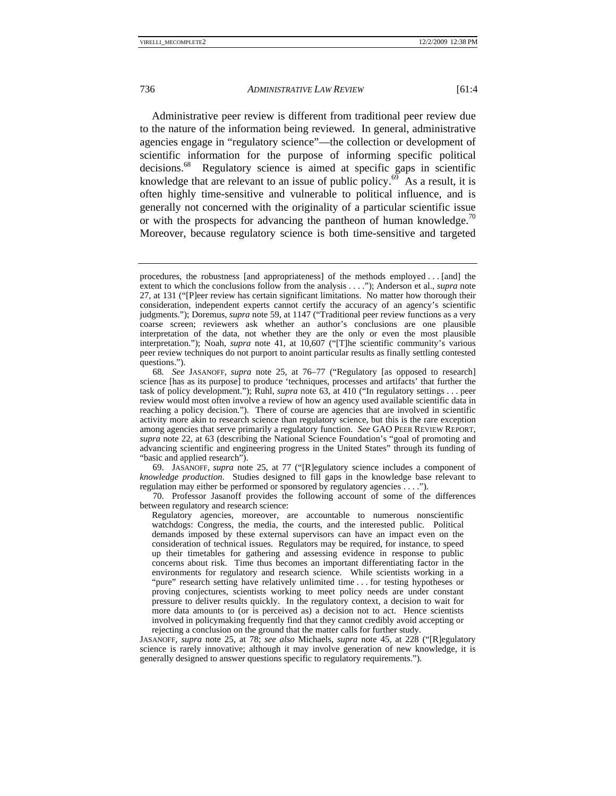Administrative peer review is different from traditional peer review due to the nature of the information being reviewed. In general, administrative agencies engage in "regulatory science"—the collection or development of scientific information for the purpose of informing specific political decisions.<sup>68</sup> Regulatory science is aimed at specific gaps in scientific knowledge that are relevant to an issue of public policy.<sup>69</sup> As a result, it is often highly time-sensitive and vulnerable to political influence, and is generally not concerned with the originality of a particular scientific issue or with the prospects for advancing the pantheon of human knowledge.<sup>70</sup> Moreover, because regulatory science is both time-sensitive and targeted

 69. JASANOFF, *supra* note 25, at 77 ("[R]egulatory science includes a component of *knowledge production*. Studies designed to fill gaps in the knowledge base relevant to regulation may either be performed or sponsored by regulatory agencies . . . .").

 70. Professor Jasanoff provides the following account of some of the differences between regulatory and research science:

Regulatory agencies, moreover, are accountable to numerous nonscientific watchdogs: Congress, the media, the courts, and the interested public. Political demands imposed by these external supervisors can have an impact even on the consideration of technical issues. Regulators may be required, for instance, to speed up their timetables for gathering and assessing evidence in response to public concerns about risk. Time thus becomes an important differentiating factor in the environments for regulatory and research science. While scientists working in a "pure" research setting have relatively unlimited time . . . for testing hypotheses or proving conjectures, scientists working to meet policy needs are under constant pressure to deliver results quickly. In the regulatory context, a decision to wait for more data amounts to (or is perceived as) a decision not to act. Hence scientists involved in policymaking frequently find that they cannot credibly avoid accepting or rejecting a conclusion on the ground that the matter calls for further study.

JASANOFF, *supra* note 25, at 78; *see also* Michaels, *supra* note 45, at 228 ("[R]egulatory science is rarely innovative; although it may involve generation of new knowledge, it is generally designed to answer questions specific to regulatory requirements.").

procedures, the robustness [and appropriateness] of the methods employed . . . [and] the extent to which the conclusions follow from the analysis . . . ."); Anderson et al., *supra* note 27, at 131 ("[P]eer review has certain significant limitations. No matter how thorough their consideration, independent experts cannot certify the accuracy of an agency's scientific judgments."); Doremus, *supra* note 59, at 1147 ("Traditional peer review functions as a very coarse screen; reviewers ask whether an author's conclusions are one plausible interpretation of the data, not whether they are the only or even the most plausible interpretation."); Noah, *supra* note 41, at 10,607 ("[T]he scientific community's various peer review techniques do not purport to anoint particular results as finally settling contested questions.").

<sup>68</sup>*. See* JASANOFF, *supra* note 25, at 76–77 ("Regulatory [as opposed to research] science [has as its purpose] to produce 'techniques, processes and artifacts' that further the task of policy development."); Ruhl, *supra* note 63, at 410 ("In regulatory settings . . . peer review would most often involve a review of how an agency used available scientific data in reaching a policy decision."). There of course are agencies that are involved in scientific activity more akin to research science than regulatory science, but this is the rare exception among agencies that serve primarily a regulatory function. *See* GAO PEER REVIEW REPORT, *supra* note 22, at 63 (describing the National Science Foundation's "goal of promoting and advancing scientific and engineering progress in the United States" through its funding of "basic and applied research").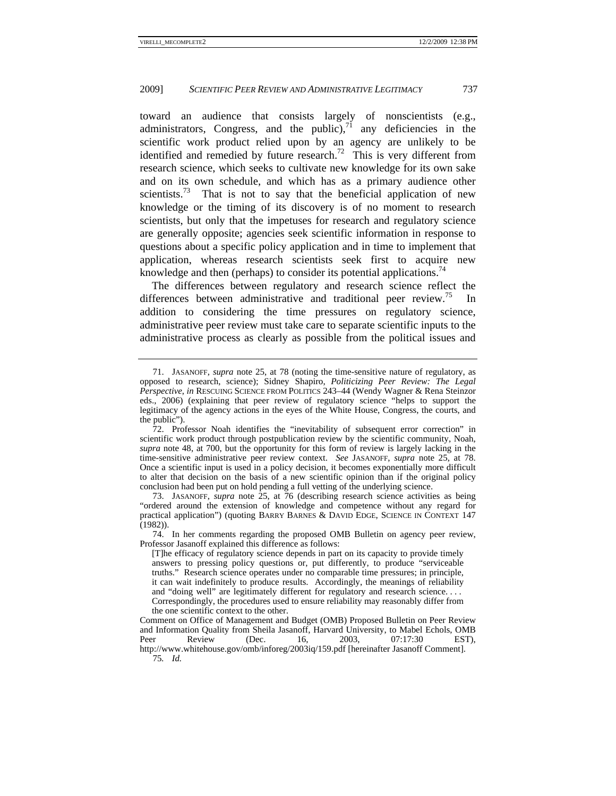toward an audience that consists largely of nonscientists (e.g., administrators, Congress, and the public), $7<sup>1</sup>$  any deficiencies in the scientific work product relied upon by an agency are unlikely to be identified and remedied by future research.<sup>72</sup> This is very different from research science, which seeks to cultivate new knowledge for its own sake and on its own schedule, and which has as a primary audience other scientists.<sup>73</sup> That is not to say that the beneficial application of new knowledge or the timing of its discovery is of no moment to research scientists, but only that the impetuses for research and regulatory science are generally opposite; agencies seek scientific information in response to questions about a specific policy application and in time to implement that application, whereas research scientists seek first to acquire new knowledge and then (perhaps) to consider its potential applications.<sup>74</sup>

The differences between regulatory and research science reflect the differences between administrative and traditional peer review.<sup>75</sup> In addition to considering the time pressures on regulatory science, administrative peer review must take care to separate scientific inputs to the administrative process as clearly as possible from the political issues and

 <sup>71.</sup> JASANOFF, *supra* note 25, at 78 (noting the time-sensitive nature of regulatory, as opposed to research, science); Sidney Shapiro, *Politicizing Peer Review: The Legal Perspective*, *in* RESCUING SCIENCE FROM POLITICS 243–44 (Wendy Wagner & Rena Steinzor eds., 2006) (explaining that peer review of regulatory science "helps to support the legitimacy of the agency actions in the eyes of the White House, Congress, the courts, and the public").

 <sup>72.</sup> Professor Noah identifies the "inevitability of subsequent error correction" in scientific work product through postpublication review by the scientific community, Noah, *supra* note 48, at 700, but the opportunity for this form of review is largely lacking in the time-sensitive administrative peer review context. *See* JASANOFF, *supra* note 25, at 78. Once a scientific input is used in a policy decision, it becomes exponentially more difficult to alter that decision on the basis of a new scientific opinion than if the original policy conclusion had been put on hold pending a full vetting of the underlying science.

 <sup>73.</sup> JASANOFF, *supra* note 25, at 76 (describing research science activities as being "ordered around the extension of knowledge and competence without any regard for practical application") (quoting BARRY BARNES & DAVID EDGE, SCIENCE IN CONTEXT 147 (1982)).

 <sup>74.</sup> In her comments regarding the proposed OMB Bulletin on agency peer review, Professor Jasanoff explained this difference as follows:

<sup>[</sup>T]he efficacy of regulatory science depends in part on its capacity to provide timely answers to pressing policy questions or, put differently, to produce "serviceable truths." Research science operates under no comparable time pressures; in principle, it can wait indefinitely to produce results. Accordingly, the meanings of reliability and "doing well" are legitimately different for regulatory and research science. . . . Correspondingly, the procedures used to ensure reliability may reasonably differ from the one scientific context to the other.

Comment on Office of Management and Budget (OMB) Proposed Bulletin on Peer Review and Information Quality from Sheila Jasanoff, Harvard University, to Mabel Echols, OMB<br>Peer Review (Dec. 16. 2003. 07:17:30 EST). Peer Review (Dec. 16, 2003, 07:17:30 EST), http://www.whitehouse.gov/omb/inforeg/2003iq/159.pdf [hereinafter Jasanoff Comment]. 75*. Id.*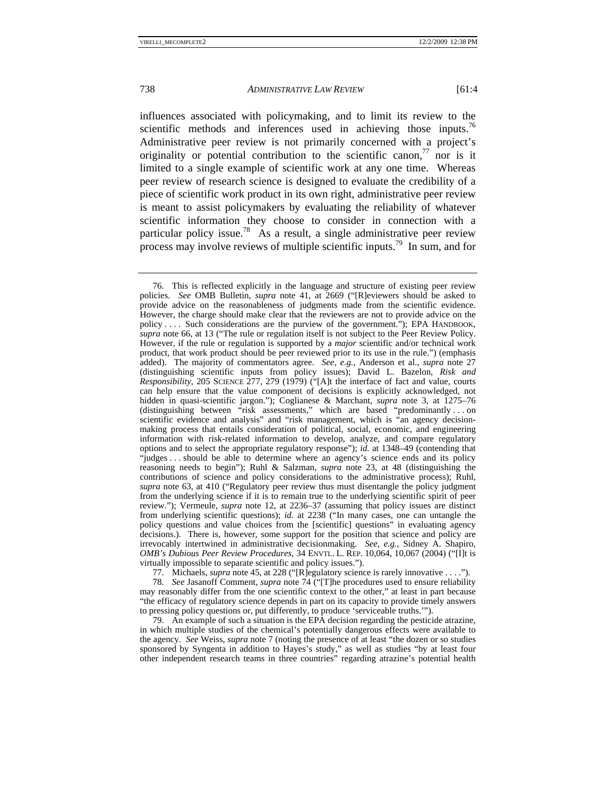influences associated with policymaking, and to limit its review to the scientific methods and inferences used in achieving those inputs.<sup>76</sup> Administrative peer review is not primarily concerned with a project's originality or potential contribution to the scientific canon,  $\frac{7}{7}$  nor is it limited to a single example of scientific work at any one time. Whereas peer review of research science is designed to evaluate the credibility of a piece of scientific work product in its own right, administrative peer review is meant to assist policymakers by evaluating the reliability of whatever scientific information they choose to consider in connection with a particular policy issue.<sup>78</sup> As a result, a single administrative peer review process may involve reviews of multiple scientific inputs.<sup>79</sup> In sum, and for

77. Michaels, *supra* note 45, at 228 ("[R]egulatory science is rarely innovative . . . .").

78*. See* Jasanoff Comment, *supra* note 74 ("[T]he procedures used to ensure reliability may reasonably differ from the one scientific context to the other," at least in part because "the efficacy of regulatory science depends in part on its capacity to provide timely answers to pressing policy questions or, put differently, to produce 'serviceable truths.'").

 79. An example of such a situation is the EPA decision regarding the pesticide atrazine, in which multiple studies of the chemical's potentially dangerous effects were available to the agency. *See* Weiss, *supra* note 7 (noting the presence of at least "the dozen or so studies sponsored by Syngenta in addition to Hayes's study," as well as studies "by at least four other independent research teams in three countries" regarding atrazine's potential health

 <sup>76.</sup> This is reflected explicitly in the language and structure of existing peer review policies. *See* OMB Bulletin, *supra* note 41, at 2669 ("[R]eviewers should be asked to provide advice on the reasonableness of judgments made from the scientific evidence. However, the charge should make clear that the reviewers are not to provide advice on the policy . . . . Such considerations are the purview of the government."); EPA HANDBOOK, *supra* note 66, at 13 ("The rule or regulation itself is not subject to the Peer Review Policy. However, if the rule or regulation is supported by a *major* scientific and/or technical work product, that work product should be peer reviewed prior to its use in the rule.") (emphasis added). The majority of commentators agree. *See, e.g.*, Anderson et al., *supra* note 27 (distinguishing scientific inputs from policy issues); David L. Bazelon, *Risk and Responsibility*, 205 SCIENCE 277, 279 (1979) ("[A]t the interface of fact and value, courts can help ensure that the value component of decisions is explicitly acknowledged, not hidden in quasi-scientific jargon."); Coglianese & Marchant, *supra* note 3, at 1275–76 (distinguishing between "risk assessments," which are based "predominantly . . . on scientific evidence and analysis" and "risk management, which is "an agency decisionmaking process that entails consideration of political, social, economic, and engineering information with risk-related information to develop, analyze, and compare regulatory options and to select the appropriate regulatory response"); *id.* at 1348–49 (contending that "judges . . . should be able to determine where an agency's science ends and its policy reasoning needs to begin"); Ruhl & Salzman, *supra* note 23, at 48 (distinguishing the contributions of science and policy considerations to the administrative process); Ruhl, *supra* note 63, at 410 ("Regulatory peer review thus must disentangle the policy judgment from the underlying science if it is to remain true to the underlying scientific spirit of peer review."); Vermeule, *supra* note 12, at 2236–37 (assuming that policy issues are distinct from underlying scientific questions); *id.* at 2238 ("In many cases, one can untangle the policy questions and value choices from the [scientific] questions" in evaluating agency decisions.). There is, however, some support for the position that science and policy are irrevocably intertwined in administrative decisionmaking. *See, e.g.*, Sidney A. Shapiro, *OMB's Dubious Peer Review Procedures*, 34 ENVTL. L. REP. 10,064, 10,067 (2004) ("[I]t is virtually impossible to separate scientific and policy issues.").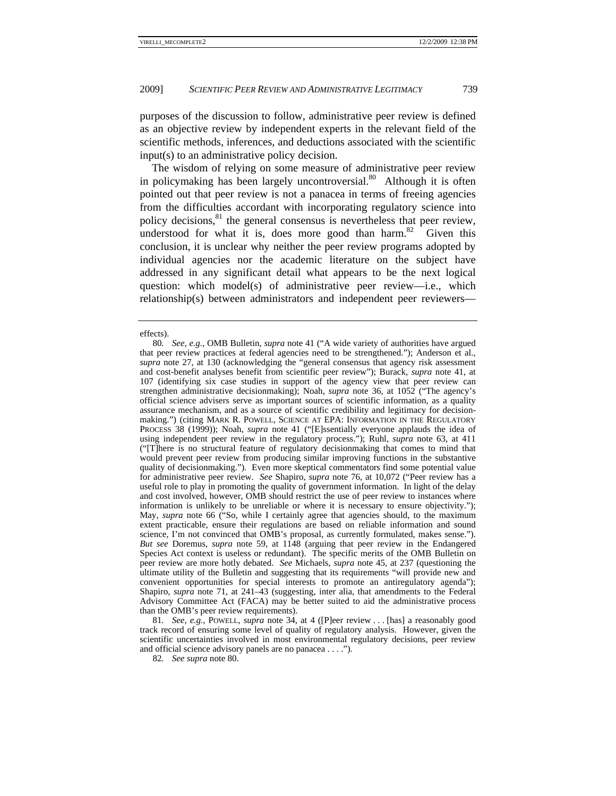purposes of the discussion to follow, administrative peer review is defined as an objective review by independent experts in the relevant field of the scientific methods, inferences, and deductions associated with the scientific input(s) to an administrative policy decision.

The wisdom of relying on some measure of administrative peer review in policymaking has been largely uncontroversial.<sup>80</sup> Although it is often pointed out that peer review is not a panacea in terms of freeing agencies from the difficulties accordant with incorporating regulatory science into policy decisions,<sup>81</sup> the general consensus is nevertheless that peer review, understood for what it is, does more good than harm. $82$  Given this conclusion, it is unclear why neither the peer review programs adopted by individual agencies nor the academic literature on the subject have addressed in any significant detail what appears to be the next logical question: which model(s) of administrative peer review—i.e., which relationship(s) between administrators and independent peer reviewers—

81*. See, e.g.*, POWELL, *supra* note 34, at 4 ([P]eer review . . . [has] a reasonably good track record of ensuring some level of quality of regulatory analysis. However, given the scientific uncertainties involved in most environmental regulatory decisions, peer review and official science advisory panels are no panacea . . . .").

82*. See supra* note 80.

effects).

<sup>80</sup>*. See, e.g.*, OMB Bulletin, *supra* note 41 ("A wide variety of authorities have argued that peer review practices at federal agencies need to be strengthened."); Anderson et al., *supra* note 27, at 130 (acknowledging the "general consensus that agency risk assessment and cost-benefit analyses benefit from scientific peer review"); Burack, *supra* note 41, at 107 (identifying six case studies in support of the agency view that peer review can strengthen administrative decisionmaking); Noah, *supra* note 36, at 1052 ("The agency's official science advisers serve as important sources of scientific information, as a quality assurance mechanism, and as a source of scientific credibility and legitimacy for decisionmaking.") (citing MARK R. POWELL, SCIENCE AT EPA: INFORMATION IN THE REGULATORY PROCESS 38 (1999)); Noah, *supra* note 41 ("[E]ssentially everyone applauds the idea of using independent peer review in the regulatory process."); Ruhl, *supra* note 63, at 411 ("[T]here is no structural feature of regulatory decisionmaking that comes to mind that would prevent peer review from producing similar improving functions in the substantive quality of decisionmaking."). Even more skeptical commentators find some potential value for administrative peer review. *See* Shapiro, *supra* note 76, at 10,072 ("Peer review has a useful role to play in promoting the quality of government information. In light of the delay and cost involved, however, OMB should restrict the use of peer review to instances where information is unlikely to be unreliable or where it is necessary to ensure objectivity."); May, *supra* note 66 ("So, while I certainly agree that agencies should, to the maximum extent practicable, ensure their regulations are based on reliable information and sound science, I'm not convinced that OMB's proposal, as currently formulated, makes sense."). *But see* Doremus, *supra* note 59, at 1148 (arguing that peer review in the Endangered Species Act context is useless or redundant). The specific merits of the OMB Bulletin on peer review are more hotly debated. *See* Michaels, *supra* note 45, at 237 (questioning the ultimate utility of the Bulletin and suggesting that its requirements "will provide new and convenient opportunities for special interests to promote an antiregulatory agenda"); Shapiro, *supra* note 71, at 241–43 (suggesting, inter alia, that amendments to the Federal Advisory Committee Act (FACA) may be better suited to aid the administrative process than the OMB's peer review requirements).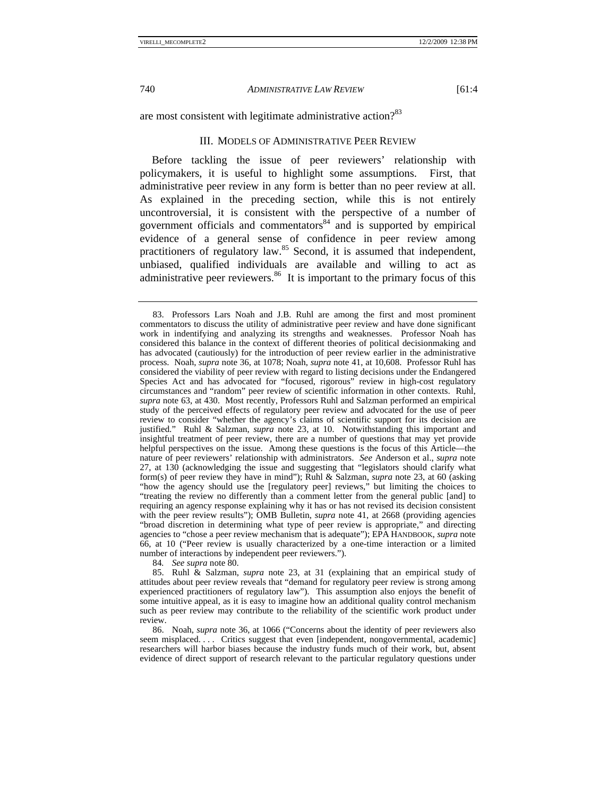are most consistent with legitimate administrative action?<sup>83</sup>

# III. MODELS OF ADMINISTRATIVE PEER REVIEW

Before tackling the issue of peer reviewers' relationship with policymakers, it is useful to highlight some assumptions. First, that administrative peer review in any form is better than no peer review at all. As explained in the preceding section, while this is not entirely uncontroversial, it is consistent with the perspective of a number of government officials and commentators $84$  and is supported by empirical evidence of a general sense of confidence in peer review among practitioners of regulatory law.<sup>85</sup> Second, it is assumed that independent, unbiased, qualified individuals are available and willing to act as administrative peer reviewers. $86$  It is important to the primary focus of this

84*. See supra* note 80.

 85. Ruhl & Salzman, *supra* note 23, at 31 (explaining that an empirical study of attitudes about peer review reveals that "demand for regulatory peer review is strong among experienced practitioners of regulatory law"). This assumption also enjoys the benefit of some intuitive appeal, as it is easy to imagine how an additional quality control mechanism such as peer review may contribute to the reliability of the scientific work product under review.

 86. Noah, *supra* note 36, at 1066 ("Concerns about the identity of peer reviewers also seem misplaced. . . . Critics suggest that even [independent, nongovernmental, academic] researchers will harbor biases because the industry funds much of their work, but, absent evidence of direct support of research relevant to the particular regulatory questions under

 <sup>83.</sup> Professors Lars Noah and J.B. Ruhl are among the first and most prominent commentators to discuss the utility of administrative peer review and have done significant work in indentifying and analyzing its strengths and weaknesses. Professor Noah has considered this balance in the context of different theories of political decisionmaking and has advocated (cautiously) for the introduction of peer review earlier in the administrative process. Noah, *supra* note 36, at 1078; Noah, *supra* note 41, at 10,608. Professor Ruhl has considered the viability of peer review with regard to listing decisions under the Endangered Species Act and has advocated for "focused, rigorous" review in high-cost regulatory circumstances and "random" peer review of scientific information in other contexts. Ruhl, *supra* note 63, at 430. Most recently, Professors Ruhl and Salzman performed an empirical study of the perceived effects of regulatory peer review and advocated for the use of peer review to consider "whether the agency's claims of scientific support for its decision are justified." Ruhl & Salzman, *supra* note 23, at 10. Notwithstanding this important and insightful treatment of peer review, there are a number of questions that may yet provide helpful perspectives on the issue. Among these questions is the focus of this Article—the nature of peer reviewers' relationship with administrators. *See* Anderson et al., *supra* note 27, at 130 (acknowledging the issue and suggesting that "legislators should clarify what form(s) of peer review they have in mind"); Ruhl & Salzman, *supra* note 23, at 60 (asking "how the agency should use the [regulatory peer] reviews," but limiting the choices to "treating the review no differently than a comment letter from the general public [and] to requiring an agency response explaining why it has or has not revised its decision consistent with the peer review results"); OMB Bulletin, *supra* note 41, at 2668 (providing agencies "broad discretion in determining what type of peer review is appropriate," and directing agencies to "chose a peer review mechanism that is adequate"); EPA HANDBOOK, *supra* note 66, at 10 ("Peer review is usually characterized by a one-time interaction or a limited number of interactions by independent peer reviewers.").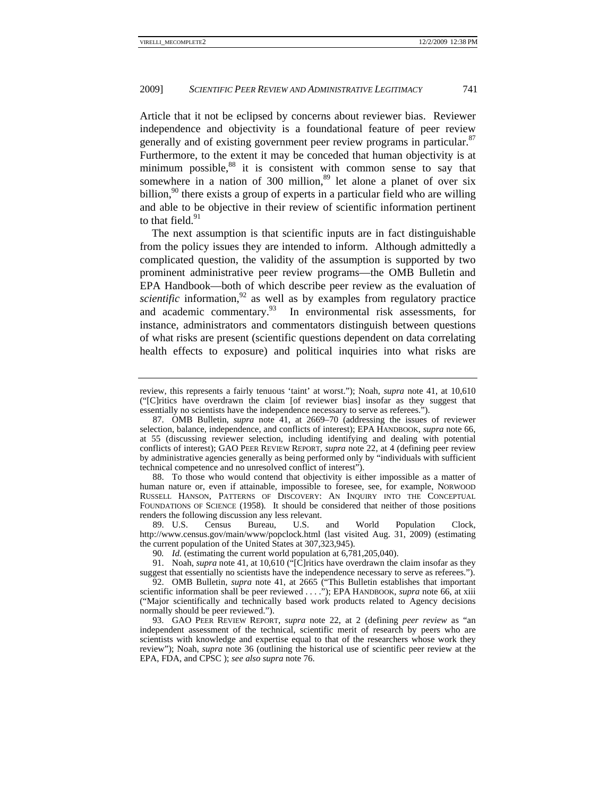Article that it not be eclipsed by concerns about reviewer bias. Reviewer independence and objectivity is a foundational feature of peer review generally and of existing government peer review programs in particular.<sup>87</sup> Furthermore, to the extent it may be conceded that human objectivity is at minimum possible, $88$  it is consistent with common sense to say that somewhere in a nation of 300 million, $89$  let alone a planet of over six billion,<sup>90</sup> there exists a group of experts in a particular field who are willing and able to be objective in their review of scientific information pertinent to that field. $91$ 

The next assumption is that scientific inputs are in fact distinguishable from the policy issues they are intended to inform. Although admittedly a complicated question, the validity of the assumption is supported by two prominent administrative peer review programs—the OMB Bulletin and EPA Handbook—both of which describe peer review as the evaluation of *scientific* information,  $92$  as well as by examples from regulatory practice and academic commentary. $93$  In environmental risk assessments, for instance, administrators and commentators distinguish between questions of what risks are present (scientific questions dependent on data correlating health effects to exposure) and political inquiries into what risks are

 88. To those who would contend that objectivity is either impossible as a matter of human nature or, even if attainable, impossible to foresee, see, for example, NORWOOD RUSSELL HANSON, PATTERNS OF DISCOVERY: AN INQUIRY INTO THE CONCEPTUAL FOUNDATIONS OF SCIENCE (1958)*.* It should be considered that neither of those positions renders the following discussion any less relevant.

 89. U.S. Census Bureau, U.S. and World Population Clock, http://www.census.gov/main/www/popclock.html (last visited Aug. 31, 2009) (estimating the current population of the United States at 307,323,945).

90*. Id.* (estimating the current world population at 6,781,205,040).

 91. Noah, *supra* note 41, at 10,610 ("[C]ritics have overdrawn the claim insofar as they suggest that essentially no scientists have the independence necessary to serve as referees.").

 92. OMB Bulletin, *supra* note 41, at 2665 ("This Bulletin establishes that important scientific information shall be peer reviewed . . . ."); EPA HANDBOOK, *supra* note 66, at xiii ("Major scientifically and technically based work products related to Agency decisions normally should be peer reviewed.").

 93. GAO PEER REVIEW REPORT, *supra* note 22, at 2 (defining *peer review* as "an independent assessment of the technical, scientific merit of research by peers who are scientists with knowledge and expertise equal to that of the researchers whose work they review"); Noah, *supra* note 36 (outlining the historical use of scientific peer review at the EPA, FDA, and CPSC ); *see also supra* note 76.

review, this represents a fairly tenuous 'taint' at worst."); Noah, *supra* note 41, at 10,610 ("[C]ritics have overdrawn the claim [of reviewer bias] insofar as they suggest that essentially no scientists have the independence necessary to serve as referees.").

 <sup>87.</sup> OMB Bulletin, *supra* note 41, at 2669–70 (addressing the issues of reviewer selection, balance, independence, and conflicts of interest); EPA HANDBOOK, *supra* note 66, at 55 (discussing reviewer selection, including identifying and dealing with potential conflicts of interest); GAO PEER REVIEW REPORT, *supra* note 22, at 4 (defining peer review by administrative agencies generally as being performed only by "individuals with sufficient technical competence and no unresolved conflict of interest").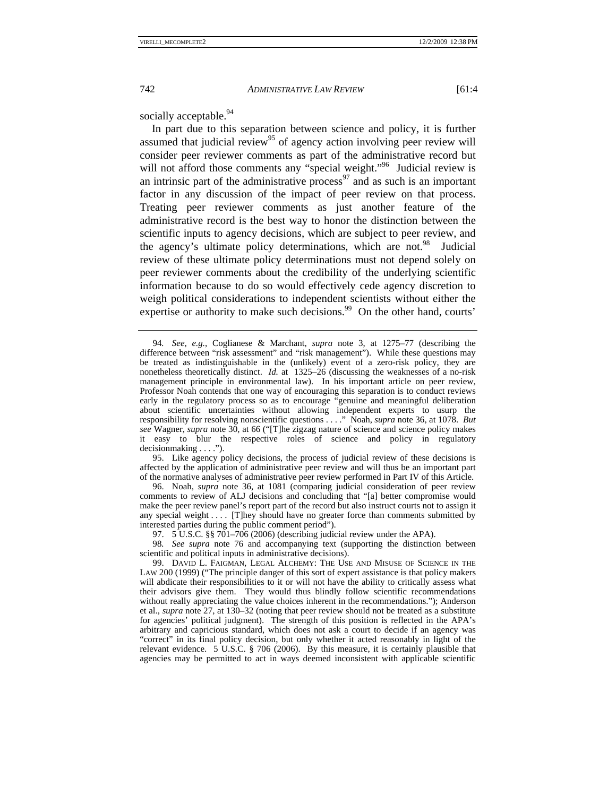socially acceptable.<sup>94</sup>

In part due to this separation between science and policy, it is further assumed that judicial review<sup>95</sup> of agency action involving peer review will consider peer reviewer comments as part of the administrative record but will not afford those comments any "special weight."<sup>96</sup> Judicial review is an intrinsic part of the administrative process<sup>97</sup> and as such is an important factor in any discussion of the impact of peer review on that process. Treating peer reviewer comments as just another feature of the administrative record is the best way to honor the distinction between the scientific inputs to agency decisions, which are subject to peer review, and the agency's ultimate policy determinations, which are not.<sup>98</sup> Judicial review of these ultimate policy determinations must not depend solely on peer reviewer comments about the credibility of the underlying scientific information because to do so would effectively cede agency discretion to weigh political considerations to independent scientists without either the expertise or authority to make such decisions.<sup>99</sup> On the other hand, courts'

 95. Like agency policy decisions, the process of judicial review of these decisions is affected by the application of administrative peer review and will thus be an important part of the normative analyses of administrative peer review performed in Part IV of this Article.

 96. Noah, *supra* note 36, at 1081 (comparing judicial consideration of peer review comments to review of ALJ decisions and concluding that "[a] better compromise would make the peer review panel's report part of the record but also instruct courts not to assign it any special weight . . . . [T]hey should have no greater force than comments submitted by interested parties during the public comment period").

97. 5 U.S.C. §§ 701–706 (2006) (describing judicial review under the APA).

98*. See supra* note 76 and accompanying text (supporting the distinction between scientific and political inputs in administrative decisions).

 99. DAVID L. FAIGMAN, LEGAL ALCHEMY: THE USE AND MISUSE OF SCIENCE IN THE LAW 200 (1999) ("The principle danger of this sort of expert assistance is that policy makers will abdicate their responsibilities to it or will not have the ability to critically assess what their advisors give them. They would thus blindly follow scientific recommendations without really appreciating the value choices inherent in the recommendations."); Anderson et al., *supra* note 27, at 130–32 (noting that peer review should not be treated as a substitute for agencies' political judgment). The strength of this position is reflected in the APA's arbitrary and capricious standard, which does not ask a court to decide if an agency was "correct" in its final policy decision, but only whether it acted reasonably in light of the relevant evidence. 5 U.S.C. § 706 (2006). By this measure, it is certainly plausible that agencies may be permitted to act in ways deemed inconsistent with applicable scientific

<sup>94</sup>*. See, e.g.*, Coglianese & Marchant, *supra* note 3, at 1275–77 (describing the difference between "risk assessment" and "risk management"). While these questions may be treated as indistinguishable in the (unlikely) event of a zero-risk policy, they are nonetheless theoretically distinct. *Id.* at 1325–26 (discussing the weaknesses of a no-risk management principle in environmental law). In his important article on peer review, Professor Noah contends that one way of encouraging this separation is to conduct reviews early in the regulatory process so as to encourage "genuine and meaningful deliberation about scientific uncertainties without allowing independent experts to usurp the responsibility for resolving nonscientific questions . . . ." Noah, *supra* note 36, at 1078. *But see* Wagner, *supra* note 30, at 66 ("[T]he zigzag nature of science and science policy makes it easy to blur the respective roles of science and policy in regulatory decisionmaking . . . .").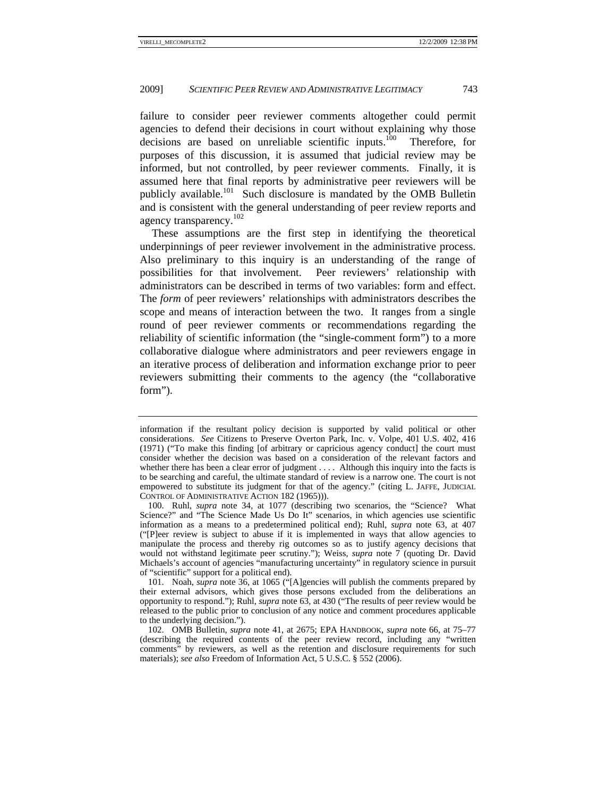failure to consider peer reviewer comments altogether could permit agencies to defend their decisions in court without explaining why those decisions are based on unreliable scientific inputs.<sup>100</sup> Therefore, for purposes of this discussion, it is assumed that judicial review may be informed, but not controlled, by peer reviewer comments. Finally, it is assumed here that final reports by administrative peer reviewers will be publicly available.<sup>101</sup> Such disclosure is mandated by the OMB Bulletin and is consistent with the general understanding of peer review reports and agency transparency.<sup>102</sup>

These assumptions are the first step in identifying the theoretical underpinnings of peer reviewer involvement in the administrative process. Also preliminary to this inquiry is an understanding of the range of possibilities for that involvement. Peer reviewers' relationship with administrators can be described in terms of two variables: form and effect. The *form* of peer reviewers' relationships with administrators describes the scope and means of interaction between the two. It ranges from a single round of peer reviewer comments or recommendations regarding the reliability of scientific information (the "single-comment form") to a more collaborative dialogue where administrators and peer reviewers engage in an iterative process of deliberation and information exchange prior to peer reviewers submitting their comments to the agency (the "collaborative form").

information if the resultant policy decision is supported by valid political or other considerations. *See* Citizens to Preserve Overton Park, Inc. v. Volpe, 401 U.S. 402, 416 (1971) ("To make this finding [of arbitrary or capricious agency conduct] the court must consider whether the decision was based on a consideration of the relevant factors and whether there has been a clear error of judgment . . . . Although this inquiry into the facts is to be searching and careful, the ultimate standard of review is a narrow one. The court is not empowered to substitute its judgment for that of the agency." (citing L. JAFFE, JUDICIAL CONTROL OF ADMINISTRATIVE ACTION 182 (1965))).

 <sup>100.</sup> Ruhl, *supra* note 34, at 1077 (describing two scenarios, the "Science? What Science?" and "The Science Made Us Do It" scenarios, in which agencies use scientific information as a means to a predetermined political end); Ruhl, *supra* note 63, at 407 ("[P]eer review is subject to abuse if it is implemented in ways that allow agencies to manipulate the process and thereby rig outcomes so as to justify agency decisions that would not withstand legitimate peer scrutiny."); Weiss, *supra* note 7 (quoting Dr. David Michaels's account of agencies "manufacturing uncertainty" in regulatory science in pursuit of "scientific" support for a political end).

 <sup>101.</sup> Noah, *supra* note 36, at 1065 ("[A]gencies will publish the comments prepared by their external advisors, which gives those persons excluded from the deliberations an opportunity to respond."); Ruhl, *supra* note 63, at 430 ("The results of peer review would be released to the public prior to conclusion of any notice and comment procedures applicable to the underlying decision.").

 <sup>102.</sup> OMB Bulletin, *supra* note 41, at 2675; EPA HANDBOOK, *supra* note 66, at 75–77 (describing the required contents of the peer review record, including any "written comments" by reviewers, as well as the retention and disclosure requirements for such materials); *see also* Freedom of Information Act, 5 U.S.C. § 552 (2006).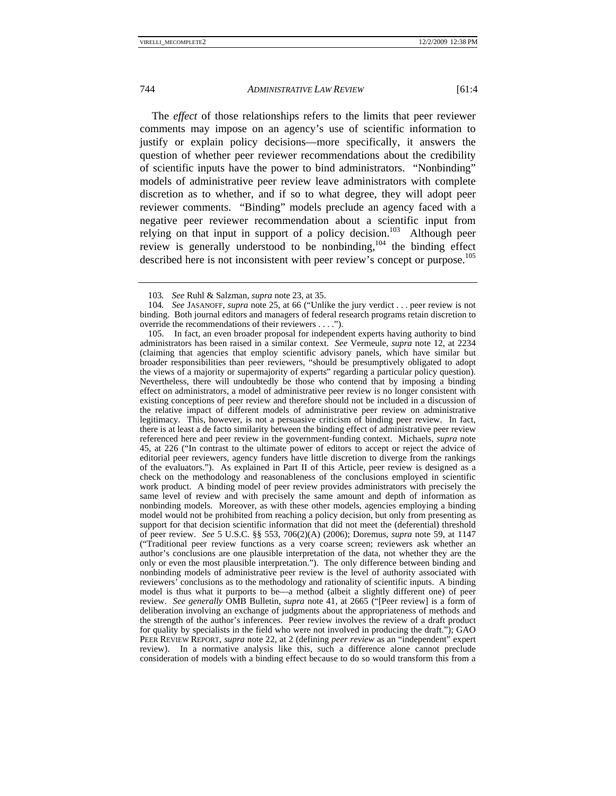The *effect* of those relationships refers to the limits that peer reviewer comments may impose on an agency's use of scientific information to justify or explain policy decisions—more specifically, it answers the question of whether peer reviewer recommendations about the credibility of scientific inputs have the power to bind administrators. "Nonbinding" models of administrative peer review leave administrators with complete discretion as to whether, and if so to what degree, they will adopt peer reviewer comments. "Binding" models preclude an agency faced with a negative peer reviewer recommendation about a scientific input from relying on that input in support of a policy decision.<sup>103</sup> Although peer review is generally understood to be nonbinding,<sup>104</sup> the binding effect described here is not inconsistent with peer review's concept or purpose.<sup>105</sup>

 105. In fact, an even broader proposal for independent experts having authority to bind administrators has been raised in a similar context. *See* Vermeule, *supra* note 12, at 2234 (claiming that agencies that employ scientific advisory panels, which have similar but broader responsibilities than peer reviewers, "should be presumptively obligated to adopt the views of a majority or supermajority of experts" regarding a particular policy question). Nevertheless, there will undoubtedly be those who contend that by imposing a binding effect on administrators, a model of administrative peer review is no longer consistent with existing conceptions of peer review and therefore should not be included in a discussion of the relative impact of different models of administrative peer review on administrative legitimacy. This, however, is not a persuasive criticism of binding peer review. In fact, there is at least a de facto similarity between the binding effect of administrative peer review referenced here and peer review in the government-funding context. Michaels, *supra* note 45, at 226 ("In contrast to the ultimate power of editors to accept or reject the advice of editorial peer reviewers, agency funders have little discretion to diverge from the rankings of the evaluators."). As explained in Part II of this Article, peer review is designed as a check on the methodology and reasonableness of the conclusions employed in scientific work product. A binding model of peer review provides administrators with precisely the same level of review and with precisely the same amount and depth of information as nonbinding models. Moreover, as with these other models, agencies employing a binding model would not be prohibited from reaching a policy decision, but only from presenting as support for that decision scientific information that did not meet the (deferential) threshold of peer review. *See* 5 U.S.C. §§ 553, 706(2)(A) (2006); Doremus, *supra* note 59, at 1147 ("Traditional peer review functions as a very coarse screen; reviewers ask whether an author's conclusions are one plausible interpretation of the data, not whether they are the only or even the most plausible interpretation."). The only difference between binding and nonbinding models of administrative peer review is the level of authority associated with reviewers' conclusions as to the methodology and rationality of scientific inputs. A binding model is thus what it purports to be—a method (albeit a slightly different one) of peer review. *See generally* OMB Bulletin, *supra* note 41, at 2665 ("[Peer review] is a form of deliberation involving an exchange of judgments about the appropriateness of methods and the strength of the author's inferences. Peer review involves the review of a draft product for quality by specialists in the field who were not involved in producing the draft."); GAO PEER REVIEW REPORT, *supra* note 22, at 2 (defining *peer review* as an "independent" expert review). In a normative analysis like this, such a difference alone cannot preclude consideration of models with a binding effect because to do so would transform this from a

<sup>103</sup>*. See* Ruhl & Salzman, *supra* note 23, at 35.

<sup>104</sup>*. See* JASANOFF, *supra* note 25, at 66 ("Unlike the jury verdict . . . peer review is not binding. Both journal editors and managers of federal research programs retain discretion to override the recommendations of their reviewers . . . .").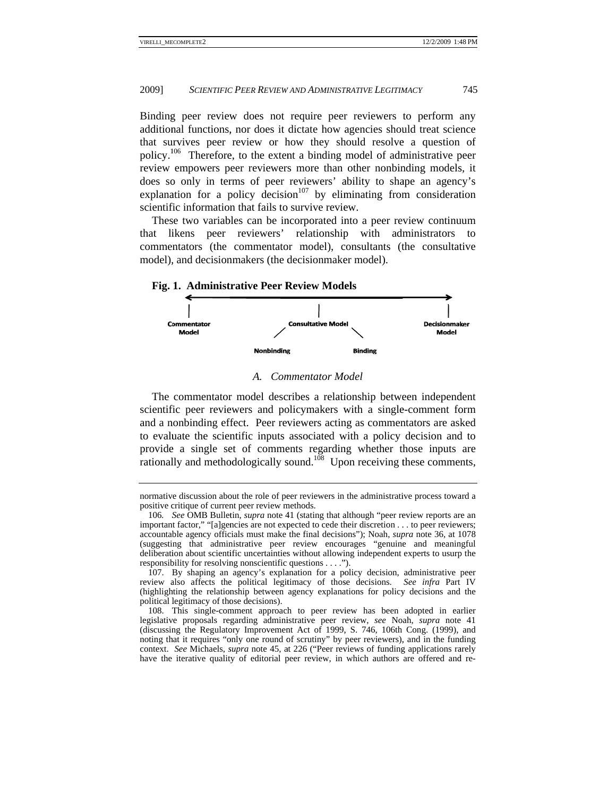Binding peer review does not require peer reviewers to perform any additional functions, nor does it dictate how agencies should treat science that survives peer review or how they should resolve a question of policy.<sup>106</sup> Therefore, to the extent a binding model of administrative peer review empowers peer reviewers more than other nonbinding models, it does so only in terms of peer reviewers' ability to shape an agency's explanation for a policy decision<sup>107</sup> by eliminating from consideration scientific information that fails to survive review.

These two variables can be incorporated into a peer review continuum that likens peer reviewers' relationship with administrators to commentators (the commentator model), consultants (the consultative model), and decisionmakers (the decisionmaker model).

#### **Fig. 1. Administrative Peer Review Models**



#### A. Commentator Model

The commentator model describes a relationship between independent scientific peer reviewers and policymakers with a single-comment form and a nonbinding effect. Peer reviewers acting as commentators are asked to evaluate the scientific inputs associated with a policy decision and to provide a single set of comments regarding whether those inputs are rationally and methodologically sound.<sup>108</sup> Upon receiving these comments,

normative discussion about the role of peer reviewers in the administrative process toward a positive critique of current peer review methods.

<sup>106.</sup> See OMB Bulletin, *supra* note 41 (stating that although "peer review reports are an important factor," "[a]gencies are not expected to cede their discretion . . . to peer reviewers; accountable agency officials must make the final decisions"); Noah, *supra* note 36, at 1078 (suggesting that administrative peer review encourages "genuine and meaningful deliberation about scientific uncertainties without allowing independent experts to usurp the responsibility for resolving nonscientific questions . . . .").

<sup>107.</sup> By shaping an agency's explanation for a policy decision, administrative peer review also affects the political legitimacy of those decisions. See *infra* Part IV (highlighting the relationship between agency explanations for policy decisions and the political legitimacy of those decisions).

<sup>108.</sup> This single-comment approach to peer review has been adopted in earlier legislative proposals regarding administrative peer review, see Noah, supra note 41 (discussing the Regulatory Improvement Act of 1999, S. 746, 106th Cong. (1999), and noting that it requires "only one round of scrutiny" by peer reviewers), and in the funding context. See Michaels, *supra* note 45, at 226 ("Peer reviews of funding applications rarely have the iterative quality of editorial peer review, in which authors are offered and re-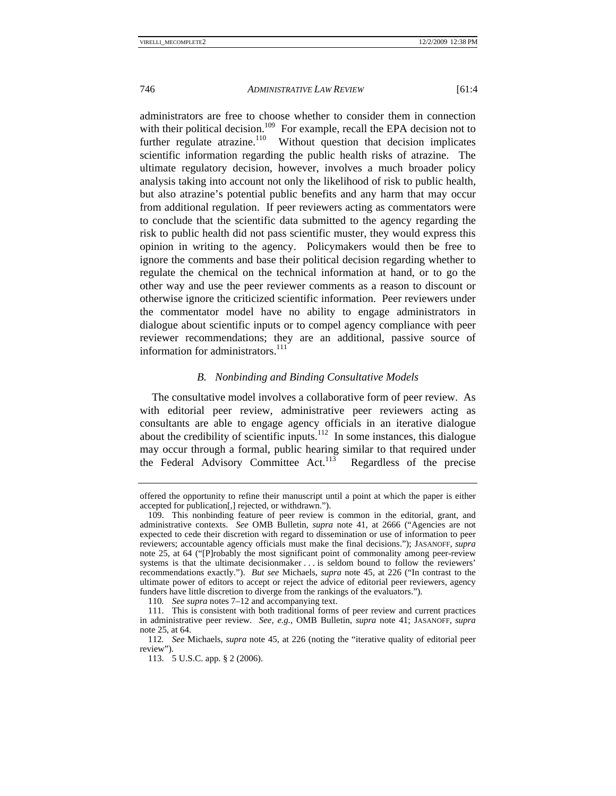administrators are free to choose whether to consider them in connection with their political decision.<sup>109</sup> For example, recall the EPA decision not to further regulate atrazine.<sup>110</sup> Without question that decision implicates scientific information regarding the public health risks of atrazine. The ultimate regulatory decision, however, involves a much broader policy analysis taking into account not only the likelihood of risk to public health, but also atrazine's potential public benefits and any harm that may occur from additional regulation. If peer reviewers acting as commentators were to conclude that the scientific data submitted to the agency regarding the risk to public health did not pass scientific muster, they would express this opinion in writing to the agency. Policymakers would then be free to ignore the comments and base their political decision regarding whether to regulate the chemical on the technical information at hand, or to go the other way and use the peer reviewer comments as a reason to discount or otherwise ignore the criticized scientific information. Peer reviewers under the commentator model have no ability to engage administrators in dialogue about scientific inputs or to compel agency compliance with peer reviewer recommendations; they are an additional, passive source of information for administrators.<sup>111</sup>

# *B. Nonbinding and Binding Consultative Models*

The consultative model involves a collaborative form of peer review. As with editorial peer review, administrative peer reviewers acting as consultants are able to engage agency officials in an iterative dialogue about the credibility of scientific inputs.<sup>112</sup> In some instances, this dialogue may occur through a formal, public hearing similar to that required under the Federal Advisory Committee Act.<sup>113</sup> Regardless of the precise

offered the opportunity to refine their manuscript until a point at which the paper is either accepted for publication[,] rejected, or withdrawn.").

 <sup>109.</sup> This nonbinding feature of peer review is common in the editorial, grant, and administrative contexts. *See* OMB Bulletin, *supra* note 41, at 2666 ("Agencies are not expected to cede their discretion with regard to dissemination or use of information to peer reviewers; accountable agency officials must make the final decisions."); JASANOFF, *supra* note 25, at 64 ("[P]robably the most significant point of commonality among peer-review systems is that the ultimate decisionmaker . . . is seldom bound to follow the reviewers' recommendations exactly."). *But see* Michaels, *supra* note 45, at 226 ("In contrast to the ultimate power of editors to accept or reject the advice of editorial peer reviewers, agency funders have little discretion to diverge from the rankings of the evaluators.").

<sup>110</sup>*. See supra* notes 7–12 and accompanying text.

 <sup>111.</sup> This is consistent with both traditional forms of peer review and current practices in administrative peer review. *See, e.g.*, OMB Bulletin, *supra* note 41; JASANOFF, *supra* note 25, at 64.

<sup>112</sup>*. See* Michaels, *supra* note 45, at 226 (noting the "iterative quality of editorial peer review").

 <sup>113. 5</sup> U.S.C. app. § 2 (2006).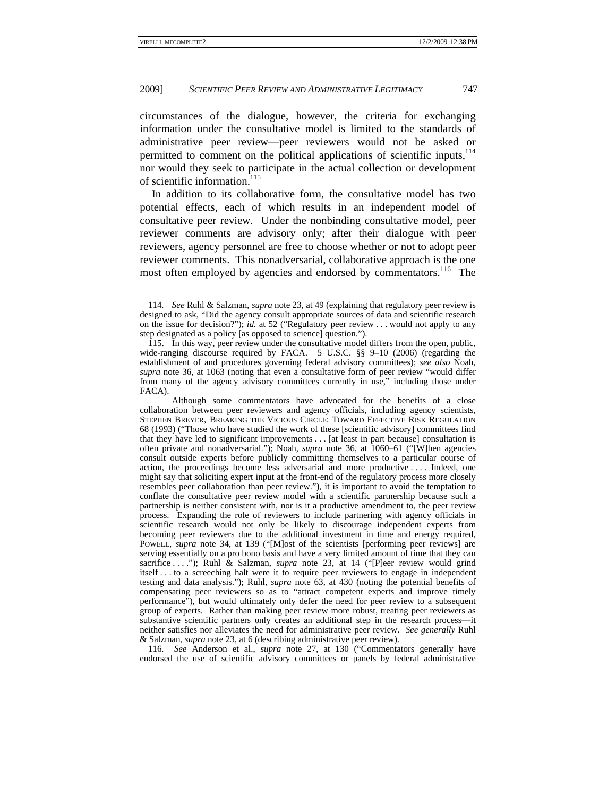circumstances of the dialogue, however, the criteria for exchanging information under the consultative model is limited to the standards of administrative peer review—peer reviewers would not be asked or permitted to comment on the political applications of scientific inputs,<sup>114</sup> nor would they seek to participate in the actual collection or development of scientific information.<sup>115</sup>

In addition to its collaborative form, the consultative model has two potential effects, each of which results in an independent model of consultative peer review. Under the nonbinding consultative model, peer reviewer comments are advisory only; after their dialogue with peer reviewers, agency personnel are free to choose whether or not to adopt peer reviewer comments. This nonadversarial, collaborative approach is the one most often employed by agencies and endorsed by commentators.<sup>116</sup> The

 Although some commentators have advocated for the benefits of a close collaboration between peer reviewers and agency officials, including agency scientists, STEPHEN BREYER, BREAKING THE VICIOUS CIRCLE: TOWARD EFFECTIVE RISK REGULATION 68 (1993) ("Those who have studied the work of these [scientific advisory] committees find that they have led to significant improvements . . . [at least in part because] consultation is often private and nonadversarial."); Noah, *supra* note 36, at 1060–61 ("[W]hen agencies consult outside experts before publicly committing themselves to a particular course of action, the proceedings become less adversarial and more productive . . . . Indeed, one might say that soliciting expert input at the front-end of the regulatory process more closely resembles peer collaboration than peer review."), it is important to avoid the temptation to conflate the consultative peer review model with a scientific partnership because such a partnership is neither consistent with, nor is it a productive amendment to, the peer review process. Expanding the role of reviewers to include partnering with agency officials in scientific research would not only be likely to discourage independent experts from becoming peer reviewers due to the additional investment in time and energy required, POWELL, *supra* note 34, at 139 ("[M]ost of the scientists [performing peer reviews] are serving essentially on a pro bono basis and have a very limited amount of time that they can sacrifice . . . "); Ruhl & Salzman, *supra* note 23, at 14 ("[P]eer review would grind itself . . . to a screeching halt were it to require peer reviewers to engage in independent testing and data analysis."); Ruhl, *supra* note 63, at 430 (noting the potential benefits of compensating peer reviewers so as to "attract competent experts and improve timely performance"), but would ultimately only defer the need for peer review to a subsequent group of experts. Rather than making peer review more robust, treating peer reviewers as substantive scientific partners only creates an additional step in the research process—it neither satisfies nor alleviates the need for administrative peer review. *See generally* Ruhl & Salzman, *supra* note 23, at 6 (describing administrative peer review).

116*. See* Anderson et al., *supra* note 27, at 130 ("Commentators generally have endorsed the use of scientific advisory committees or panels by federal administrative

<sup>114</sup>*. See* Ruhl & Salzman, *supra* note 23, at 49 (explaining that regulatory peer review is designed to ask, "Did the agency consult appropriate sources of data and scientific research on the issue for decision?"); *id.* at 52 ("Regulatory peer review . . . would not apply to any step designated as a policy [as opposed to science] question.").

 <sup>115.</sup> In this way, peer review under the consultative model differs from the open, public, wide-ranging discourse required by FACA. 5 U.S.C. §§ 9–10 (2006) (regarding the establishment of and procedures governing federal advisory committees); *see also* Noah, *supra* note 36, at 1063 (noting that even a consultative form of peer review "would differ from many of the agency advisory committees currently in use," including those under FACA).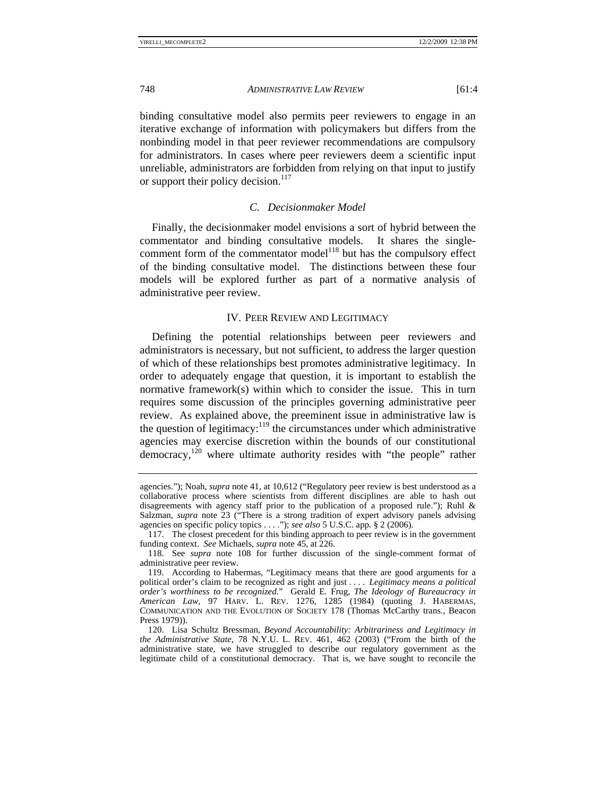binding consultative model also permits peer reviewers to engage in an iterative exchange of information with policymakers but differs from the nonbinding model in that peer reviewer recommendations are compulsory for administrators. In cases where peer reviewers deem a scientific input unreliable, administrators are forbidden from relying on that input to justify or support their policy decision.<sup>117</sup>

### *C. Decisionmaker Model*

Finally, the decisionmaker model envisions a sort of hybrid between the commentator and binding consultative models. It shares the singlecomment form of the commentator model<sup>118</sup> but has the compulsory effect of the binding consultative model. The distinctions between these four models will be explored further as part of a normative analysis of administrative peer review.

#### IV. PEER REVIEW AND LEGITIMACY

Defining the potential relationships between peer reviewers and administrators is necessary, but not sufficient, to address the larger question of which of these relationships best promotes administrative legitimacy. In order to adequately engage that question, it is important to establish the normative framework(s) within which to consider the issue. This in turn requires some discussion of the principles governing administrative peer review. As explained above, the preeminent issue in administrative law is the question of legitimacy: $119$  the circumstances under which administrative agencies may exercise discretion within the bounds of our constitutional  $\alpha$  democracy,<sup>120</sup> where ultimate authority resides with "the people" rather

agencies."); Noah, *supra* note 41, at 10,612 ("Regulatory peer review is best understood as a collaborative process where scientists from different disciplines are able to hash out disagreements with agency staff prior to the publication of a proposed rule."); Ruhl & Salzman, *supra* note 23 ("There is a strong tradition of expert advisory panels advising agencies on specific policy topics . . . ."); *see also* 5 U.S.C. app. § 2 (2006).

 <sup>117.</sup> The closest precedent for this binding approach to peer review is in the government funding context. *See* Michaels, *supra* note 45, at 226.

 <sup>118.</sup> See *supra* note 108 for further discussion of the single-comment format of administrative peer review.

 <sup>119.</sup> According to Habermas, "Legitimacy means that there are good arguments for a political order's claim to be recognized as right and just . . . . *Legitimacy means a political order's worthiness to be recognized.*" Gerald E. Frug, *The Ideology of Bureaucracy in American Law*, 97 HARV. L. REV. 1276, 1285 (1984) (quoting J. HABERMAS, COMMUNICATION AND THE EVOLUTION OF SOCIETY 178 (Thomas McCarthy trans., Beacon Press 1979)).

 <sup>120.</sup> Lisa Schultz Bressman, *Beyond Accountability: Arbitrariness and Legitimacy in the Administrative State*, 78 N.Y.U. L. REV. 461, 462 (2003) ("From the birth of the administrative state, we have struggled to describe our regulatory government as the legitimate child of a constitutional democracy. That is, we have sought to reconcile the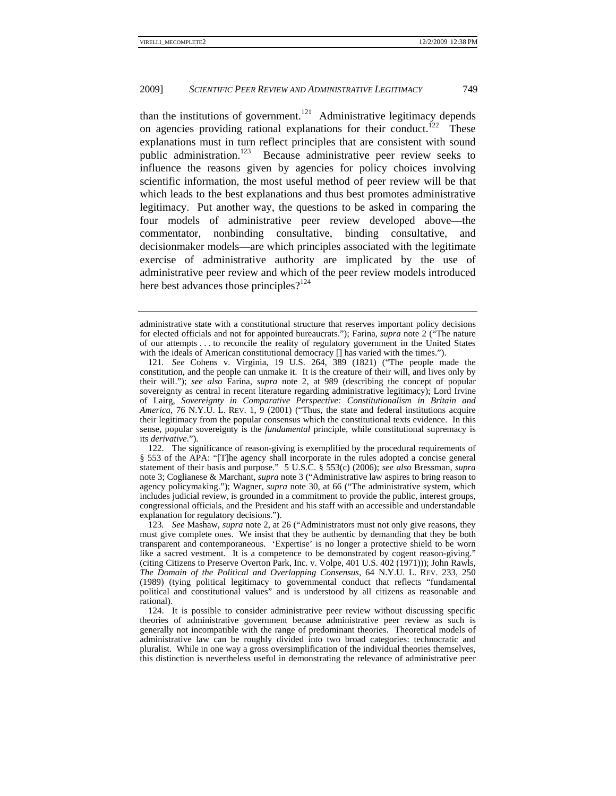than the institutions of government.<sup>121</sup> Administrative legitimacy depends on agencies providing rational explanations for their conduct.<sup>122</sup> These explanations must in turn reflect principles that are consistent with sound public administration.<sup>123</sup> Because administrative peer review seeks to influence the reasons given by agencies for policy choices involving scientific information, the most useful method of peer review will be that which leads to the best explanations and thus best promotes administrative legitimacy. Put another way, the questions to be asked in comparing the four models of administrative peer review developed above—the commentator, nonbinding consultative, binding consultative, and decisionmaker models—are which principles associated with the legitimate exercise of administrative authority are implicated by the use of administrative peer review and which of the peer review models introduced here best advances those principles? $124$ 

 122. The significance of reason-giving is exemplified by the procedural requirements of § 553 of the APA: "[T]he agency shall incorporate in the rules adopted a concise general statement of their basis and purpose." 5 U.S.C. § 553(c) (2006); *see also* Bressman, *supra* note 3; Coglianese & Marchant, *supra* note 3 ("Administrative law aspires to bring reason to agency policymaking."); Wagner, *supra* note 30, at 66 ("The administrative system, which includes judicial review, is grounded in a commitment to provide the public, interest groups, congressional officials, and the President and his staff with an accessible and understandable explanation for regulatory decisions.").

123*. See* Mashaw, *supra* note 2, at 26 ("Administrators must not only give reasons, they must give complete ones. We insist that they be authentic by demanding that they be both transparent and contemporaneous. 'Expertise' is no longer a protective shield to be worn like a sacred vestment. It is a competence to be demonstrated by cogent reason-giving." (citing Citizens to Preserve Overton Park, Inc. v. Volpe, 401 U.S. 402 (1971))); John Rawls, *The Domain of the Political and Overlapping Consensus*, 64 N.Y.U. L. REV. 233, 250 (1989) (tying political legitimacy to governmental conduct that reflects "fundamental political and constitutional values" and is understood by all citizens as reasonable and rational).

 124. It is possible to consider administrative peer review without discussing specific theories of administrative government because administrative peer review as such is generally not incompatible with the range of predominant theories. Theoretical models of administrative law can be roughly divided into two broad categories: technocratic and pluralist. While in one way a gross oversimplification of the individual theories themselves, this distinction is nevertheless useful in demonstrating the relevance of administrative peer

administrative state with a constitutional structure that reserves important policy decisions for elected officials and not for appointed bureaucrats."); Farina, *supra* note 2 ("The nature of our attempts . . . to reconcile the reality of regulatory government in the United States with the ideals of American constitutional democracy [] has varied with the times.").

<sup>121</sup>*. See* Cohens v. Virginia, 19 U.S. 264, 389 (1821) ("The people made the constitution, and the people can unmake it. It is the creature of their will, and lives only by their will."); *see also* Farina, *supra* note 2, at 989 (describing the concept of popular sovereignty as central in recent literature regarding administrative legitimacy); Lord Irvine of Lairg, *Sovereignty in Comparative Perspective: Constitutionalism in Britain and America*, 76 N.Y.U. L. REV. 1, 9 (2001) ("Thus, the state and federal institutions acquire their legitimacy from the popular consensus which the constitutional texts evidence. In this sense, popular sovereignty is the *fundamental* principle, while constitutional supremacy is its *derivative*.").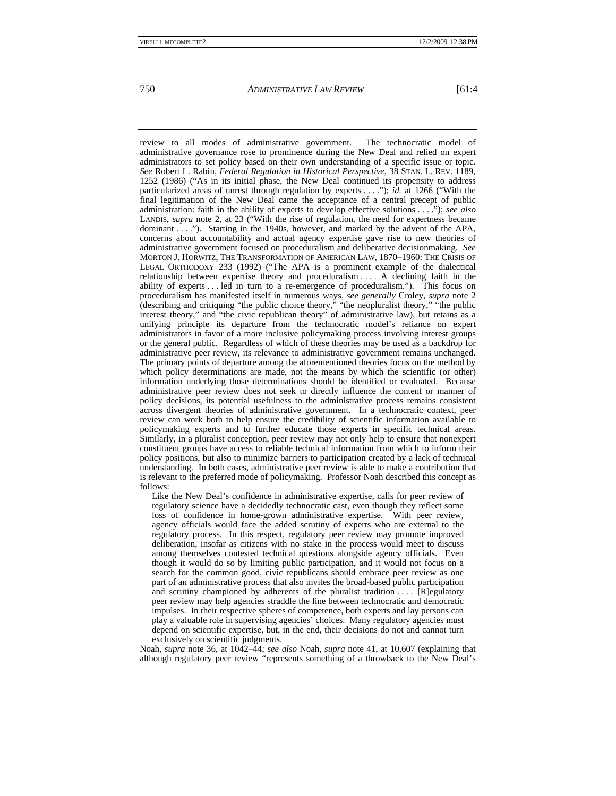review to all modes of administrative government. The technocratic model of administrative governance rose to prominence during the New Deal and relied on expert administrators to set policy based on their own understanding of a specific issue or topic. *See* Robert L. Rabin, *Federal Regulation in Historical Perspective*, 38 STAN. L. REV. 1189, 1252 (1986) ("As in its initial phase, the New Deal continued its propensity to address particularized areas of unrest through regulation by experts . . . ."); *id.* at 1266 ("With the final legitimation of the New Deal came the acceptance of a central precept of public administration: faith in the ability of experts to develop effective solutions . . . ."); *see also* LANDIS, *supra* note 2, at 23 ("With the rise of regulation, the need for expertness became dominant . . . ."). Starting in the 1940s, however, and marked by the advent of the APA, concerns about accountability and actual agency expertise gave rise to new theories of administrative government focused on proceduralism and deliberative decisionmaking. *See* MORTON J. HORWITZ, THE TRANSFORMATION OF AMERICAN LAW, 1870–1960: THE CRISIS OF LEGAL ORTHODOXY 233 (1992) ("The APA is a prominent example of the dialectical relationship between expertise theory and proceduralism . . . . A declining faith in the ability of experts . . . led in turn to a re-emergence of proceduralism."). This focus on proceduralism has manifested itself in numerous ways, *see generally* Croley, *supra* note 2 (describing and critiquing "the public choice theory," "the neopluralist theory," "the public interest theory," and "the civic republican theory" of administrative law), but retains as a unifying principle its departure from the technocratic model's reliance on expert administrators in favor of a more inclusive policymaking process involving interest groups or the general public. Regardless of which of these theories may be used as a backdrop for administrative peer review, its relevance to administrative government remains unchanged. The primary points of departure among the aforementioned theories focus on the method by which policy determinations are made, not the means by which the scientific (or other) information underlying those determinations should be identified or evaluated. Because administrative peer review does not seek to directly influence the content or manner of policy decisions, its potential usefulness to the administrative process remains consistent across divergent theories of administrative government. In a technocratic context, peer review can work both to help ensure the credibility of scientific information available to policymaking experts and to further educate those experts in specific technical areas. Similarly, in a pluralist conception, peer review may not only help to ensure that nonexpert constituent groups have access to reliable technical information from which to inform their policy positions, but also to minimize barriers to participation created by a lack of technical understanding. In both cases, administrative peer review is able to make a contribution that is relevant to the preferred mode of policymaking. Professor Noah described this concept as follows:

Like the New Deal's confidence in administrative expertise, calls for peer review of regulatory science have a decidedly technocratic cast, even though they reflect some loss of confidence in home-grown administrative expertise. With peer review, agency officials would face the added scrutiny of experts who are external to the regulatory process. In this respect, regulatory peer review may promote improved deliberation, insofar as citizens with no stake in the process would meet to discuss among themselves contested technical questions alongside agency officials. Even though it would do so by limiting public participation, and it would not focus on a search for the common good, civic republicans should embrace peer review as one part of an administrative process that also invites the broad-based public participation and scrutiny championed by adherents of the pluralist tradition  $\dots$  [R]egulatory peer review may help agencies straddle the line between technocratic and democratic impulses. In their respective spheres of competence, both experts and lay persons can play a valuable role in supervising agencies' choices. Many regulatory agencies must depend on scientific expertise, but, in the end, their decisions do not and cannot turn exclusively on scientific judgments.

Noah, *supra* note 36, at 1042–44; *see also* Noah, *supra* note 41, at 10,607 (explaining that although regulatory peer review "represents something of a throwback to the New Deal's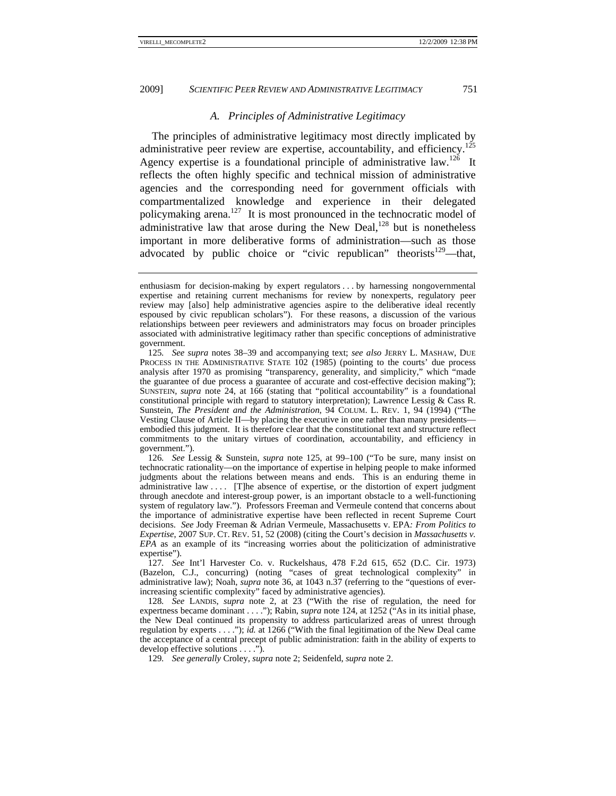#### *A. Principles of Administrative Legitimacy*

The principles of administrative legitimacy most directly implicated by administrative peer review are expertise, accountability, and efficiency.<sup>125</sup> Agency expertise is a foundational principle of administrative law.<sup>126</sup> It reflects the often highly specific and technical mission of administrative agencies and the corresponding need for government officials with compartmentalized knowledge and experience in their delegated policymaking arena.<sup>127</sup> It is most pronounced in the technocratic model of administrative law that arose during the New Deal, $128$  but is nonetheless important in more deliberative forms of administration—such as those advocated by public choice or "civic republican" theorists $129$ —that,

126*. See* Lessig & Sunstein, *supra* note 125, at 99–100 ("To be sure, many insist on technocratic rationality—on the importance of expertise in helping people to make informed judgments about the relations between means and ends. This is an enduring theme in administrative law .... [T]he absence of expertise, or the distortion of expert judgment through anecdote and interest-group power, is an important obstacle to a well-functioning system of regulatory law."). Professors Freeman and Vermeule contend that concerns about the importance of administrative expertise have been reflected in recent Supreme Court decisions. *See* Jody Freeman & Adrian Vermeule, Massachusetts v. EPA*: From Politics to Expertise*, 2007 SUP. CT. REV. 51, 52 (2008) (citing the Court's decision in *Massachusetts v. EPA* as an example of its "increasing worries about the politicization of administrative expertise").

127*. See* Int'l Harvester Co. v. Ruckelshaus, 478 F.2d 615, 652 (D.C. Cir. 1973) (Bazelon, C.J., concurring) (noting "cases of great technological complexity" in administrative law); Noah, *supra* note 36, at 1043 n.37 (referring to the "questions of everincreasing scientific complexity" faced by administrative agencies).

128*. See* LANDIS, *supra* note 2, at 23 ("With the rise of regulation, the need for expertness became dominant . . . ."); Rabin, *supra* note 124, at 1252 ("As in its initial phase, the New Deal continued its propensity to address particularized areas of unrest through regulation by experts . . . ."); *id.* at 1266 ("With the final legitimation of the New Deal came the acceptance of a central precept of public administration: faith in the ability of experts to develop effective solutions . . . .").

129*. See generally* Croley, *supra* note 2; Seidenfeld, *supra* note 2.

enthusiasm for decision-making by expert regulators . . . by harnessing nongovernmental expertise and retaining current mechanisms for review by nonexperts, regulatory peer review may [also] help administrative agencies aspire to the deliberative ideal recently espoused by civic republican scholars"). For these reasons, a discussion of the various relationships between peer reviewers and administrators may focus on broader principles associated with administrative legitimacy rather than specific conceptions of administrative government.

<sup>125</sup>*. See supra* notes 38–39 and accompanying text; *see also* JERRY L. MASHAW, DUE PROCESS IN THE ADMINISTRATIVE STATE 102 (1985) (pointing to the courts' due process analysis after 1970 as promising "transparency, generality, and simplicity," which "made the guarantee of due process a guarantee of accurate and cost-effective decision making"); SUNSTEIN, *supra* note 24, at 166 (stating that "political accountability" is a foundational constitutional principle with regard to statutory interpretation); Lawrence Lessig & Cass R. Sunstein, *The President and the Administration*, 94 COLUM. L. REV. 1, 94 (1994) ("The Vesting Clause of Article II—by placing the executive in one rather than many presidents embodied this judgment. It is therefore clear that the constitutional text and structure reflect commitments to the unitary virtues of coordination, accountability, and efficiency in government.").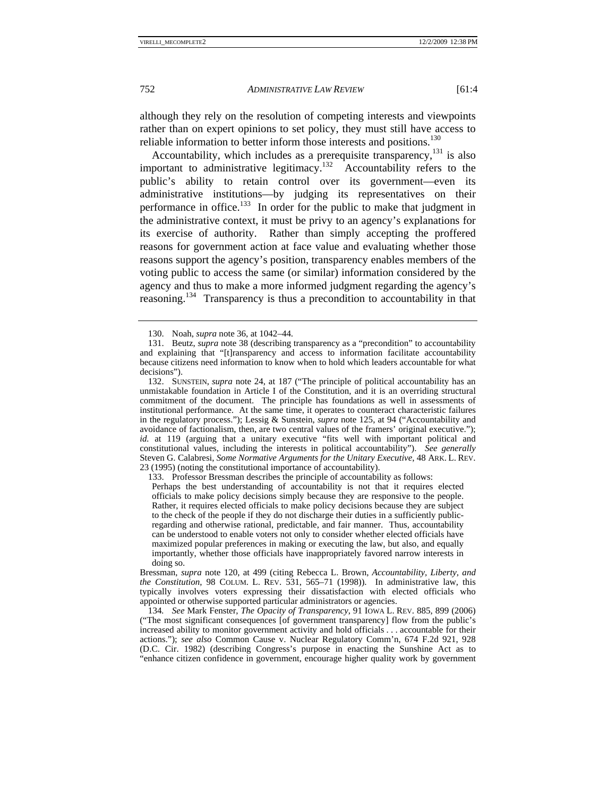although they rely on the resolution of competing interests and viewpoints rather than on expert opinions to set policy, they must still have access to reliable information to better inform those interests and positions.<sup>130</sup>

Accountability, which includes as a prerequisite transparency,  $^{131}$  is also important to administrative legitimacy.132 Accountability refers to the public's ability to retain control over its government—even its administrative institutions—by judging its representatives on their performance in office.<sup>133</sup> In order for the public to make that judgment in the administrative context, it must be privy to an agency's explanations for its exercise of authority. Rather than simply accepting the proffered reasons for government action at face value and evaluating whether those reasons support the agency's position, transparency enables members of the voting public to access the same (or similar) information considered by the agency and thus to make a more informed judgment regarding the agency's reasoning.134 Transparency is thus a precondition to accountability in that

133. Professor Bressman describes the principle of accountability as follows:

Perhaps the best understanding of accountability is not that it requires elected officials to make policy decisions simply because they are responsive to the people. Rather, it requires elected officials to make policy decisions because they are subject to the check of the people if they do not discharge their duties in a sufficiently publicregarding and otherwise rational, predictable, and fair manner. Thus, accountability can be understood to enable voters not only to consider whether elected officials have maximized popular preferences in making or executing the law, but also, and equally importantly, whether those officials have inappropriately favored narrow interests in doing so.

Bressman, *supra* note 120, at 499 (citing Rebecca L. Brown, *Accountability, Liberty, and the Constitution*, 98 COLUM. L. REV. 531, 565–71 (1998)). In administrative law, this typically involves voters expressing their dissatisfaction with elected officials who appointed or otherwise supported particular administrators or agencies.

134*. See* Mark Fenster, *The Opacity of Transparency*, 91 IOWA L. REV. 885, 899 (2006) ("The most significant consequences [of government transparency] flow from the public's increased ability to monitor government activity and hold officials . . . accountable for their actions."); *see also* Common Cause v. Nuclear Regulatory Comm'n, 674 F.2d 921, 928 (D.C. Cir. 1982) (describing Congress's purpose in enacting the Sunshine Act as to "enhance citizen confidence in government, encourage higher quality work by government

 <sup>130.</sup> Noah, *supra* note 36, at 1042–44.

 <sup>131.</sup> Beutz, *supra* note 38 (describing transparency as a "precondition" to accountability and explaining that "[t]ransparency and access to information facilitate accountability because citizens need information to know when to hold which leaders accountable for what decisions").

 <sup>132.</sup> SUNSTEIN, *supra* note 24, at 187 ("The principle of political accountability has an unmistakable foundation in Article I of the Constitution, and it is an overriding structural commitment of the document. The principle has foundations as well in assessments of institutional performance. At the same time, it operates to counteract characteristic failures in the regulatory process."); Lessig & Sunstein, *supra* note 125, at 94 ("Accountability and avoidance of factionalism, then, are two central values of the framers' original executive."); *id.* at 119 (arguing that a unitary executive "fits well with important political and constitutional values, including the interests in political accountability"). *See generally* Steven G. Calabresi, *Some Normative Arguments for the Unitary Executive*, 48 ARK. L. REV. 23 (1995) (noting the constitutional importance of accountability).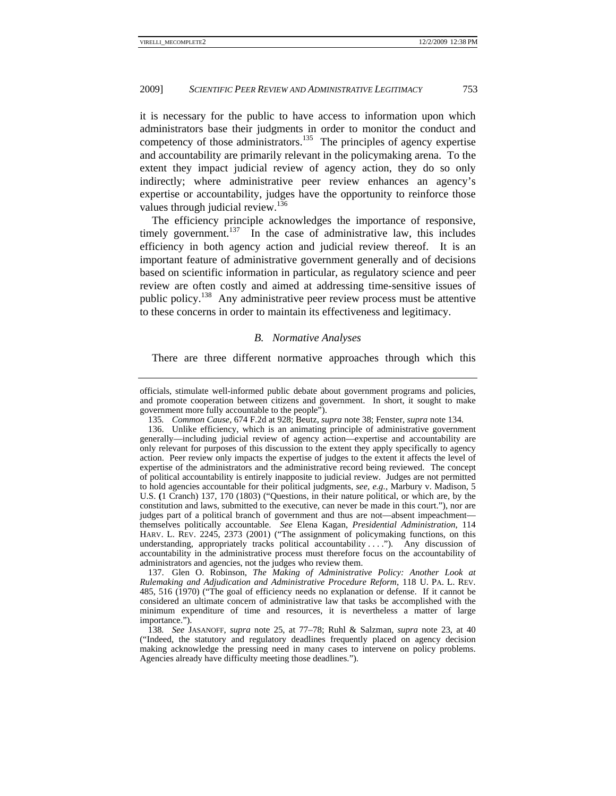it is necessary for the public to have access to information upon which administrators base their judgments in order to monitor the conduct and competency of those administrators.<sup>135</sup> The principles of agency expertise and accountability are primarily relevant in the policymaking arena. To the extent they impact judicial review of agency action, they do so only indirectly; where administrative peer review enhances an agency's expertise or accountability, judges have the opportunity to reinforce those values through judicial review.<sup>136</sup>

The efficiency principle acknowledges the importance of responsive, timely government.<sup>137</sup> In the case of administrative law, this includes efficiency in both agency action and judicial review thereof. It is an important feature of administrative government generally and of decisions based on scientific information in particular, as regulatory science and peer review are often costly and aimed at addressing time-sensitive issues of public policy.138 Any administrative peer review process must be attentive to these concerns in order to maintain its effectiveness and legitimacy.

#### *B. Normative Analyses*

There are three different normative approaches through which this

 137. Glen O. Robinson, *The Making of Administrative Policy: Another Look at Rulemaking and Adjudication and Administrative Procedure Reform*, 118 U. PA. L. REV. 485, 516 (1970) ("The goal of efficiency needs no explanation or defense. If it cannot be considered an ultimate concern of administrative law that tasks be accomplished with the minimum expenditure of time and resources, it is nevertheless a matter of large importance.").

officials, stimulate well-informed public debate about government programs and policies, and promote cooperation between citizens and government. In short, it sought to make government more fully accountable to the people").

<sup>135</sup>*. Common Cause*, 674 F.2d at 928; Beutz, *supra* note 38; Fenster, *supra* note 134.

 <sup>136.</sup> Unlike efficiency, which is an animating principle of administrative government generally—including judicial review of agency action—expertise and accountability are only relevant for purposes of this discussion to the extent they apply specifically to agency action. Peer review only impacts the expertise of judges to the extent it affects the level of expertise of the administrators and the administrative record being reviewed. The concept of political accountability is entirely inapposite to judicial review. Judges are not permitted to hold agencies accountable for their political judgments, *see, e.g.*, Marbury v. Madison, 5 U.S. **(**1 Cranch) 137, 170 (1803) ("Questions, in their nature political, or which are, by the constitution and laws, submitted to the executive, can never be made in this court."), nor are judges part of a political branch of government and thus are not—absent impeachment themselves politically accountable. *See* Elena Kagan, *Presidential Administration*, 114 HARV. L. REV. 2245, 2373 (2001) ("The assignment of policymaking functions, on this understanding, appropriately tracks political accountability . . . ."). Any discussion of accountability in the administrative process must therefore focus on the accountability of administrators and agencies, not the judges who review them.

<sup>138</sup>*. See* JASANOFF, *supra* note 25, at 77–78; Ruhl & Salzman, *supra* note 23, at 40 ("Indeed, the statutory and regulatory deadlines frequently placed on agency decision making acknowledge the pressing need in many cases to intervene on policy problems. Agencies already have difficulty meeting those deadlines.").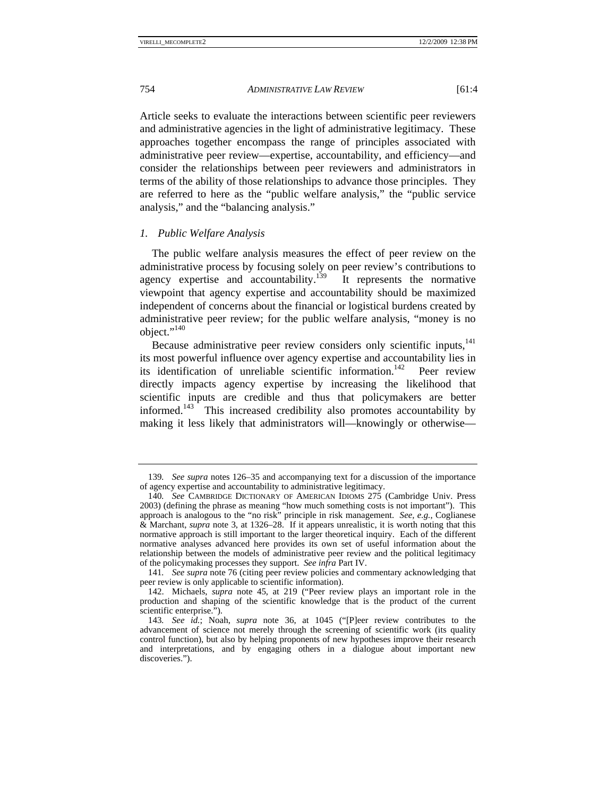Article seeks to evaluate the interactions between scientific peer reviewers and administrative agencies in the light of administrative legitimacy. These approaches together encompass the range of principles associated with administrative peer review—expertise, accountability, and efficiency—and consider the relationships between peer reviewers and administrators in terms of the ability of those relationships to advance those principles. They are referred to here as the "public welfare analysis," the "public service

*1. Public Welfare Analysis* 

analysis," and the "balancing analysis."

The public welfare analysis measures the effect of peer review on the administrative process by focusing solely on peer review's contributions to agency expertise and accountability.<sup>139</sup> It represents the normative viewpoint that agency expertise and accountability should be maximized independent of concerns about the financial or logistical burdens created by administrative peer review; for the public welfare analysis, "money is no object."<sup>140</sup>

Because administrative peer review considers only scientific inputs, $141$ its most powerful influence over agency expertise and accountability lies in its identification of unreliable scientific information.<sup>142</sup> Peer review directly impacts agency expertise by increasing the likelihood that scientific inputs are credible and thus that policymakers are better informed.<sup>143</sup> This increased credibility also promotes accountability by making it less likely that administrators will—knowingly or otherwise—

<sup>139</sup>*. See supra* notes 126–35 and accompanying text for a discussion of the importance of agency expertise and accountability to administrative legitimacy.

<sup>140</sup>*. See* CAMBRIDGE DICTIONARY OF AMERICAN IDIOMS 275 (Cambridge Univ. Press 2003) (defining the phrase as meaning "how much something costs is not important"). This approach is analogous to the "no risk" principle in risk management. *See, e.g.*, Coglianese & Marchant, *supra* note 3, at 1326–28. If it appears unrealistic, it is worth noting that this normative approach is still important to the larger theoretical inquiry. Each of the different normative analyses advanced here provides its own set of useful information about the relationship between the models of administrative peer review and the political legitimacy of the policymaking processes they support. *See infra* Part IV.

<sup>141</sup>*. See supra* note 76 (citing peer review policies and commentary acknowledging that peer review is only applicable to scientific information).

 <sup>142.</sup> Michaels, *supra* note 45, at 219 ("Peer review plays an important role in the production and shaping of the scientific knowledge that is the product of the current scientific enterprise.").

<sup>143</sup>*. See id.*; Noah, *supra* note 36, at 1045 ("[P]eer review contributes to the advancement of science not merely through the screening of scientific work (its quality control function), but also by helping proponents of new hypotheses improve their research and interpretations, and by engaging others in a dialogue about important new discoveries.").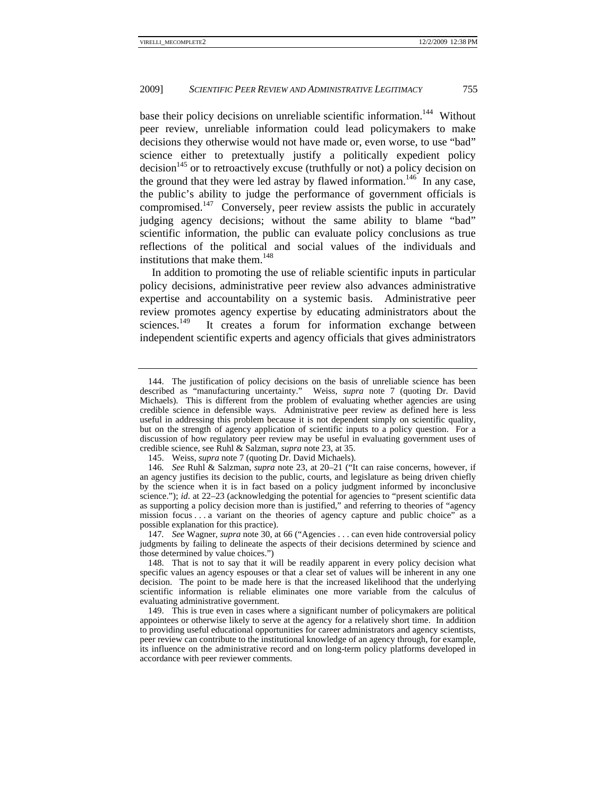base their policy decisions on unreliable scientific information.<sup>144</sup> Without peer review, unreliable information could lead policymakers to make decisions they otherwise would not have made or, even worse, to use "bad" science either to pretextually justify a politically expedient policy  $\text{decision}^{145}$  or to retroactively excuse (truthfully or not) a policy decision on the ground that they were led astray by flawed information.<sup>146</sup> In any case, the public's ability to judge the performance of government officials is compromised.<sup>147</sup> Conversely, peer review assists the public in accurately judging agency decisions; without the same ability to blame "bad" scientific information, the public can evaluate policy conclusions as true reflections of the political and social values of the individuals and institutions that make them.<sup>148</sup>

In addition to promoting the use of reliable scientific inputs in particular policy decisions, administrative peer review also advances administrative expertise and accountability on a systemic basis. Administrative peer review promotes agency expertise by educating administrators about the sciences.<sup>149</sup> It creates a forum for information exchange between It creates a forum for information exchange between independent scientific experts and agency officials that gives administrators

 <sup>144.</sup> The justification of policy decisions on the basis of unreliable science has been described as "manufacturing uncertainty." Weiss, *supra* note 7 (quoting Dr. David Michaels). This is different from the problem of evaluating whether agencies are using credible science in defensible ways. Administrative peer review as defined here is less useful in addressing this problem because it is not dependent simply on scientific quality, but on the strength of agency application of scientific inputs to a policy question. For a discussion of how regulatory peer review may be useful in evaluating government uses of credible science, see Ruhl & Salzman, *supra* note 23, at 35.

 <sup>145.</sup> Weiss, *supra* note 7 (quoting Dr. David Michaels).

<sup>146</sup>*. See* Ruhl & Salzman, *supra* note 23, at 20–21 ("It can raise concerns, however, if an agency justifies its decision to the public, courts, and legislature as being driven chiefly by the science when it is in fact based on a policy judgment informed by inconclusive science."); *id.* at 22-23 (acknowledging the potential for agencies to "present scientific data as supporting a policy decision more than is justified," and referring to theories of "agency mission focus . . . a variant on the theories of agency capture and public choice" as a possible explanation for this practice).

<sup>147</sup>*. See* Wagner, *supra* note 30, at 66 ("Agencies . . . can even hide controversial policy judgments by failing to delineate the aspects of their decisions determined by science and those determined by value choices.")

 <sup>148.</sup> That is not to say that it will be readily apparent in every policy decision what specific values an agency espouses or that a clear set of values will be inherent in any one decision. The point to be made here is that the increased likelihood that the underlying scientific information is reliable eliminates one more variable from the calculus of evaluating administrative government.

 <sup>149.</sup> This is true even in cases where a significant number of policymakers are political appointees or otherwise likely to serve at the agency for a relatively short time. In addition to providing useful educational opportunities for career administrators and agency scientists, peer review can contribute to the institutional knowledge of an agency through, for example, its influence on the administrative record and on long-term policy platforms developed in accordance with peer reviewer comments.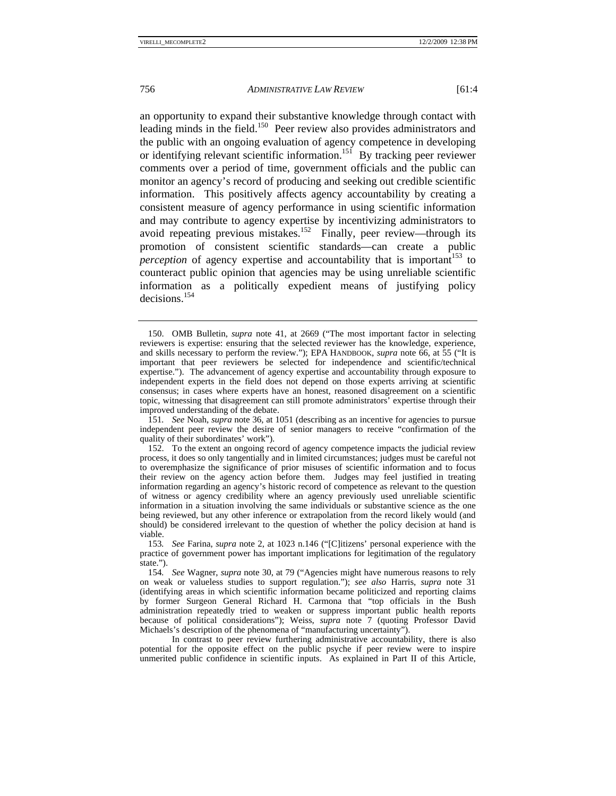an opportunity to expand their substantive knowledge through contact with leading minds in the field.<sup>150</sup> Peer review also provides administrators and the public with an ongoing evaluation of agency competence in developing or identifying relevant scientific information.<sup>151</sup> By tracking peer reviewer comments over a period of time, government officials and the public can monitor an agency's record of producing and seeking out credible scientific information. This positively affects agency accountability by creating a consistent measure of agency performance in using scientific information and may contribute to agency expertise by incentivizing administrators to avoid repeating previous mistakes.<sup>152</sup> Finally, peer review—through its promotion of consistent scientific standards—can create a public *perception* of agency expertise and accountability that is important<sup>153</sup> to counteract public opinion that agencies may be using unreliable scientific information as a politically expedient means of justifying policy decisions.154

151*. See* Noah, *supra* note 36, at 1051 (describing as an incentive for agencies to pursue independent peer review the desire of senior managers to receive "confirmation of the quality of their subordinates' work").

 <sup>150.</sup> OMB Bulletin, *supra* note 41, at 2669 ("The most important factor in selecting reviewers is expertise: ensuring that the selected reviewer has the knowledge, experience, and skills necessary to perform the review."); EPA HANDBOOK, *supra* note 66, at 55 ("It is important that peer reviewers be selected for independence and scientific/technical expertise."). The advancement of agency expertise and accountability through exposure to independent experts in the field does not depend on those experts arriving at scientific consensus; in cases where experts have an honest, reasoned disagreement on a scientific topic, witnessing that disagreement can still promote administrators' expertise through their improved understanding of the debate.

 <sup>152.</sup> To the extent an ongoing record of agency competence impacts the judicial review process, it does so only tangentially and in limited circumstances; judges must be careful not to overemphasize the significance of prior misuses of scientific information and to focus their review on the agency action before them. Judges may feel justified in treating information regarding an agency's historic record of competence as relevant to the question of witness or agency credibility where an agency previously used unreliable scientific information in a situation involving the same individuals or substantive science as the one being reviewed, but any other inference or extrapolation from the record likely would (and should) be considered irrelevant to the question of whether the policy decision at hand is viable.

<sup>153</sup>*. See* Farina, *supra* note 2, at 1023 n.146 ("[C]itizens' personal experience with the practice of government power has important implications for legitimation of the regulatory state.").

<sup>154</sup>*. See* Wagner, *supra* note 30, at 79 ("Agencies might have numerous reasons to rely on weak or valueless studies to support regulation."); *see also* Harris, *supra* note 31 (identifying areas in which scientific information became politicized and reporting claims by former Surgeon General Richard H. Carmona that "top officials in the Bush administration repeatedly tried to weaken or suppress important public health reports because of political considerations"); Weiss, *supra* note 7 (quoting Professor David Michaels's description of the phenomena of "manufacturing uncertainty").

In contrast to peer review furthering administrative accountability, there is also potential for the opposite effect on the public psyche if peer review were to inspire unmerited public confidence in scientific inputs. As explained in Part II of this Article,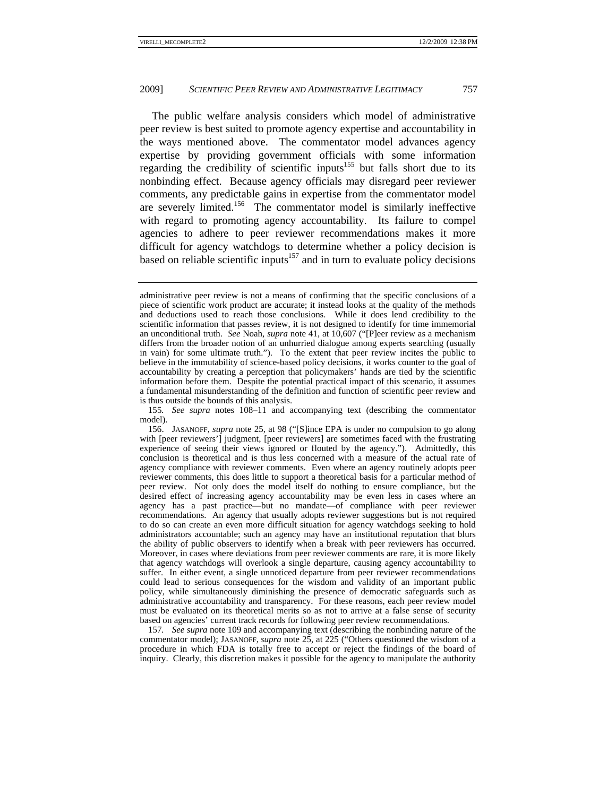The public welfare analysis considers which model of administrative peer review is best suited to promote agency expertise and accountability in the ways mentioned above. The commentator model advances agency expertise by providing government officials with some information regarding the credibility of scientific inputs<sup>155</sup> but falls short due to its nonbinding effect. Because agency officials may disregard peer reviewer comments, any predictable gains in expertise from the commentator model are severely limited.<sup>156</sup> The commentator model is similarly ineffective with regard to promoting agency accountability. Its failure to compel agencies to adhere to peer reviewer recommendations makes it more difficult for agency watchdogs to determine whether a policy decision is based on reliable scientific inputs<sup>157</sup> and in turn to evaluate policy decisions

155*. See supra* notes 108–11 and accompanying text (describing the commentator model).

 156. JASANOFF, *supra* note 25, at 98 ("[S]ince EPA is under no compulsion to go along with [peer reviewers'] judgment, [peer reviewers] are sometimes faced with the frustrating experience of seeing their views ignored or flouted by the agency."). Admittedly, this conclusion is theoretical and is thus less concerned with a measure of the actual rate of agency compliance with reviewer comments. Even where an agency routinely adopts peer reviewer comments, this does little to support a theoretical basis for a particular method of peer review. Not only does the model itself do nothing to ensure compliance, but the desired effect of increasing agency accountability may be even less in cases where an agency has a past practice—but no mandate—of compliance with peer reviewer recommendations. An agency that usually adopts reviewer suggestions but is not required to do so can create an even more difficult situation for agency watchdogs seeking to hold administrators accountable; such an agency may have an institutional reputation that blurs the ability of public observers to identify when a break with peer reviewers has occurred. Moreover, in cases where deviations from peer reviewer comments are rare, it is more likely that agency watchdogs will overlook a single departure, causing agency accountability to suffer. In either event, a single unnoticed departure from peer reviewer recommendations could lead to serious consequences for the wisdom and validity of an important public policy, while simultaneously diminishing the presence of democratic safeguards such as administrative accountability and transparency. For these reasons, each peer review model must be evaluated on its theoretical merits so as not to arrive at a false sense of security based on agencies' current track records for following peer review recommendations.

157*. See supra* note 109 and accompanying text (describing the nonbinding nature of the commentator model); JASANOFF, *supra* note 25, at 225 ("Others questioned the wisdom of a procedure in which FDA is totally free to accept or reject the findings of the board of inquiry. Clearly, this discretion makes it possible for the agency to manipulate the authority

administrative peer review is not a means of confirming that the specific conclusions of a piece of scientific work product are accurate; it instead looks at the quality of the methods and deductions used to reach those conclusions. While it does lend credibility to the scientific information that passes review, it is not designed to identify for time immemorial an unconditional truth. *See* Noah, *supra* note 41, at 10,607 ("[P]eer review as a mechanism differs from the broader notion of an unhurried dialogue among experts searching (usually in vain) for some ultimate truth."). To the extent that peer review incites the public to believe in the immutability of science-based policy decisions, it works counter to the goal of accountability by creating a perception that policymakers' hands are tied by the scientific information before them. Despite the potential practical impact of this scenario, it assumes a fundamental misunderstanding of the definition and function of scientific peer review and is thus outside the bounds of this analysis.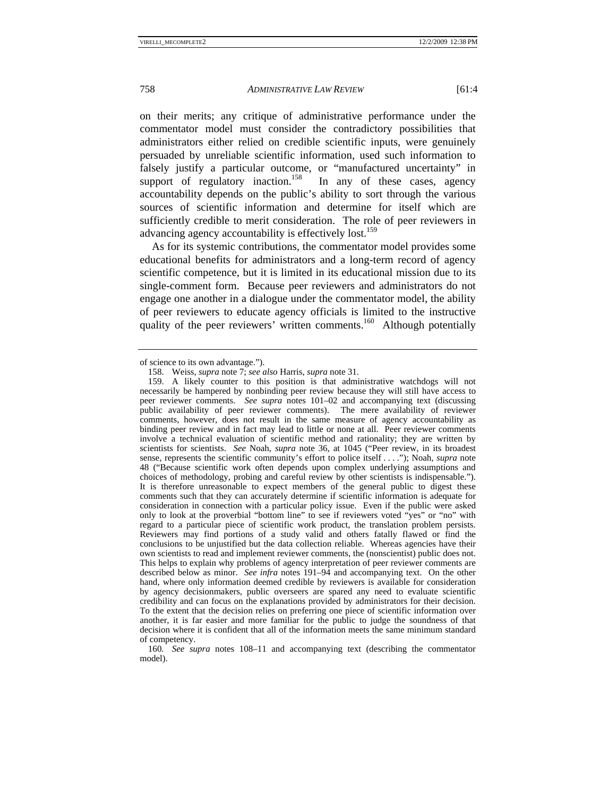on their merits; any critique of administrative performance under the commentator model must consider the contradictory possibilities that administrators either relied on credible scientific inputs, were genuinely persuaded by unreliable scientific information, used such information to falsely justify a particular outcome, or "manufactured uncertainty" in support of regulatory inaction.<sup>158</sup> In any of these cases, agency support of regulatory inaction.<sup>158</sup> accountability depends on the public's ability to sort through the various sources of scientific information and determine for itself which are sufficiently credible to merit consideration. The role of peer reviewers in

As for its systemic contributions, the commentator model provides some educational benefits for administrators and a long-term record of agency scientific competence, but it is limited in its educational mission due to its single-comment form. Because peer reviewers and administrators do not engage one another in a dialogue under the commentator model, the ability of peer reviewers to educate agency officials is limited to the instructive quality of the peer reviewers' written comments.<sup>160</sup> Although potentially

advancing agency accountability is effectively lost.<sup>159</sup>

160*. See supra* notes 108–11 and accompanying text (describing the commentator model).

of science to its own advantage.").

 <sup>158.</sup> Weiss, *supra* note 7; *see also* Harris, *supra* note 31.

 <sup>159.</sup> A likely counter to this position is that administrative watchdogs will not necessarily be hampered by nonbinding peer review because they will still have access to peer reviewer comments. *See supra* notes 101–02 and accompanying text (discussing public availability of peer reviewer comments). The mere availability of reviewer comments, however, does not result in the same measure of agency accountability as binding peer review and in fact may lead to little or none at all. Peer reviewer comments involve a technical evaluation of scientific method and rationality; they are written by scientists for scientists. *See* Noah, *supra* note 36, at 1045 ("Peer review, in its broadest sense, represents the scientific community's effort to police itself . . . ."); Noah, *supra* note 48 ("Because scientific work often depends upon complex underlying assumptions and choices of methodology, probing and careful review by other scientists is indispensable."). It is therefore unreasonable to expect members of the general public to digest these comments such that they can accurately determine if scientific information is adequate for consideration in connection with a particular policy issue. Even if the public were asked only to look at the proverbial "bottom line" to see if reviewers voted "yes" or "no" with regard to a particular piece of scientific work product, the translation problem persists. Reviewers may find portions of a study valid and others fatally flawed or find the conclusions to be unjustified but the data collection reliable. Whereas agencies have their own scientists to read and implement reviewer comments, the (nonscientist) public does not. This helps to explain why problems of agency interpretation of peer reviewer comments are described below as minor. *See infra* notes 191–94 and accompanying text. On the other hand, where only information deemed credible by reviewers is available for consideration by agency decisionmakers, public overseers are spared any need to evaluate scientific credibility and can focus on the explanations provided by administrators for their decision. To the extent that the decision relies on preferring one piece of scientific information over another, it is far easier and more familiar for the public to judge the soundness of that decision where it is confident that all of the information meets the same minimum standard of competency.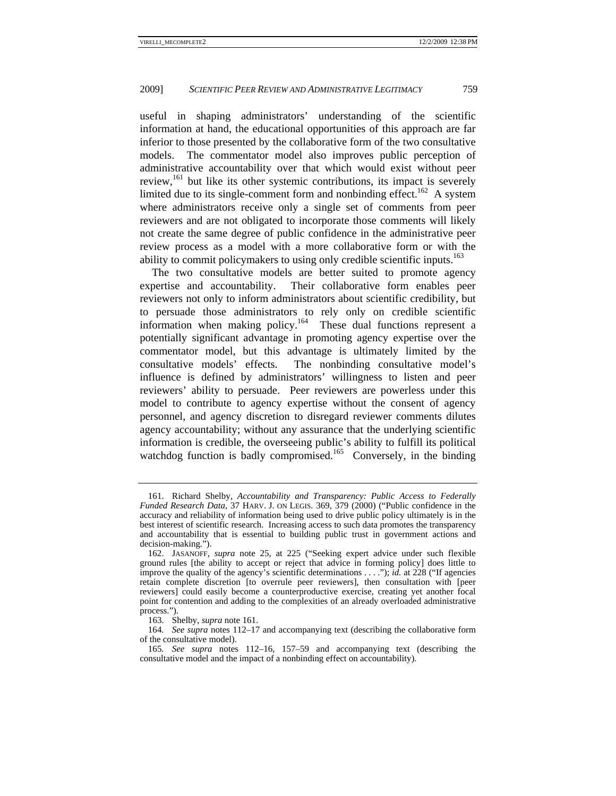useful in shaping administrators' understanding of the scientific information at hand, the educational opportunities of this approach are far inferior to those presented by the collaborative form of the two consultative models. The commentator model also improves public perception of administrative accountability over that which would exist without peer review,<sup>161</sup> but like its other systemic contributions, its impact is severely limited due to its single-comment form and nonbinding effect.<sup>162</sup> A system where administrators receive only a single set of comments from peer reviewers and are not obligated to incorporate those comments will likely not create the same degree of public confidence in the administrative peer review process as a model with a more collaborative form or with the ability to commit policymakers to using only credible scientific inputs.<sup>163</sup>

The two consultative models are better suited to promote agency expertise and accountability. Their collaborative form enables peer reviewers not only to inform administrators about scientific credibility, but to persuade those administrators to rely only on credible scientific information when making policy.164 These dual functions represent a potentially significant advantage in promoting agency expertise over the commentator model, but this advantage is ultimately limited by the consultative models' effects. The nonbinding consultative model's influence is defined by administrators' willingness to listen and peer reviewers' ability to persuade. Peer reviewers are powerless under this model to contribute to agency expertise without the consent of agency personnel, and agency discretion to disregard reviewer comments dilutes agency accountability; without any assurance that the underlying scientific information is credible, the overseeing public's ability to fulfill its political watchdog function is badly compromised.<sup>165</sup> Conversely, in the binding

 <sup>161.</sup> Richard Shelby, *Accountability and Transparency: Public Access to Federally Funded Research Data*, 37 HARV. J. ON LEGIS. 369, 379 (2000) ("Public confidence in the accuracy and reliability of information being used to drive public policy ultimately is in the best interest of scientific research. Increasing access to such data promotes the transparency and accountability that is essential to building public trust in government actions and decision-making.").

 <sup>162.</sup> JASANOFF, *supra* note 25, at 225 ("Seeking expert advice under such flexible ground rules [the ability to accept or reject that advice in forming policy] does little to improve the quality of the agency's scientific determinations . . . ."); *id.* at 228 ("If agencies retain complete discretion [to overrule peer reviewers], then consultation with [peer reviewers] could easily become a counterproductive exercise, creating yet another focal point for contention and adding to the complexities of an already overloaded administrative process.").

 <sup>163.</sup> Shelby, *supra* note 161.

<sup>164</sup>*. See supra* notes 112–17 and accompanying text (describing the collaborative form of the consultative model).

<sup>165</sup>*. See supra* notes 112–16, 157–59 and accompanying text (describing the consultative model and the impact of a nonbinding effect on accountability).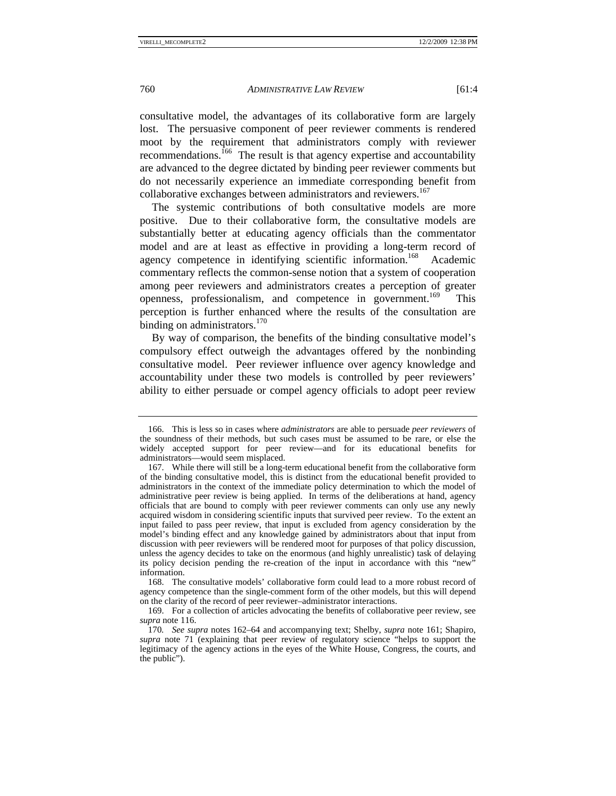consultative model, the advantages of its collaborative form are largely lost. The persuasive component of peer reviewer comments is rendered moot by the requirement that administrators comply with reviewer recommendations.<sup>166</sup> The result is that agency expertise and accountability are advanced to the degree dictated by binding peer reviewer comments but do not necessarily experience an immediate corresponding benefit from collaborative exchanges between administrators and reviewers.<sup>167</sup>

The systemic contributions of both consultative models are more positive. Due to their collaborative form, the consultative models are substantially better at educating agency officials than the commentator model and are at least as effective in providing a long-term record of agency competence in identifying scientific information.<sup>168</sup> Academic commentary reflects the common-sense notion that a system of cooperation among peer reviewers and administrators creates a perception of greater openness, professionalism, and competence in government.<sup>169</sup> This perception is further enhanced where the results of the consultation are binding on administrators.<sup>170</sup>

By way of comparison, the benefits of the binding consultative model's compulsory effect outweigh the advantages offered by the nonbinding consultative model. Peer reviewer influence over agency knowledge and accountability under these two models is controlled by peer reviewers' ability to either persuade or compel agency officials to adopt peer review

 <sup>166.</sup> This is less so in cases where *administrators* are able to persuade *peer reviewers* of the soundness of their methods, but such cases must be assumed to be rare, or else the widely accepted support for peer review—and for its educational benefits for administrators—would seem misplaced.

 <sup>167.</sup> While there will still be a long-term educational benefit from the collaborative form of the binding consultative model, this is distinct from the educational benefit provided to administrators in the context of the immediate policy determination to which the model of administrative peer review is being applied. In terms of the deliberations at hand, agency officials that are bound to comply with peer reviewer comments can only use any newly acquired wisdom in considering scientific inputs that survived peer review. To the extent an input failed to pass peer review, that input is excluded from agency consideration by the model's binding effect and any knowledge gained by administrators about that input from discussion with peer reviewers will be rendered moot for purposes of that policy discussion, unless the agency decides to take on the enormous (and highly unrealistic) task of delaying its policy decision pending the re-creation of the input in accordance with this "new" information.

 <sup>168.</sup> The consultative models' collaborative form could lead to a more robust record of agency competence than the single-comment form of the other models, but this will depend on the clarity of the record of peer reviewer–administrator interactions.

 <sup>169.</sup> For a collection of articles advocating the benefits of collaborative peer review, see *supra* note 116.

<sup>170</sup>*. See supra* notes 162–64 and accompanying text; Shelby, *supra* note 161; Shapiro, *supra* note 71 (explaining that peer review of regulatory science "helps to support the legitimacy of the agency actions in the eyes of the White House, Congress, the courts, and the public").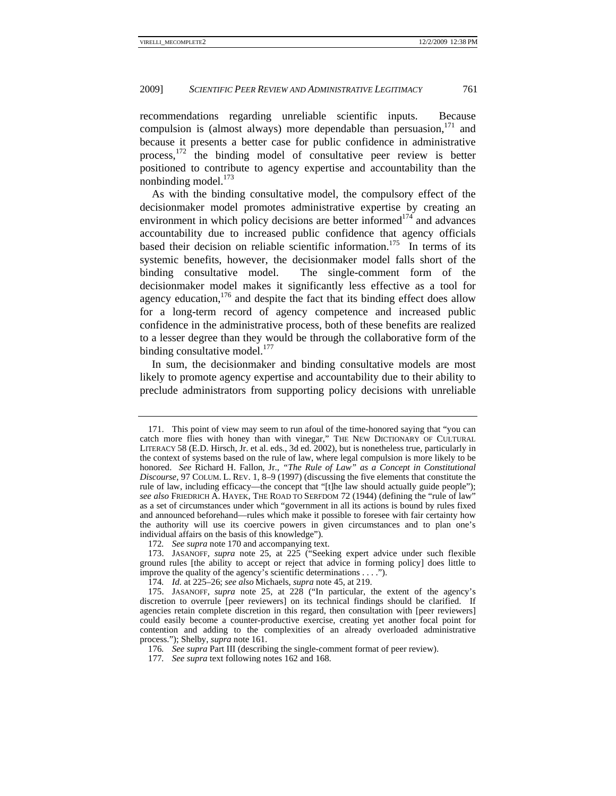recommendations regarding unreliable scientific inputs. Because compulsion is (almost always) more dependable than persuasion.<sup>171</sup> and because it presents a better case for public confidence in administrative process,172 the binding model of consultative peer review is better positioned to contribute to agency expertise and accountability than the nonbinding model.<sup>173</sup>

As with the binding consultative model, the compulsory effect of the decisionmaker model promotes administrative expertise by creating an environment in which policy decisions are better informed $174$  and advances accountability due to increased public confidence that agency officials based their decision on reliable scientific information.<sup>175</sup> In terms of its systemic benefits, however, the decisionmaker model falls short of the binding consultative model. The single-comment form of the decisionmaker model makes it significantly less effective as a tool for agency education,  $176$  and despite the fact that its binding effect does allow for a long-term record of agency competence and increased public confidence in the administrative process, both of these benefits are realized to a lesser degree than they would be through the collaborative form of the binding consultative model. $177$ 

In sum, the decisionmaker and binding consultative models are most likely to promote agency expertise and accountability due to their ability to preclude administrators from supporting policy decisions with unreliable

 <sup>171.</sup> This point of view may seem to run afoul of the time-honored saying that "you can catch more flies with honey than with vinegar," THE NEW DICTIONARY OF CULTURAL LITERACY 58 (E.D. Hirsch, Jr. et al. eds., 3d ed. 2002), but is nonetheless true, particularly in the context of systems based on the rule of law, where legal compulsion is more likely to be honored. *See* Richard H. Fallon, Jr., *"The Rule of Law" as a Concept in Constitutional Discourse*, 97 COLUM. L. REV. 1, 8–9 (1997) (discussing the five elements that constitute the rule of law, including efficacy—the concept that "[t]he law should actually guide people"); *see also* FRIEDRICH A. HAYEK, THE ROAD TO SERFDOM 72 (1944) (defining the "rule of law" as a set of circumstances under which "government in all its actions is bound by rules fixed and announced beforehand—rules which make it possible to foresee with fair certainty how the authority will use its coercive powers in given circumstances and to plan one's individual affairs on the basis of this knowledge").

<sup>172</sup>*. See supra* note 170 and accompanying text.

 <sup>173.</sup> JASANOFF, *supra* note 25, at 225 ("Seeking expert advice under such flexible ground rules [the ability to accept or reject that advice in forming policy] does little to improve the quality of the agency's scientific determinations . . . .").

<sup>174</sup>*. Id.* at 225–26; *see also* Michaels, *supra* note 45, at 219.

 <sup>175.</sup> JASANOFF, *supra* note 25, at 228 ("In particular, the extent of the agency's discretion to overrule [peer reviewers] on its technical findings should be clarified. If agencies retain complete discretion in this regard, then consultation with [peer reviewers] could easily become a counter-productive exercise, creating yet another focal point for contention and adding to the complexities of an already overloaded administrative process."); Shelby, *supra* note 161.

<sup>176</sup>*. See supra* Part III (describing the single-comment format of peer review).

<sup>177</sup>*. See supra* text following notes 162 and 168.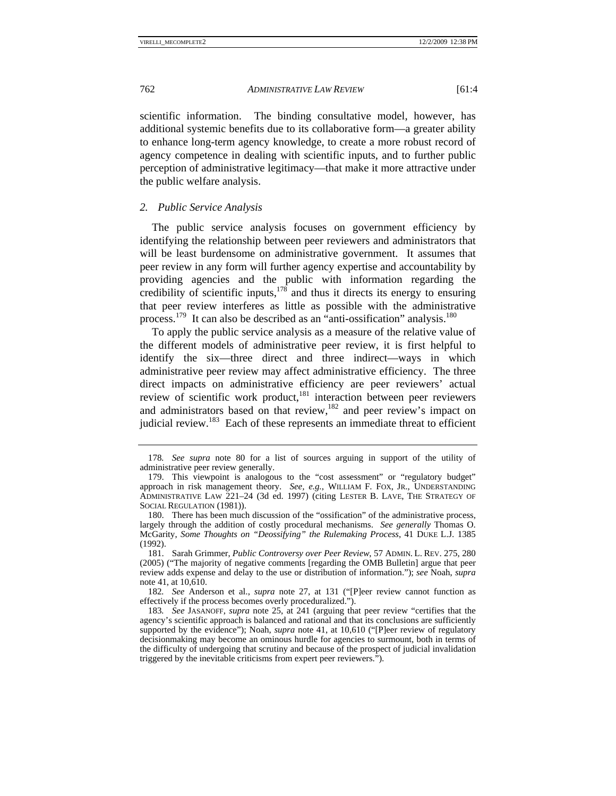scientific information. The binding consultative model, however, has additional systemic benefits due to its collaborative form—a greater ability to enhance long-term agency knowledge, to create a more robust record of agency competence in dealing with scientific inputs, and to further public perception of administrative legitimacy—that make it more attractive under the public welfare analysis.

# *2. Public Service Analysis*

The public service analysis focuses on government efficiency by identifying the relationship between peer reviewers and administrators that will be least burdensome on administrative government. It assumes that peer review in any form will further agency expertise and accountability by providing agencies and the public with information regarding the credibility of scientific inputs,  $178$  and thus it directs its energy to ensuring that peer review interferes as little as possible with the administrative process.179 It can also be described as an "anti-ossification" analysis.180

To apply the public service analysis as a measure of the relative value of the different models of administrative peer review, it is first helpful to identify the six—three direct and three indirect—ways in which administrative peer review may affect administrative efficiency. The three direct impacts on administrative efficiency are peer reviewers' actual review of scientific work product,<sup>181</sup> interaction between peer reviewers and administrators based on that review, $182$  and peer review's impact on judicial review.<sup>183</sup> Each of these represents an immediate threat to efficient

<sup>178</sup>*. See supra* note 80 for a list of sources arguing in support of the utility of administrative peer review generally.

 <sup>179.</sup> This viewpoint is analogous to the "cost assessment" or "regulatory budget" approach in risk management theory. *See, e.g.*, WILLIAM F. FOX, JR., UNDERSTANDING ADMINISTRATIVE LAW 221–24 (3d ed. 1997) (citing LESTER B. LAVE, THE STRATEGY OF SOCIAL REGULATION (1981)).

 <sup>180.</sup> There has been much discussion of the "ossification" of the administrative process, largely through the addition of costly procedural mechanisms. *See generally* Thomas O. McGarity, *Some Thoughts on "Deossifying" the Rulemaking Process*, 41 DUKE L.J. 1385 (1992).

 <sup>181.</sup> Sarah Grimmer, *Public Controversy over Peer Review*, 57 ADMIN. L. REV. 275, 280 (2005) ("The majority of negative comments [regarding the OMB Bulletin] argue that peer review adds expense and delay to the use or distribution of information."); *see* Noah, *supra* note 41, at 10,610.

<sup>182</sup>*. See* Anderson et al., *supra* note 27, at 131 ("[P]eer review cannot function as effectively if the process becomes overly proceduralized.").

<sup>183</sup>*. See* JASANOFF, *supra* note 25, at 241 (arguing that peer review "certifies that the agency's scientific approach is balanced and rational and that its conclusions are sufficiently supported by the evidence"); Noah, *supra* note 41, at 10,610 ("[P]eer review of regulatory decisionmaking may become an ominous hurdle for agencies to surmount, both in terms of the difficulty of undergoing that scrutiny and because of the prospect of judicial invalidation triggered by the inevitable criticisms from expert peer reviewers.").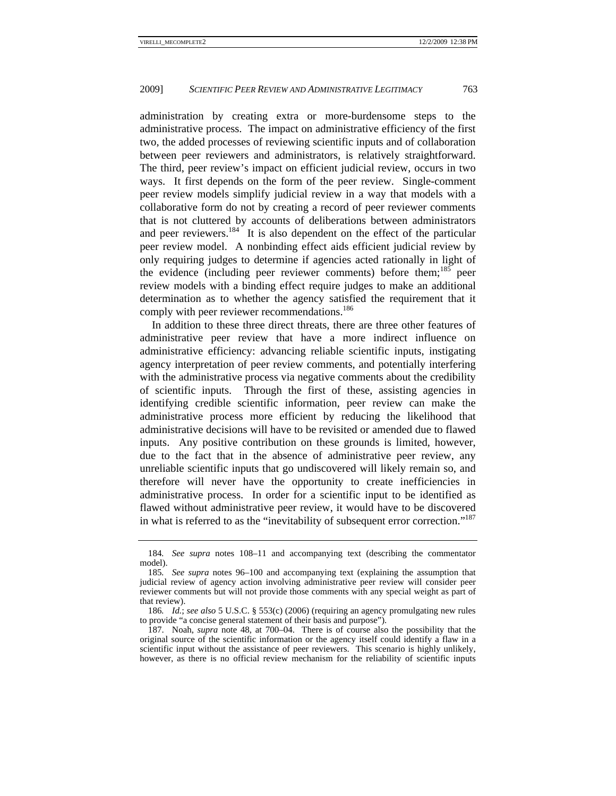administration by creating extra or more-burdensome steps to the administrative process. The impact on administrative efficiency of the first two, the added processes of reviewing scientific inputs and of collaboration between peer reviewers and administrators, is relatively straightforward. The third, peer review's impact on efficient judicial review, occurs in two ways. It first depends on the form of the peer review. Single-comment peer review models simplify judicial review in a way that models with a collaborative form do not by creating a record of peer reviewer comments that is not cluttered by accounts of deliberations between administrators and peer reviewers.<sup>184</sup> It is also dependent on the effect of the particular peer review model. A nonbinding effect aids efficient judicial review by only requiring judges to determine if agencies acted rationally in light of the evidence (including peer reviewer comments) before them;<sup>185</sup> peer review models with a binding effect require judges to make an additional determination as to whether the agency satisfied the requirement that it comply with peer reviewer recommendations.<sup>186</sup>

In addition to these three direct threats, there are three other features of administrative peer review that have a more indirect influence on administrative efficiency: advancing reliable scientific inputs, instigating agency interpretation of peer review comments, and potentially interfering with the administrative process via negative comments about the credibility of scientific inputs. Through the first of these, assisting agencies in identifying credible scientific information, peer review can make the administrative process more efficient by reducing the likelihood that administrative decisions will have to be revisited or amended due to flawed inputs. Any positive contribution on these grounds is limited, however, due to the fact that in the absence of administrative peer review, any unreliable scientific inputs that go undiscovered will likely remain so, and therefore will never have the opportunity to create inefficiencies in administrative process. In order for a scientific input to be identified as flawed without administrative peer review, it would have to be discovered in what is referred to as the "inevitability of subsequent error correction."187

<sup>184</sup>*. See supra* notes 108–11 and accompanying text (describing the commentator model).

<sup>185</sup>*. See supra* notes 96–100 and accompanying text (explaining the assumption that judicial review of agency action involving administrative peer review will consider peer reviewer comments but will not provide those comments with any special weight as part of that review).

<sup>186</sup>*. Id.*; *see also* 5 U.S.C. § 553(c) (2006) (requiring an agency promulgating new rules to provide "a concise general statement of their basis and purpose").

 <sup>187.</sup> Noah, *supra* note 48, at 700–04. There is of course also the possibility that the original source of the scientific information or the agency itself could identify a flaw in a scientific input without the assistance of peer reviewers. This scenario is highly unlikely, however, as there is no official review mechanism for the reliability of scientific inputs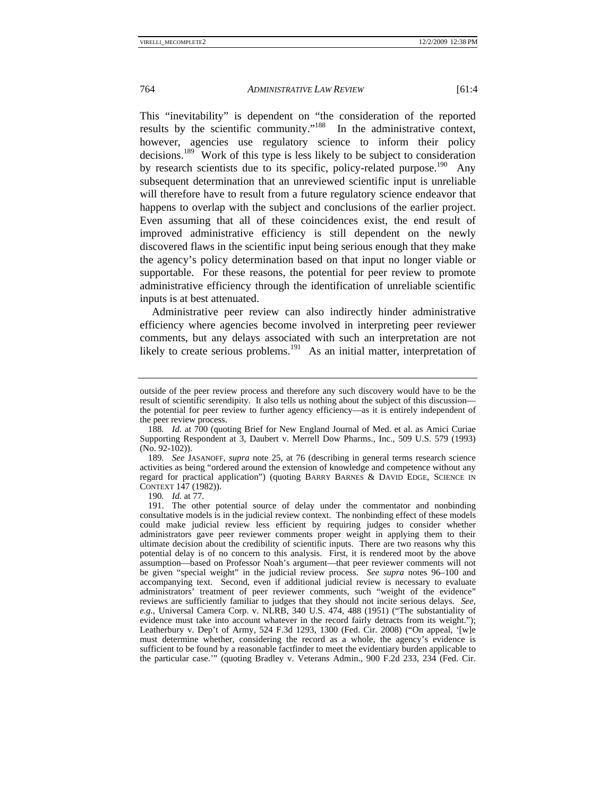This "inevitability" is dependent on "the consideration of the reported results by the scientific community."188 In the administrative context, however, agencies use regulatory science to inform their policy decisions.189 Work of this type is less likely to be subject to consideration by research scientists due to its specific, policy-related purpose.<sup>190</sup> Any subsequent determination that an unreviewed scientific input is unreliable will therefore have to result from a future regulatory science endeavor that happens to overlap with the subject and conclusions of the earlier project. Even assuming that all of these coincidences exist, the end result of improved administrative efficiency is still dependent on the newly discovered flaws in the scientific input being serious enough that they make the agency's policy determination based on that input no longer viable or supportable. For these reasons, the potential for peer review to promote administrative efficiency through the identification of unreliable scientific inputs is at best attenuated.

Administrative peer review can also indirectly hinder administrative efficiency where agencies become involved in interpreting peer reviewer comments, but any delays associated with such an interpretation are not likely to create serious problems.<sup>191</sup> As an initial matter, interpretation of

190*. Id.* at 77.

outside of the peer review process and therefore any such discovery would have to be the result of scientific serendipity. It also tells us nothing about the subject of this discussion the potential for peer review to further agency efficiency—as it is entirely independent of the peer review process.

<sup>188</sup>*. Id.* at 700 (quoting Brief for New England Journal of Med. et al. as Amici Curiae Supporting Respondent at 3, Daubert v. Merrell Dow Pharms., Inc., 509 U.S. 579 (1993) (No. 92-102)).

<sup>189</sup>*. See* JASANOFF, *supra* note 25, at 76 (describing in general terms research science activities as being "ordered around the extension of knowledge and competence without any regard for practical application") (quoting BARRY BARNES & DAVID EDGE, SCIENCE IN CONTEXT 147 (1982)).

 <sup>191.</sup> The other potential source of delay under the commentator and nonbinding consultative models is in the judicial review context. The nonbinding effect of these models could make judicial review less efficient by requiring judges to consider whether administrators gave peer reviewer comments proper weight in applying them to their ultimate decision about the credibility of scientific inputs. There are two reasons why this potential delay is of no concern to this analysis. First, it is rendered moot by the above assumption—based on Professor Noah's argument—that peer reviewer comments will not be given "special weight" in the judicial review process. *See supra* notes 96–100 and accompanying text. Second, even if additional judicial review is necessary to evaluate administrators' treatment of peer reviewer comments, such "weight of the evidence" reviews are sufficiently familiar to judges that they should not incite serious delays. *See, e.g.*, Universal Camera Corp. v. NLRB, 340 U.S. 474, 488 (1951) ("The substantiality of evidence must take into account whatever in the record fairly detracts from its weight."); Leatherbury v. Dep't of Army, 524 F.3d 1293, 1300 (Fed. Cir. 2008) ("On appeal, '[w]e must determine whether, considering the record as a whole, the agency's evidence is sufficient to be found by a reasonable factfinder to meet the evidentiary burden applicable to the particular case.'" (quoting Bradley v. Veterans Admin., 900 F.2d 233, 234 (Fed. Cir.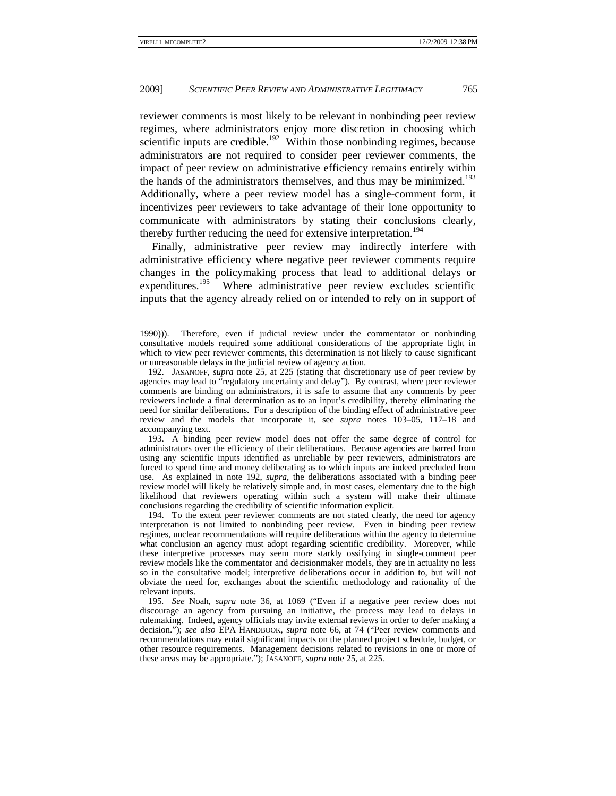reviewer comments is most likely to be relevant in nonbinding peer review regimes, where administrators enjoy more discretion in choosing which scientific inputs are credible.<sup>192</sup> Within those nonbinding regimes, because administrators are not required to consider peer reviewer comments, the impact of peer review on administrative efficiency remains entirely within the hands of the administrators themselves, and thus may be minimized.<sup>193</sup> Additionally, where a peer review model has a single-comment form, it incentivizes peer reviewers to take advantage of their lone opportunity to communicate with administrators by stating their conclusions clearly, thereby further reducing the need for extensive interpretation.<sup>194</sup>

Finally, administrative peer review may indirectly interfere with administrative efficiency where negative peer reviewer comments require changes in the policymaking process that lead to additional delays or expenditures.<sup>195</sup> Where administrative peer review excludes scientific inputs that the agency already relied on or intended to rely on in support of

 193. A binding peer review model does not offer the same degree of control for administrators over the efficiency of their deliberations. Because agencies are barred from using any scientific inputs identified as unreliable by peer reviewers, administrators are forced to spend time and money deliberating as to which inputs are indeed precluded from use. As explained in note 192, *supra*, the deliberations associated with a binding peer review model will likely be relatively simple and, in most cases, elementary due to the high likelihood that reviewers operating within such a system will make their ultimate conclusions regarding the credibility of scientific information explicit.

 194. To the extent peer reviewer comments are not stated clearly, the need for agency interpretation is not limited to nonbinding peer review. Even in binding peer review regimes, unclear recommendations will require deliberations within the agency to determine what conclusion an agency must adopt regarding scientific credibility. Moreover, while these interpretive processes may seem more starkly ossifying in single-comment peer review models like the commentator and decisionmaker models, they are in actuality no less so in the consultative model; interpretive deliberations occur in addition to, but will not obviate the need for, exchanges about the scientific methodology and rationality of the relevant inputs.

195*. See* Noah, *supra* note 36, at 1069 ("Even if a negative peer review does not discourage an agency from pursuing an initiative, the process may lead to delays in rulemaking. Indeed, agency officials may invite external reviews in order to defer making a decision."); *see also* EPA HANDBOOK, *supra* note 66, at 74 ("Peer review comments and recommendations may entail significant impacts on the planned project schedule, budget, or other resource requirements. Management decisions related to revisions in one or more of these areas may be appropriate."); JASANOFF, *supra* note 25, at 225.

<sup>1990))).</sup> Therefore, even if judicial review under the commentator or nonbinding consultative models required some additional considerations of the appropriate light in which to view peer reviewer comments, this determination is not likely to cause significant or unreasonable delays in the judicial review of agency action.

 <sup>192.</sup> JASANOFF, *supra* note 25, at 225 (stating that discretionary use of peer review by agencies may lead to "regulatory uncertainty and delay"). By contrast, where peer reviewer comments are binding on administrators, it is safe to assume that any comments by peer reviewers include a final determination as to an input's credibility, thereby eliminating the need for similar deliberations. For a description of the binding effect of administrative peer review and the models that incorporate it, see *supra* notes 103–05, 117–18 and accompanying text.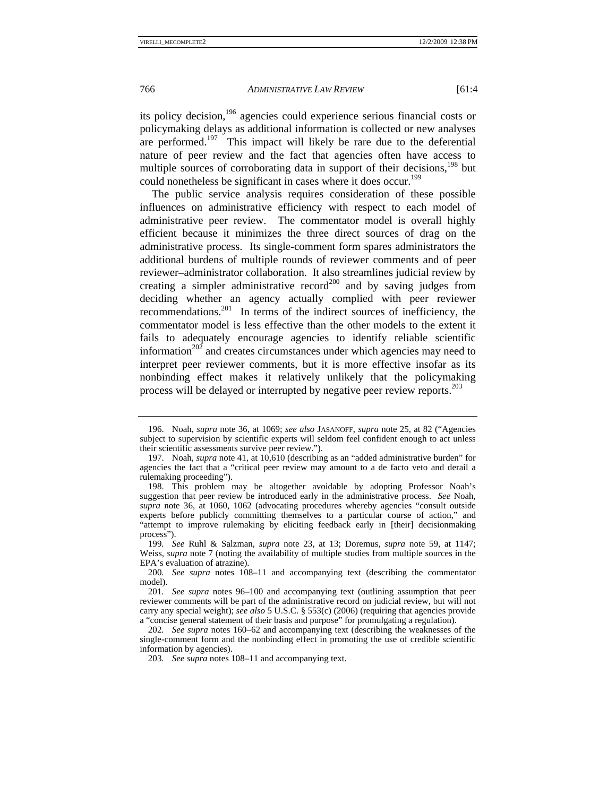its policy decision,196 agencies could experience serious financial costs or policymaking delays as additional information is collected or new analyses are performed.<sup>197</sup> This impact will likely be rare due to the deferential nature of peer review and the fact that agencies often have access to multiple sources of corroborating data in support of their decisions,<sup>198</sup> but could nonetheless be significant in cases where it does occur.<sup>199</sup>

The public service analysis requires consideration of these possible influences on administrative efficiency with respect to each model of administrative peer review. The commentator model is overall highly efficient because it minimizes the three direct sources of drag on the administrative process. Its single-comment form spares administrators the additional burdens of multiple rounds of reviewer comments and of peer reviewer–administrator collaboration. It also streamlines judicial review by creating a simpler administrative record<sup>200</sup> and by saving judges from deciding whether an agency actually complied with peer reviewer recommendations.<sup>201</sup> In terms of the indirect sources of inefficiency, the commentator model is less effective than the other models to the extent it fails to adequately encourage agencies to identify reliable scientific information $^{202}$  and creates circumstances under which agencies may need to interpret peer reviewer comments, but it is more effective insofar as its nonbinding effect makes it relatively unlikely that the policymaking process will be delayed or interrupted by negative peer review reports.<sup>203</sup>

 <sup>196.</sup> Noah, *supra* note 36, at 1069; *see also* JASANOFF, *supra* note 25, at 82 ("Agencies subject to supervision by scientific experts will seldom feel confident enough to act unless their scientific assessments survive peer review.").

 <sup>197.</sup> Noah, *supra* note 41, at 10,610 (describing as an "added administrative burden" for agencies the fact that a "critical peer review may amount to a de facto veto and derail a rulemaking proceeding").

 <sup>198.</sup> This problem may be altogether avoidable by adopting Professor Noah's suggestion that peer review be introduced early in the administrative process. *See* Noah, *supra* note 36, at 1060, 1062 (advocating procedures whereby agencies "consult outside experts before publicly committing themselves to a particular course of action," and "attempt to improve rulemaking by eliciting feedback early in [their] decisionmaking process").

<sup>199</sup>*. See* Ruhl & Salzman, *supra* note 23, at 13; Doremus, *supra* note 59, at 1147; Weiss, *supra* note 7 (noting the availability of multiple studies from multiple sources in the EPA's evaluation of atrazine).

<sup>200</sup>*. See supra* notes 108–11 and accompanying text (describing the commentator model).

<sup>201</sup>*. See supra* notes 96–100 and accompanying text (outlining assumption that peer reviewer comments will be part of the administrative record on judicial review, but will not carry any special weight); *see also* 5 U.S.C. § 553(c) (2006) (requiring that agencies provide a "concise general statement of their basis and purpose" for promulgating a regulation).

<sup>202</sup>*. See supra* notes 160–62 and accompanying text (describing the weaknesses of the single-comment form and the nonbinding effect in promoting the use of credible scientific information by agencies).

<sup>203</sup>*. See supra* notes 108–11 and accompanying text.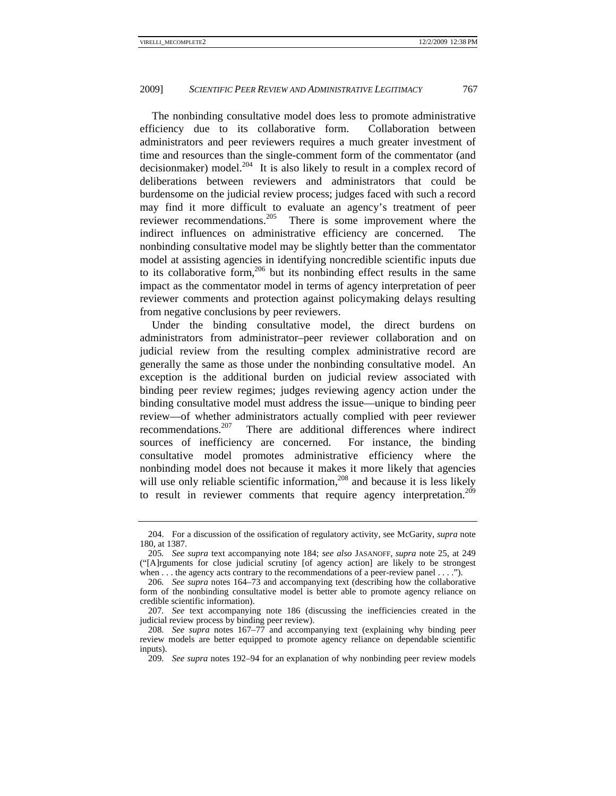The nonbinding consultative model does less to promote administrative efficiency due to its collaborative form. Collaboration between administrators and peer reviewers requires a much greater investment of time and resources than the single-comment form of the commentator (and decisionmaker) model.<sup>204</sup> It is also likely to result in a complex record of deliberations between reviewers and administrators that could be burdensome on the judicial review process; judges faced with such a record may find it more difficult to evaluate an agency's treatment of peer reviewer recommendations.205 There is some improvement where the indirect influences on administrative efficiency are concerned. The nonbinding consultative model may be slightly better than the commentator model at assisting agencies in identifying noncredible scientific inputs due to its collaborative form,<sup>206</sup> but its nonbinding effect results in the same impact as the commentator model in terms of agency interpretation of peer reviewer comments and protection against policymaking delays resulting from negative conclusions by peer reviewers.

Under the binding consultative model, the direct burdens on administrators from administrator–peer reviewer collaboration and on judicial review from the resulting complex administrative record are generally the same as those under the nonbinding consultative model. An exception is the additional burden on judicial review associated with binding peer review regimes; judges reviewing agency action under the binding consultative model must address the issue—unique to binding peer review—of whether administrators actually complied with peer reviewer recommendations.<sup>207</sup> There are additional differences where indirect sources of inefficiency are concerned. For instance, the binding consultative model promotes administrative efficiency where the nonbinding model does not because it makes it more likely that agencies will use only reliable scientific information,<sup>208</sup> and because it is less likely to result in reviewer comments that require agency interpretation.<sup>209</sup>

 <sup>204.</sup> For a discussion of the ossification of regulatory activity, see McGarity, *supra* note 180, at 1387.

<sup>205</sup>*. See supra* text accompanying note 184; *see also* JASANOFF, *supra* note 25, at 249 ("[A]rguments for close judicial scrutiny [of agency action] are likely to be strongest when . . . the agency acts contrary to the recommendations of a peer-review panel . . . .").

<sup>206</sup>*. See supra* notes 164–73 and accompanying text (describing how the collaborative form of the nonbinding consultative model is better able to promote agency reliance on credible scientific information).

<sup>207</sup>*. See* text accompanying note 186 (discussing the inefficiencies created in the judicial review process by binding peer review).

<sup>208</sup>*. See supra* notes 167–77 and accompanying text (explaining why binding peer review models are better equipped to promote agency reliance on dependable scientific inputs).

<sup>209</sup>*. See supra* notes 192–94 for an explanation of why nonbinding peer review models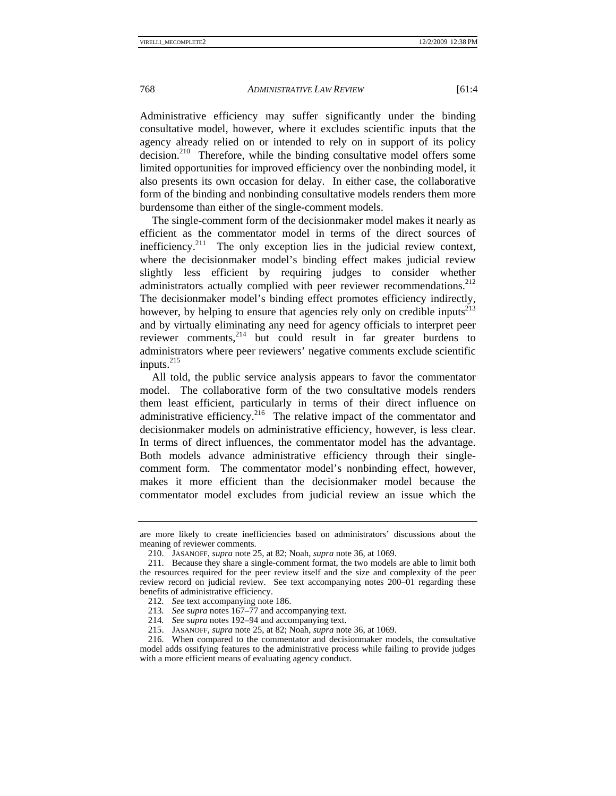Administrative efficiency may suffer significantly under the binding consultative model, however, where it excludes scientific inputs that the agency already relied on or intended to rely on in support of its policy  $\frac{10}{20}$  Therefore, while the binding consultative model offers some limited opportunities for improved efficiency over the nonbinding model, it also presents its own occasion for delay. In either case, the collaborative form of the binding and nonbinding consultative models renders them more burdensome than either of the single-comment models.

The single-comment form of the decisionmaker model makes it nearly as efficient as the commentator model in terms of the direct sources of inefficiency.<sup>211</sup> The only exception lies in the judicial review context, where the decisionmaker model's binding effect makes judicial review slightly less efficient by requiring judges to consider whether administrators actually complied with peer reviewer recommendations.<sup>212</sup> The decisionmaker model's binding effect promotes efficiency indirectly, however, by helping to ensure that agencies rely only on credible inputs<sup>213</sup> and by virtually eliminating any need for agency officials to interpret peer reviewer comments,<sup>214</sup> but could result in far greater burdens to administrators where peer reviewers' negative comments exclude scientific inputs. $^{215}$ 

All told, the public service analysis appears to favor the commentator model. The collaborative form of the two consultative models renders them least efficient, particularly in terms of their direct influence on administrative efficiency.<sup>216</sup> The relative impact of the commentator and decisionmaker models on administrative efficiency, however, is less clear. In terms of direct influences, the commentator model has the advantage. Both models advance administrative efficiency through their singlecomment form. The commentator model's nonbinding effect, however, makes it more efficient than the decisionmaker model because the commentator model excludes from judicial review an issue which the

- 213*. See supra* notes 167–77 and accompanying text.
- 214*. See supra* notes 192–94 and accompanying text.
- 215. JASANOFF, *supra* note 25, at 82; Noah, *supra* note 36, at 1069.

are more likely to create inefficiencies based on administrators' discussions about the meaning of reviewer comments.

 <sup>210.</sup> JASANOFF, *supra* note 25, at 82; Noah, *supra* note 36, at 1069.

 <sup>211.</sup> Because they share a single-comment format, the two models are able to limit both the resources required for the peer review itself and the size and complexity of the peer review record on judicial review. See text accompanying notes 200–01 regarding these benefits of administrative efficiency.

<sup>212</sup>*. See* text accompanying note 186.

 <sup>216.</sup> When compared to the commentator and decisionmaker models, the consultative model adds ossifying features to the administrative process while failing to provide judges with a more efficient means of evaluating agency conduct.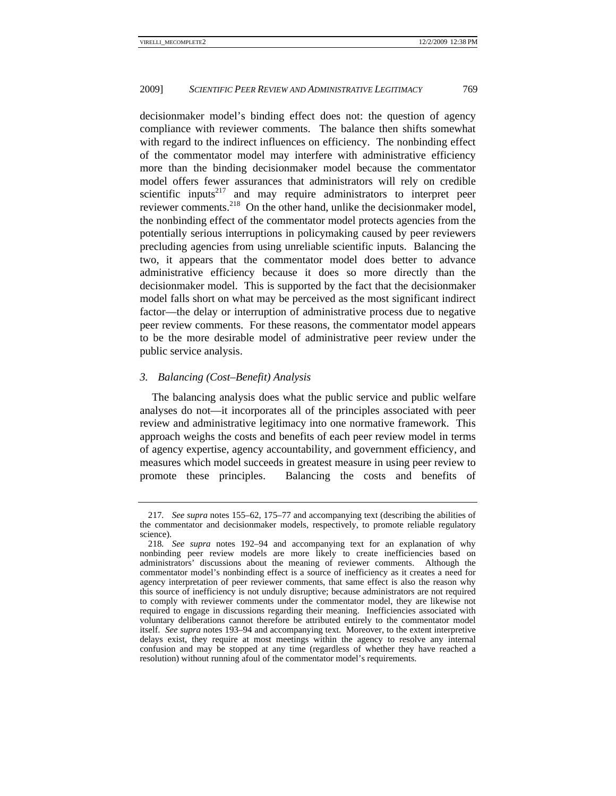decisionmaker model's binding effect does not: the question of agency compliance with reviewer comments. The balance then shifts somewhat with regard to the indirect influences on efficiency. The nonbinding effect of the commentator model may interfere with administrative efficiency more than the binding decisionmaker model because the commentator model offers fewer assurances that administrators will rely on credible scientific inputs<sup>217</sup> and may require administrators to interpret peer reviewer comments.<sup>218</sup> On the other hand, unlike the decisionmaker model, the nonbinding effect of the commentator model protects agencies from the potentially serious interruptions in policymaking caused by peer reviewers precluding agencies from using unreliable scientific inputs. Balancing the two, it appears that the commentator model does better to advance administrative efficiency because it does so more directly than the decisionmaker model. This is supported by the fact that the decisionmaker model falls short on what may be perceived as the most significant indirect factor—the delay or interruption of administrative process due to negative peer review comments. For these reasons, the commentator model appears to be the more desirable model of administrative peer review under the public service analysis.

# *3. Balancing (Cost–Benefit) Analysis*

The balancing analysis does what the public service and public welfare analyses do not—it incorporates all of the principles associated with peer review and administrative legitimacy into one normative framework. This approach weighs the costs and benefits of each peer review model in terms of agency expertise, agency accountability, and government efficiency, and measures which model succeeds in greatest measure in using peer review to promote these principles. Balancing the costs and benefits of

<sup>217</sup>*. See supra* notes 155–62, 175–77 and accompanying text (describing the abilities of the commentator and decisionmaker models, respectively, to promote reliable regulatory science).

<sup>218</sup>*. See supra* notes 192–94 and accompanying text for an explanation of why nonbinding peer review models are more likely to create inefficiencies based on administrators' discussions about the meaning of reviewer comments. Although the commentator model's nonbinding effect is a source of inefficiency as it creates a need for agency interpretation of peer reviewer comments, that same effect is also the reason why this source of inefficiency is not unduly disruptive; because administrators are not required to comply with reviewer comments under the commentator model, they are likewise not required to engage in discussions regarding their meaning. Inefficiencies associated with voluntary deliberations cannot therefore be attributed entirely to the commentator model itself. *See supra* notes 193–94 and accompanying text. Moreover, to the extent interpretive delays exist, they require at most meetings within the agency to resolve any internal confusion and may be stopped at any time (regardless of whether they have reached a resolution) without running afoul of the commentator model's requirements.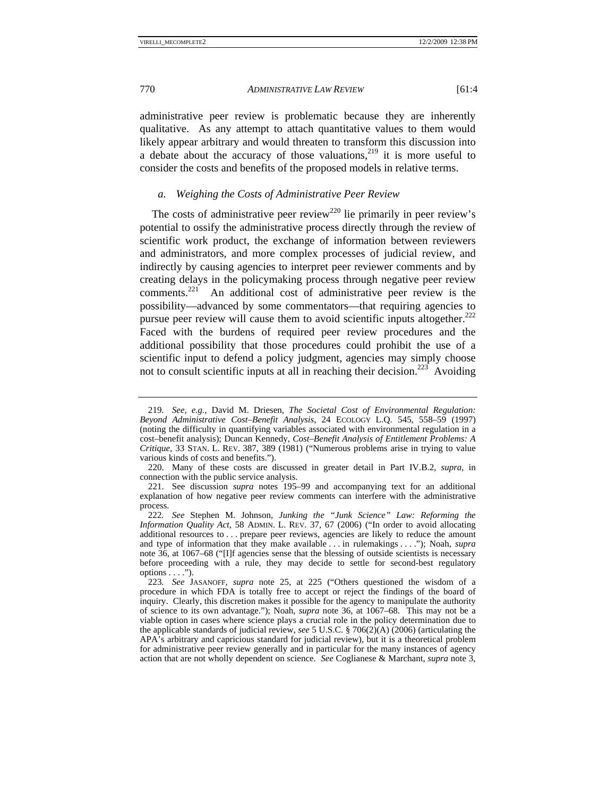administrative peer review is problematic because they are inherently qualitative. As any attempt to attach quantitative values to them would likely appear arbitrary and would threaten to transform this discussion into a debate about the accuracy of those valuations,  $2^{19}$  it is more useful to consider the costs and benefits of the proposed models in relative terms.

### *a. Weighing the Costs of Administrative Peer Review*

The costs of administrative peer review<sup>220</sup> lie primarily in peer review's potential to ossify the administrative process directly through the review of scientific work product, the exchange of information between reviewers and administrators, and more complex processes of judicial review, and indirectly by causing agencies to interpret peer reviewer comments and by creating delays in the policymaking process through negative peer review comments.221 An additional cost of administrative peer review is the possibility—advanced by some commentators—that requiring agencies to pursue peer review will cause them to avoid scientific inputs altogether.<sup>222</sup> Faced with the burdens of required peer review procedures and the additional possibility that those procedures could prohibit the use of a scientific input to defend a policy judgment, agencies may simply choose not to consult scientific inputs at all in reaching their decision.<sup>223</sup> Avoiding

<sup>219</sup>*. See, e.g.*, David M. Driesen, *The Societal Cost of Environmental Regulation: Beyond Administrative Cost–Benefit Analysis*, 24 ECOLOGY L.Q. 545, 558–59 (1997) (noting the difficulty in quantifying variables associated with environmental regulation in a cost–benefit analysis); Duncan Kennedy, *Cost–Benefit Analysis of Entitlement Problems: A Critique*, 33 STAN. L. REV. 387, 389 (1981) ("Numerous problems arise in trying to value various kinds of costs and benefits.").

 <sup>220.</sup> Many of these costs are discussed in greater detail in Part IV.B.2, *supra*, in connection with the public service analysis.

 <sup>221.</sup> See discussion *supra* notes 195–99 and accompanying text for an additional explanation of how negative peer review comments can interfere with the administrative process.

<sup>222</sup>*. See* Stephen M. Johnson, *Junking the "Junk Science" Law: Reforming the Information Quality Act*, 58 ADMIN. L. REV. 37, 67 (2006) ("In order to avoid allocating additional resources to . . . prepare peer reviews, agencies are likely to reduce the amount and type of information that they make available . . . in rulemakings . . . ."); Noah, *supra* note 36, at 1067–68 ("[I]f agencies sense that the blessing of outside scientists is necessary before proceeding with a rule, they may decide to settle for second-best regulatory  $options \ldots$ ").

<sup>223</sup>*. See* JASANOFF, *supra* note 25, at 225 ("Others questioned the wisdom of a procedure in which FDA is totally free to accept or reject the findings of the board of inquiry. Clearly, this discretion makes it possible for the agency to manipulate the authority of science to its own advantage."); Noah, *supra* note 36, at 1067–68. This may not be a viable option in cases where science plays a crucial role in the policy determination due to the applicable standards of judicial review, *see* 5 U.S.C. § 706(2)(A) (2006) (articulating the APA's arbitrary and capricious standard for judicial review), but it is a theoretical problem for administrative peer review generally and in particular for the many instances of agency action that are not wholly dependent on science. *See* Coglianese & Marchant, *supra* note 3,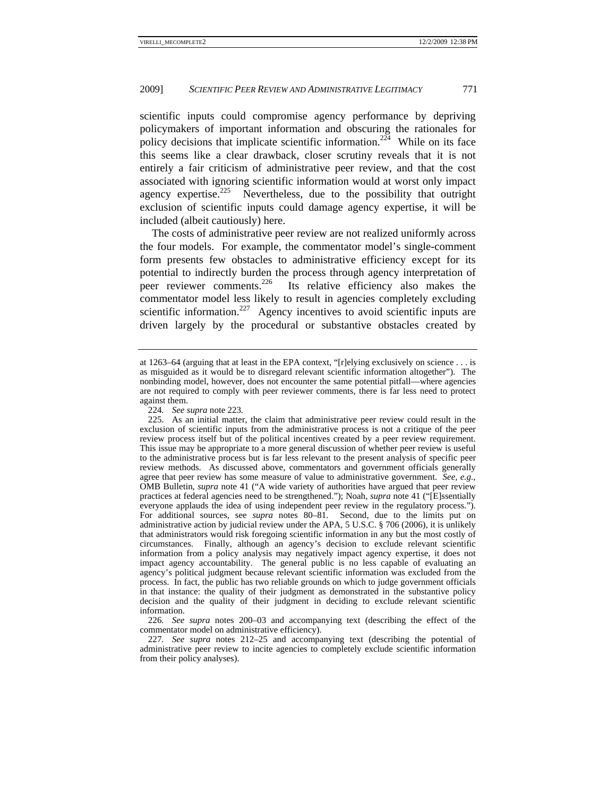scientific inputs could compromise agency performance by depriving policymakers of important information and obscuring the rationales for policy decisions that implicate scientific information.<sup>224</sup> While on its face this seems like a clear drawback, closer scrutiny reveals that it is not entirely a fair criticism of administrative peer review, and that the cost associated with ignoring scientific information would at worst only impact agency expertise.<sup>225</sup> Nevertheless, due to the possibility that outright exclusion of scientific inputs could damage agency expertise, it will be included (albeit cautiously) here.

The costs of administrative peer review are not realized uniformly across the four models. For example, the commentator model's single-comment form presents few obstacles to administrative efficiency except for its potential to indirectly burden the process through agency interpretation of peer reviewer comments.<sup>226</sup> Its relative efficiency also makes the commentator model less likely to result in agencies completely excluding scientific information.<sup>227</sup> Agency incentives to avoid scientific inputs are driven largely by the procedural or substantive obstacles created by

226*. See supra* notes 200–03 and accompanying text (describing the effect of the commentator model on administrative efficiency).

227*. See supra* notes 212–25 and accompanying text (describing the potential of administrative peer review to incite agencies to completely exclude scientific information from their policy analyses).

at 1263–64 (arguing that at least in the EPA context, "[r]elying exclusively on science  $\dots$  is as misguided as it would be to disregard relevant scientific information altogether"). The nonbinding model, however, does not encounter the same potential pitfall—where agencies are not required to comply with peer reviewer comments, there is far less need to protect against them.

<sup>224</sup>*. See supra* note 223*.*

 <sup>225.</sup> As an initial matter, the claim that administrative peer review could result in the exclusion of scientific inputs from the administrative process is not a critique of the peer review process itself but of the political incentives created by a peer review requirement. This issue may be appropriate to a more general discussion of whether peer review is useful to the administrative process but is far less relevant to the present analysis of specific peer review methods. As discussed above, commentators and government officials generally agree that peer review has some measure of value to administrative government. *See, e.g.*, OMB Bulletin, *supra* note 41 ("A wide variety of authorities have argued that peer review practices at federal agencies need to be strengthened."); Noah, *supra* note 41 ("[E]ssentially everyone applauds the idea of using independent peer review in the regulatory process."). For additional sources, see *supra* notes 80–81. Second, due to the limits put on administrative action by judicial review under the APA, 5 U.S.C. § 706 (2006), it is unlikely that administrators would risk foregoing scientific information in any but the most costly of circumstances. Finally, although an agency's decision to exclude relevant scientific information from a policy analysis may negatively impact agency expertise, it does not impact agency accountability. The general public is no less capable of evaluating an agency's political judgment because relevant scientific information was excluded from the process. In fact, the public has two reliable grounds on which to judge government officials in that instance: the quality of their judgment as demonstrated in the substantive policy decision and the quality of their judgment in deciding to exclude relevant scientific information.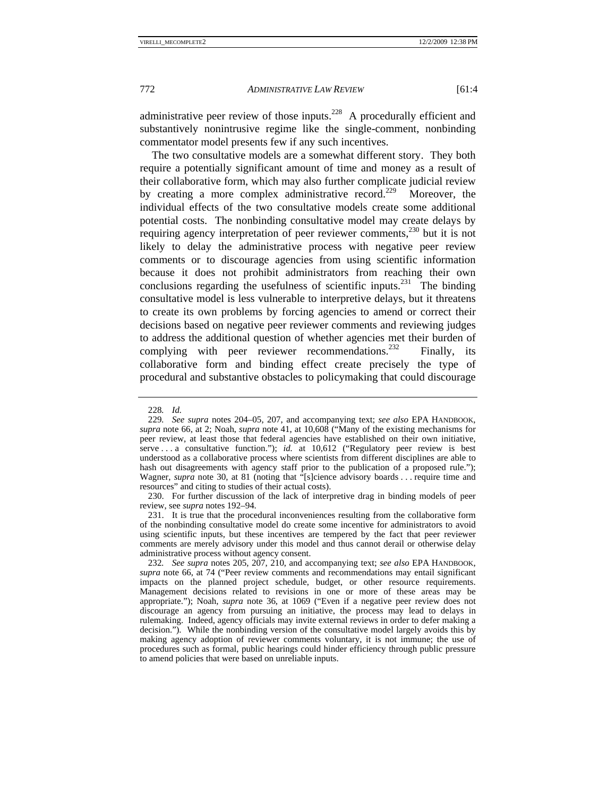administrative peer review of those inputs.<sup>228</sup> A procedurally efficient and substantively nonintrusive regime like the single-comment, nonbinding commentator model presents few if any such incentives.

The two consultative models are a somewhat different story. They both require a potentially significant amount of time and money as a result of their collaborative form, which may also further complicate judicial review by creating a more complex administrative record.<sup>229</sup> Moreover, the individual effects of the two consultative models create some additional potential costs. The nonbinding consultative model may create delays by requiring agency interpretation of peer reviewer comments,  $230$  but it is not likely to delay the administrative process with negative peer review comments or to discourage agencies from using scientific information because it does not prohibit administrators from reaching their own conclusions regarding the usefulness of scientific inputs.<sup>231</sup> The binding consultative model is less vulnerable to interpretive delays, but it threatens to create its own problems by forcing agencies to amend or correct their decisions based on negative peer reviewer comments and reviewing judges to address the additional question of whether agencies met their burden of complying with peer reviewer recommendations.<sup>232</sup> Finally, its collaborative form and binding effect create precisely the type of procedural and substantive obstacles to policymaking that could discourage

 230. For further discussion of the lack of interpretive drag in binding models of peer review, see *supra* notes 192–94.

 231. It is true that the procedural inconveniences resulting from the collaborative form of the nonbinding consultative model do create some incentive for administrators to avoid using scientific inputs, but these incentives are tempered by the fact that peer reviewer comments are merely advisory under this model and thus cannot derail or otherwise delay administrative process without agency consent.

232*. See supra* notes 205, 207, 210, and accompanying text; *see also* EPA HANDBOOK, *supra* note 66, at 74 ("Peer review comments and recommendations may entail significant impacts on the planned project schedule, budget, or other resource requirements. Management decisions related to revisions in one or more of these areas may be appropriate."); Noah, *supra* note 36, at 1069 ("Even if a negative peer review does not discourage an agency from pursuing an initiative, the process may lead to delays in rulemaking. Indeed, agency officials may invite external reviews in order to defer making a decision."). While the nonbinding version of the consultative model largely avoids this by making agency adoption of reviewer comments voluntary, it is not immune; the use of procedures such as formal, public hearings could hinder efficiency through public pressure to amend policies that were based on unreliable inputs.

<sup>228</sup>*. Id.*

<sup>229</sup>*. See supra* notes 204–05, 207, and accompanying text; *see also* EPA HANDBOOK, *supra* note 66, at 2; Noah, *supra* note 41, at 10,608 ("Many of the existing mechanisms for peer review, at least those that federal agencies have established on their own initiative, serve . . . a consultative function."); *id.* at 10,612 ("Regulatory peer review is best understood as a collaborative process where scientists from different disciplines are able to hash out disagreements with agency staff prior to the publication of a proposed rule."); Wagner, *supra* note 30, at 81 (noting that "[s]cience advisory boards . . . require time and resources" and citing to studies of their actual costs).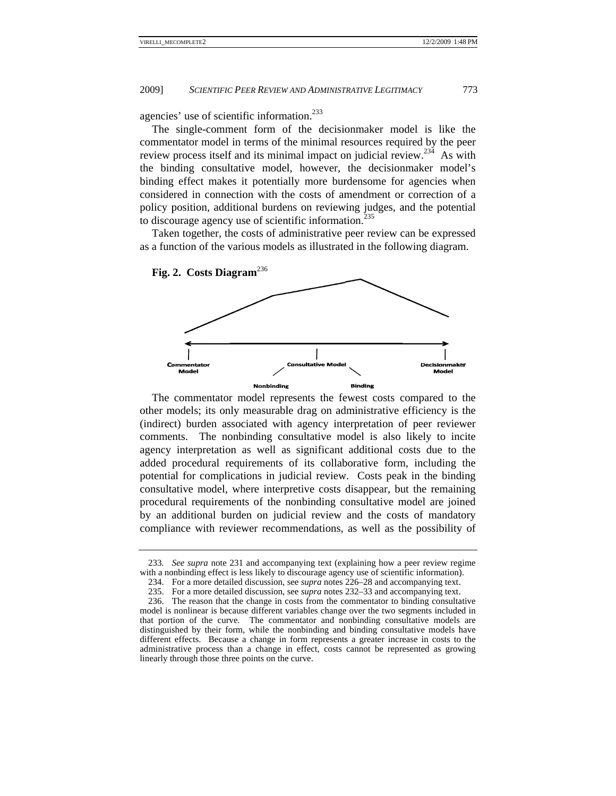agencies' use of scientific information.<sup>233</sup>

The single-comment form of the decisionmaker model is like the commentator model in terms of the minimal resources required by the peer review process itself and its minimal impact on judicial review.<sup>234</sup> As with the binding consultative model, however, the decisionmaker model's binding effect makes it potentially more burdensome for agencies when considered in connection with the costs of amendment or correction of a policy position, additional burdens on reviewing judges, and the potential to discourage agency use of scientific information.<sup>235</sup>

Taken together, the costs of administrative peer review can be expressed as a function of the various models as illustrated in the following diagram.



The commentator model represents the fewest costs compared to the other models; its only measurable drag on administrative efficiency is the (indirect) burden associated with agency interpretation of peer reviewer comments. The nonbinding consultative model is also likely to incite agency interpretation as well as significant additional costs due to the added procedural requirements of its collaborative form, including the potential for complications in judicial review. Costs peak in the binding consultative model, where interpretive costs disappear, but the remaining procedural requirements of the nonbinding consultative model are joined by an additional burden on judicial review and the costs of mandatory compliance with reviewer recommendations, as well as the possibility of

<sup>233.</sup> See supra note 231 and accompanying text (explaining how a peer review regime with a nonbinding effect is less likely to discourage agency use of scientific information).

<sup>234.</sup> For a more detailed discussion, see *supra* notes 226–28 and accompanying text.

<sup>235.</sup> For a more detailed discussion, see *supra* notes 232–33 and accompanying text. 234. For a more detailed discussion, see *supra* notes  $226-28$  and accompanying text.<br>235. For a more detailed discussion, see *supra* notes  $232-33$  and accompanying text.<br>236. The reason that the change in costs from t

model is nonlinear is because different variables change over the two segments included in that port distinguis different effects. Because a change in form represents a greater increase in costs to the administrative process than a change in effect, costs cannot be represented as growing linearly through those three points on the curve. tion of the curv shed by their fo ve. The comm orm, while the mentator and no nonbinding and onbinding consu d binding consul ultative models ltative models h are have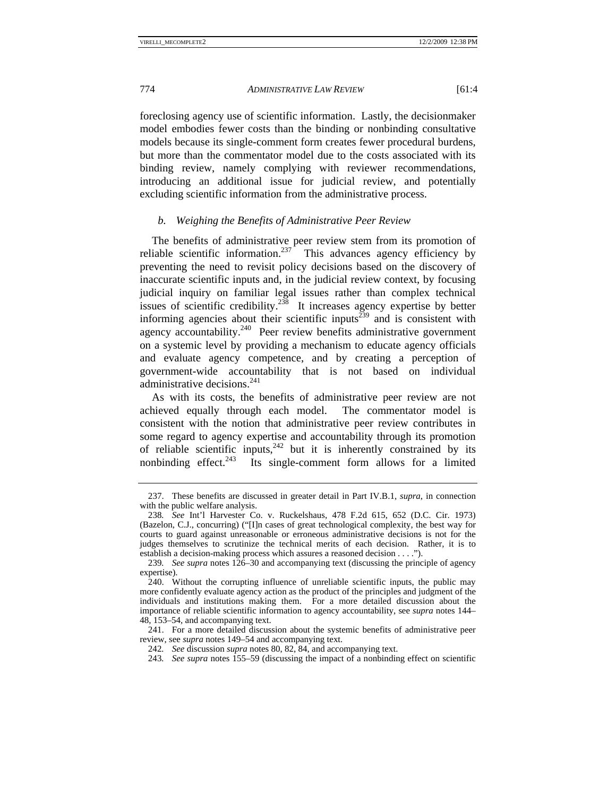foreclosing agency use of scientific information. Lastly, the decisionmaker model embodies fewer costs than the binding or nonbinding consultative models because its single-comment form creates fewer procedural burdens, but more than the commentator model due to the costs associated with its binding review, namely complying with reviewer recommendations, introducing an additional issue for judicial review, and potentially excluding scientific information from the administrative process.

# *b. Weighing the Benefits of Administrative Peer Review*

The benefits of administrative peer review stem from its promotion of reliable scientific information.<sup>237</sup> This advances agency efficiency by preventing the need to revisit policy decisions based on the discovery of inaccurate scientific inputs and, in the judicial review context, by focusing judicial inquiry on familiar legal issues rather than complex technical issues of scientific credibility.<sup>238</sup> It increases agency expertise by better informing agencies about their scientific inputs<sup> $\frac{239}{3}$ </sup> and is consistent with agency accountability.<sup>240</sup> Peer review benefits administrative government on a systemic level by providing a mechanism to educate agency officials and evaluate agency competence, and by creating a perception of government-wide accountability that is not based on individual administrative decisions.<sup>241</sup>

As with its costs, the benefits of administrative peer review are not achieved equally through each model. The commentator model is consistent with the notion that administrative peer review contributes in some regard to agency expertise and accountability through its promotion of reliable scientific inputs, $242$  but it is inherently constrained by its nonbinding effect.<sup>243</sup> Its single-comment form allows for a limited

 <sup>237.</sup> These benefits are discussed in greater detail in Part IV.B.1, *supra*, in connection with the public welfare analysis.

<sup>238</sup>*. See* Int'l Harvester Co. v. Ruckelshaus, 478 F.2d 615, 652 (D.C. Cir. 1973) (Bazelon, C.J., concurring) ("[I]n cases of great technological complexity, the best way for courts to guard against unreasonable or erroneous administrative decisions is not for the judges themselves to scrutinize the technical merits of each decision. Rather, it is to establish a decision-making process which assures a reasoned decision . . . .").

<sup>239</sup>*. See supra* notes 126–30 and accompanying text (discussing the principle of agency expertise).

 <sup>240.</sup> Without the corrupting influence of unreliable scientific inputs, the public may more confidently evaluate agency action as the product of the principles and judgment of the individuals and institutions making them. For a more detailed discussion about the importance of reliable scientific information to agency accountability, see *supra* notes 144– 48, 153–54, and accompanying text.

 <sup>241.</sup> For a more detailed discussion about the systemic benefits of administrative peer review, see *supra* notes 149–54 and accompanying text.

<sup>242</sup>*. See* discussion *supra* notes 80, 82, 84, and accompanying text.

<sup>243</sup>*. See supra* notes 155–59 (discussing the impact of a nonbinding effect on scientific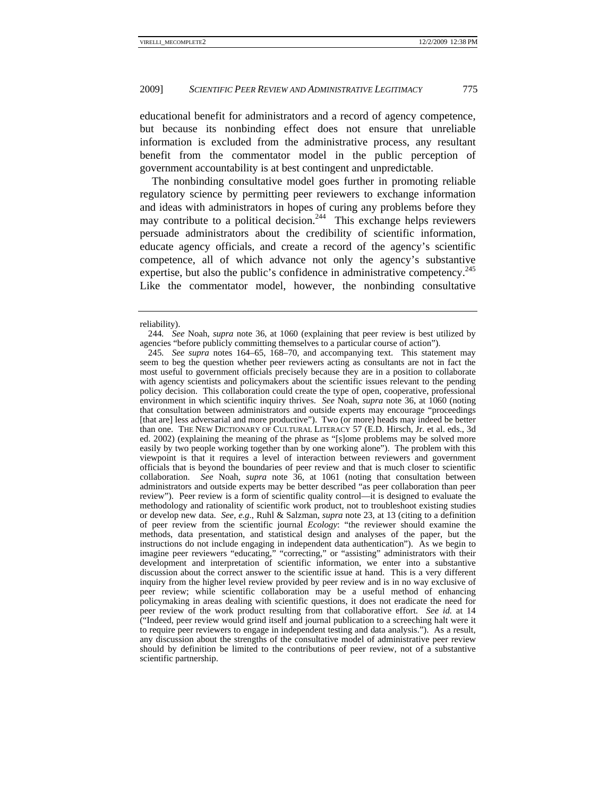educational benefit for administrators and a record of agency competence, but because its nonbinding effect does not ensure that unreliable information is excluded from the administrative process, any resultant benefit from the commentator model in the public perception of government accountability is at best contingent and unpredictable.

The nonbinding consultative model goes further in promoting reliable regulatory science by permitting peer reviewers to exchange information and ideas with administrators in hopes of curing any problems before they may contribute to a political decision.<sup>244</sup> This exchange helps reviewers persuade administrators about the credibility of scientific information, educate agency officials, and create a record of the agency's scientific competence, all of which advance not only the agency's substantive expertise, but also the public's confidence in administrative competency.<sup>245</sup> Like the commentator model, however, the nonbinding consultative

reliability).

<sup>244</sup>*. See* Noah, *supra* note 36, at 1060 (explaining that peer review is best utilized by agencies "before publicly committing themselves to a particular course of action").

<sup>245</sup>*. See supra* notes 164–65, 168–70, and accompanying text. This statement may seem to beg the question whether peer reviewers acting as consultants are not in fact the most useful to government officials precisely because they are in a position to collaborate with agency scientists and policymakers about the scientific issues relevant to the pending policy decision. This collaboration could create the type of open, cooperative, professional environment in which scientific inquiry thrives. *See* Noah, *supra* note 36, at 1060 (noting that consultation between administrators and outside experts may encourage "proceedings [that are] less adversarial and more productive"). Two (or more) heads may indeed be better than one. THE NEW DICTIONARY OF CULTURAL LITERACY 57 (E.D. Hirsch, Jr. et al. eds., 3d ed. 2002) (explaining the meaning of the phrase as "[s]ome problems may be solved more easily by two people working together than by one working alone"). The problem with this viewpoint is that it requires a level of interaction between reviewers and government officials that is beyond the boundaries of peer review and that is much closer to scientific collaboration. *See* Noah, *supra* note 36, at 1061 (noting that consultation between administrators and outside experts may be better described "as peer collaboration than peer review"). Peer review is a form of scientific quality control—it is designed to evaluate the methodology and rationality of scientific work product, not to troubleshoot existing studies or develop new data. *See, e.g.*, Ruhl & Salzman, *supra* note 23, at 13 (citing to a definition of peer review from the scientific journal *Ecology*: "the reviewer should examine the methods, data presentation, and statistical design and analyses of the paper, but the instructions do not include engaging in independent data authentication"). As we begin to imagine peer reviewers "educating," "correcting," or "assisting" administrators with their development and interpretation of scientific information, we enter into a substantive discussion about the correct answer to the scientific issue at hand. This is a very different inquiry from the higher level review provided by peer review and is in no way exclusive of peer review; while scientific collaboration may be a useful method of enhancing policymaking in areas dealing with scientific questions, it does not eradicate the need for peer review of the work product resulting from that collaborative effort. *See id.* at 14 ("Indeed, peer review would grind itself and journal publication to a screeching halt were it to require peer reviewers to engage in independent testing and data analysis."). As a result, any discussion about the strengths of the consultative model of administrative peer review should by definition be limited to the contributions of peer review, not of a substantive scientific partnership.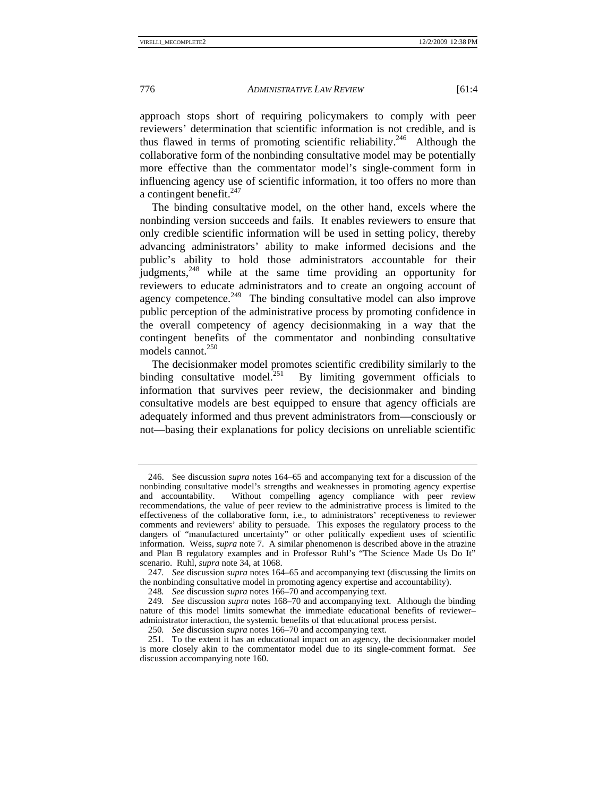approach stops short of requiring policymakers to comply with peer reviewers' determination that scientific information is not credible, and is thus flawed in terms of promoting scientific reliability.<sup>246</sup> Although the collaborative form of the nonbinding consultative model may be potentially more effective than the commentator model's single-comment form in influencing agency use of scientific information, it too offers no more than a contingent benefit. $247$ 

The binding consultative model, on the other hand, excels where the nonbinding version succeeds and fails. It enables reviewers to ensure that only credible scientific information will be used in setting policy, thereby advancing administrators' ability to make informed decisions and the public's ability to hold those administrators accountable for their judgments,<sup>248</sup> while at the same time providing an opportunity for reviewers to educate administrators and to create an ongoing account of agency competence. $249$  The binding consultative model can also improve public perception of the administrative process by promoting confidence in the overall competency of agency decisionmaking in a way that the contingent benefits of the commentator and nonbinding consultative models cannot. $250$ 

The decisionmaker model promotes scientific credibility similarly to the binding consultative model.<sup>251</sup> By limiting government officials to By limiting government officials to information that survives peer review, the decisionmaker and binding consultative models are best equipped to ensure that agency officials are adequately informed and thus prevent administrators from—consciously or not—basing their explanations for policy decisions on unreliable scientific

 <sup>246.</sup> See discussion *supra* notes 164–65 and accompanying text for a discussion of the nonbinding consultative model's strengths and weaknesses in promoting agency expertise<br>and accountability. Without compelling agency compliance with peer review Without compelling agency compliance with peer review recommendations, the value of peer review to the administrative process is limited to the effectiveness of the collaborative form, i.e., to administrators' receptiveness to reviewer comments and reviewers' ability to persuade. This exposes the regulatory process to the dangers of "manufactured uncertainty" or other politically expedient uses of scientific information. Weiss, *supra* note 7. A similar phenomenon is described above in the atrazine and Plan B regulatory examples and in Professor Ruhl's "The Science Made Us Do It" scenario. Ruhl, *supra* note 34, at 1068.

<sup>247</sup>*. See* discussion *supra* notes 164–65 and accompanying text (discussing the limits on the nonbinding consultative model in promoting agency expertise and accountability).

<sup>248</sup>*. See* discussion *supra* notes 166–70 and accompanying text.

<sup>249</sup>*. See* discussion *supra* notes 168–70 and accompanying text. Although the binding nature of this model limits somewhat the immediate educational benefits of reviewer– administrator interaction, the systemic benefits of that educational process persist.

<sup>250</sup>*. See* discussion *supra* notes 166–70 and accompanying text.

 <sup>251.</sup> To the extent it has an educational impact on an agency, the decisionmaker model is more closely akin to the commentator model due to its single-comment format. *See* discussion accompanying note 160.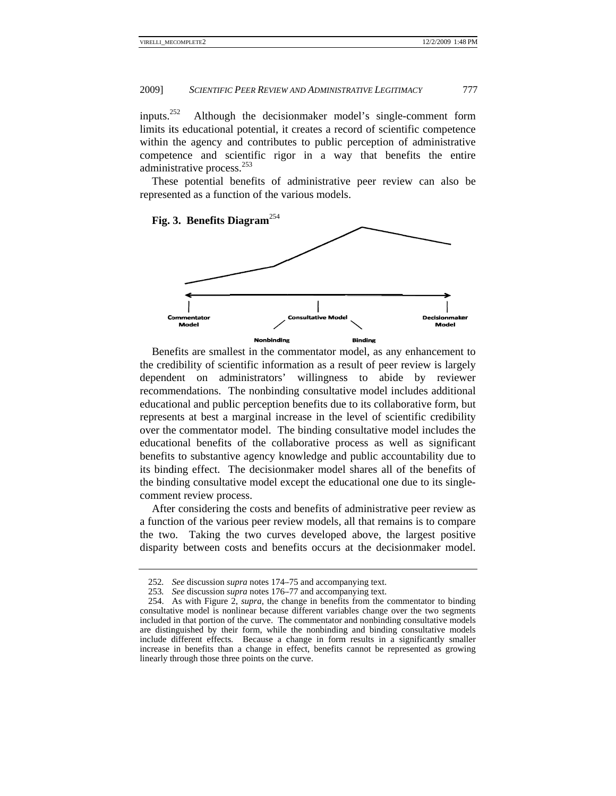inputs. $^{252}$ limits its educational potential, it creates a record of scientific competence within the agency and contributes to public perception of administrative competence and scientific rigor in a way that benefits the entire administrative process.<sup>253</sup>  $252$  Although the decision maker model's single-comment form

These potential benefits of administrative peer review can also be represented as a function of the various models.

# **Fig. 3. Benefits D Diagram**<sup>254</sup>



Benefits are smallest in the commentator model, as any enhancement to the credibility of scientific information as a result of peer review is largely dependent on administrators' willingness to abide by reviewer recommendations. The nonbinding consultative model includes additional educational and public perception benefits due to its collaborative form, but represents at best a marginal increase in the level of scientific credibility over the commentator model. The binding consultative model includes the educational benefits of the collaborative process as well as significant benefits to substantive agency knowledge and public accountability due to its binding effect. The decisionmaker model shares all of the benefits of the binding consultative model except the educational one due to its singlecomment review process.

After considering the costs and benefits of administrative peer review as a function of the various peer review models, all that remains is to compare the two. Taking the two curves developed above, the largest positive disparity between costs and benefits occurs at the decisionmaker model.

<sup>252.</sup> See discussion *supra* notes 174–75 and accompanying text.

<sup>253.</sup> See discussion *supra* notes 176–77 and accompanying text.

<sup>254.</sup> As with Figure 2, *supra*, the change in benefits from the commentator to binding consultative model is nonlinear because different variables change over the two segments included in that portion of the curve. The commentator and nonbinding consultative models are distinguished by their form, while the nonbinding and binding consultative models include different effects. Because a change in form results in a significantly smaller increase in benefits than a change in effect, benefits cannot be represented as growing linearly through those three points on the curve.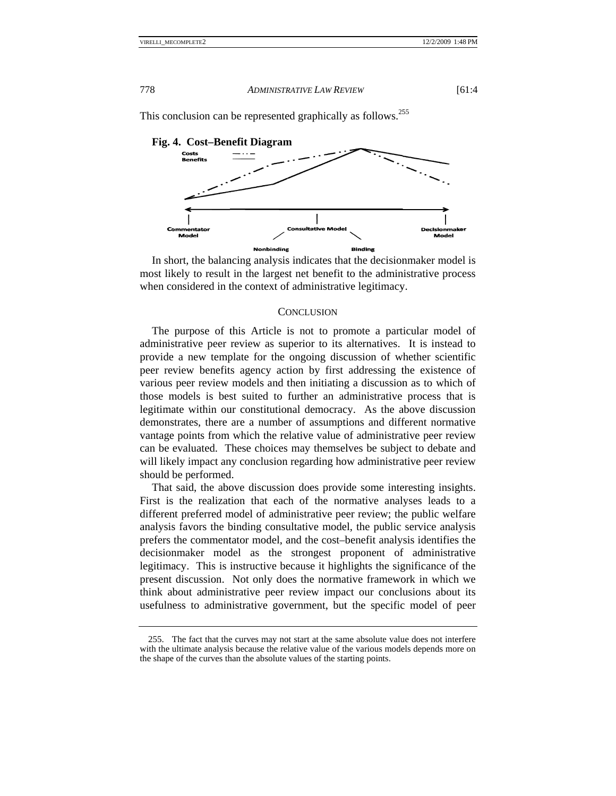

This conclusion can be represented graphically as follows.<sup>255</sup>

In short, the balancing analysis indicates that the decisionmaker model is most likely to result in the largest net benefit to the administrative process when considered in the context of administrative legitimacy.

#### **CONCLUSION**

The purpose of this Article is not to promote a particular model of administrative peer review as superior to its alternatives. It is instead to provide a new template for the ongoing discussion of whether scientific peer review benefits agency action by first addressing the existence of various peer review models and then initiating a discussion as to which of those models is best suited to further an administrative process that is legitimate within our constitutional democracy. As the above discussion demonstrates, there are a number of assumptions and different normative vantage points from which the relative value of administrative peer review can be evaluated. These choices may themselves be subject to debate and will likely impact any conclusion regarding how administrative peer review should be performed.

That said, the above discussion does provide some interesting insights. First is the realization that each of the normative analyses leads to a different preferred model of administrative peer review; the public welfare analysis favors the binding consultative model, the public service analysis prefers the commentator model, and the cost-benefit analysis identifies the decisionmaker model as the strongest proponent of administrative legitimacy. This is instructive because it highlights the significance of the present discussion. Not only does the normative framework in which we think about administrative peer review impact our conclusions about its usefulness to administrative government, but the specific model of peer

<sup>255.</sup> The fact that the curves may not start at the same absolute value does not interfere with the ultimate analysis because the relative value of the various models depends more on the shape of the curves than the absolute values of the starting points.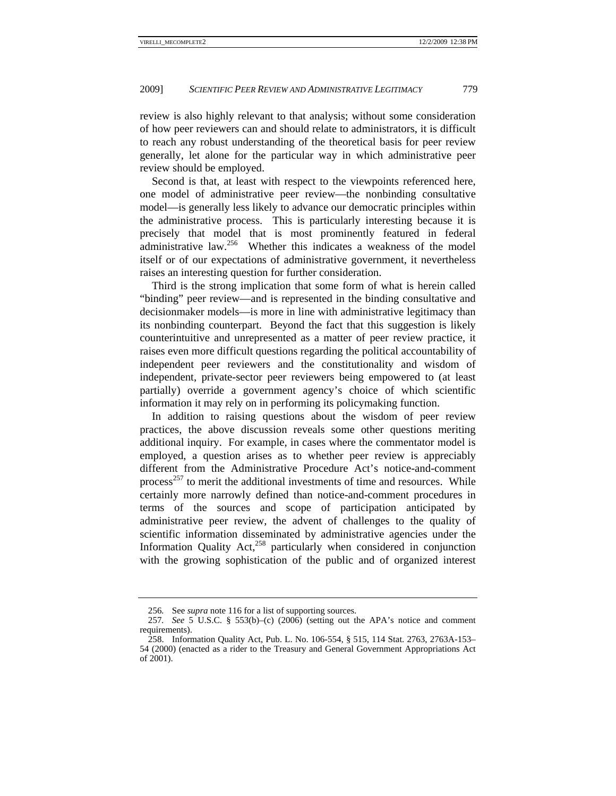review is also highly relevant to that analysis; without some consideration of how peer reviewers can and should relate to administrators, it is difficult to reach any robust understanding of the theoretical basis for peer review generally, let alone for the particular way in which administrative peer review should be employed.

Second is that, at least with respect to the viewpoints referenced here, one model of administrative peer review—the nonbinding consultative model—is generally less likely to advance our democratic principles within the administrative process. This is particularly interesting because it is precisely that model that is most prominently featured in federal administrative law.<sup>256</sup> Whether this indicates a weakness of the model itself or of our expectations of administrative government, it nevertheless raises an interesting question for further consideration.

Third is the strong implication that some form of what is herein called "binding" peer review—and is represented in the binding consultative and decisionmaker models—is more in line with administrative legitimacy than its nonbinding counterpart. Beyond the fact that this suggestion is likely counterintuitive and unrepresented as a matter of peer review practice, it raises even more difficult questions regarding the political accountability of independent peer reviewers and the constitutionality and wisdom of independent, private-sector peer reviewers being empowered to (at least partially) override a government agency's choice of which scientific information it may rely on in performing its policymaking function.

In addition to raising questions about the wisdom of peer review practices, the above discussion reveals some other questions meriting additional inquiry. For example, in cases where the commentator model is employed, a question arises as to whether peer review is appreciably different from the Administrative Procedure Act's notice-and-comment process<sup>257</sup> to merit the additional investments of time and resources. While certainly more narrowly defined than notice-and-comment procedures in terms of the sources and scope of participation anticipated by administrative peer review, the advent of challenges to the quality of scientific information disseminated by administrative agencies under the Information Quality Act, $258$  particularly when considered in conjunction with the growing sophistication of the public and of organized interest

<sup>256</sup>*.* See *supra* note 116 for a list of supporting sources.

<sup>257</sup>*. See* 5 U.S.C. § 553(b)–(c) (2006) (setting out the APA's notice and comment requirements).

 <sup>258.</sup> Information Quality Act, Pub. L. No. 106-554, § 515, 114 Stat. 2763, 2763A-153– 54 (2000) (enacted as a rider to the Treasury and General Government Appropriations Act of 2001).